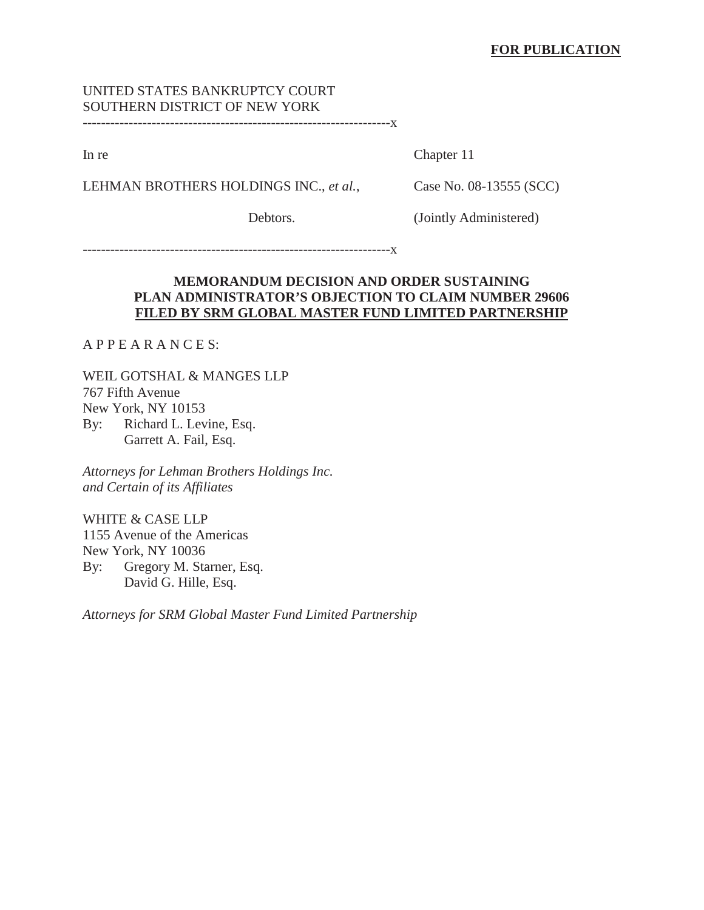# UNITED STATES BANKRUPTCY COURT SOUTHERN DISTRICT OF NEW YORK

-------------------------------------------------------------------x

In re Chapter 11

LEHMAN BROTHERS HOLDINGS INC., *et al.*, Case No. 08-13555 (SCC)

Debtors. (Jointly Administered)

-------------------------------------------------------------------x

## **MEMORANDUM DECISION AND ORDER SUSTAINING PLAN ADMINISTRATOR'S OBJECTION TO CLAIM NUMBER 29606 FILED BY SRM GLOBAL MASTER FUND LIMITED PARTNERSHIP**

A P P E A R A N C E S:

WEIL GOTSHAL & MANGES LLP 767 Fifth Avenue New York, NY 10153 By: Richard L. Levine, Esq. Garrett A. Fail, Esq.

*Attorneys for Lehman Brothers Holdings Inc. and Certain of its Affiliates*

WHITE & CASE LLP 1155 Avenue of the Americas New York, NY 10036 By: Gregory M. Starner, Esq. David G. Hille, Esq.

*Attorneys for SRM Global Master Fund Limited Partnership*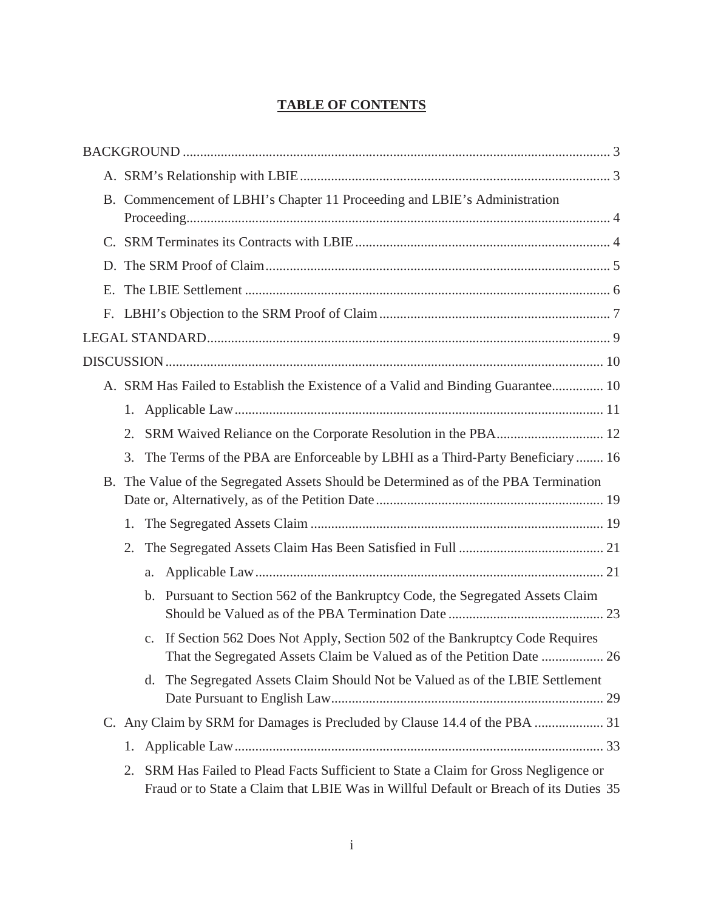# **TABLE OF CONTENTS**

|    |    | B. Commencement of LBHI's Chapter 11 Proceeding and LBIE's Administration                                                                                                  |  |  |
|----|----|----------------------------------------------------------------------------------------------------------------------------------------------------------------------------|--|--|
|    |    |                                                                                                                                                                            |  |  |
|    |    |                                                                                                                                                                            |  |  |
|    |    |                                                                                                                                                                            |  |  |
| Е. |    |                                                                                                                                                                            |  |  |
|    |    |                                                                                                                                                                            |  |  |
|    |    |                                                                                                                                                                            |  |  |
|    |    |                                                                                                                                                                            |  |  |
|    |    | A. SRM Has Failed to Establish the Existence of a Valid and Binding Guarantee 10                                                                                           |  |  |
|    | 1. |                                                                                                                                                                            |  |  |
|    | 2. |                                                                                                                                                                            |  |  |
|    | 3. | The Terms of the PBA are Enforceable by LBHI as a Third-Party Beneficiary  16                                                                                              |  |  |
|    |    | B. The Value of the Segregated Assets Should be Determined as of the PBA Termination                                                                                       |  |  |
|    | 1. |                                                                                                                                                                            |  |  |
|    |    |                                                                                                                                                                            |  |  |
|    |    |                                                                                                                                                                            |  |  |
|    |    | b. Pursuant to Section 562 of the Bankruptcy Code, the Segregated Assets Claim                                                                                             |  |  |
|    |    | If Section 562 Does Not Apply, Section 502 of the Bankruptcy Code Requires<br>$\mathbf{C}$ .                                                                               |  |  |
|    |    | The Segregated Assets Claim Should Not be Valued as of the LBIE Settlement<br>d.                                                                                           |  |  |
|    |    | C. Any Claim by SRM for Damages is Precluded by Clause 14.4 of the PBA  31                                                                                                 |  |  |
|    | 1. |                                                                                                                                                                            |  |  |
|    | 2. | SRM Has Failed to Plead Facts Sufficient to State a Claim for Gross Negligence or<br>Fraud or to State a Claim that LBIE Was in Willful Default or Breach of its Duties 35 |  |  |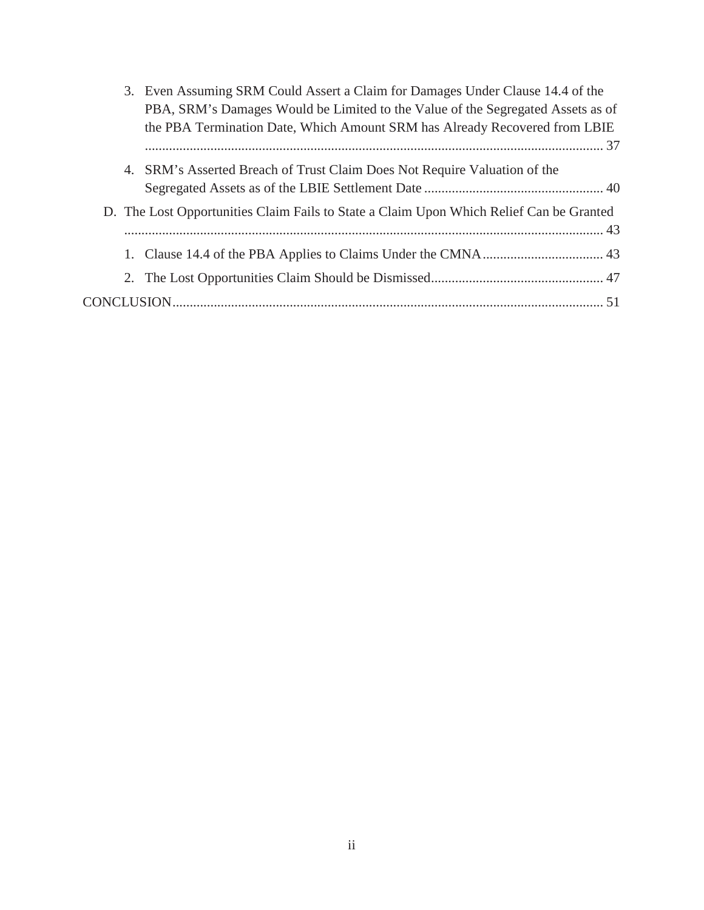|  | 3. Even Assuming SRM Could Assert a Claim for Damages Under Clause 14.4 of the          |  |  |
|--|-----------------------------------------------------------------------------------------|--|--|
|  | PBA, SRM's Damages Would be Limited to the Value of the Segregated Assets as of         |  |  |
|  | the PBA Termination Date, Which Amount SRM has Already Recovered from LBIE              |  |  |
|  |                                                                                         |  |  |
|  | 4. SRM's Asserted Breach of Trust Claim Does Not Require Valuation of the               |  |  |
|  |                                                                                         |  |  |
|  | D. The Lost Opportunities Claim Fails to State a Claim Upon Which Relief Can be Granted |  |  |
|  |                                                                                         |  |  |
|  |                                                                                         |  |  |
|  |                                                                                         |  |  |
|  |                                                                                         |  |  |
|  |                                                                                         |  |  |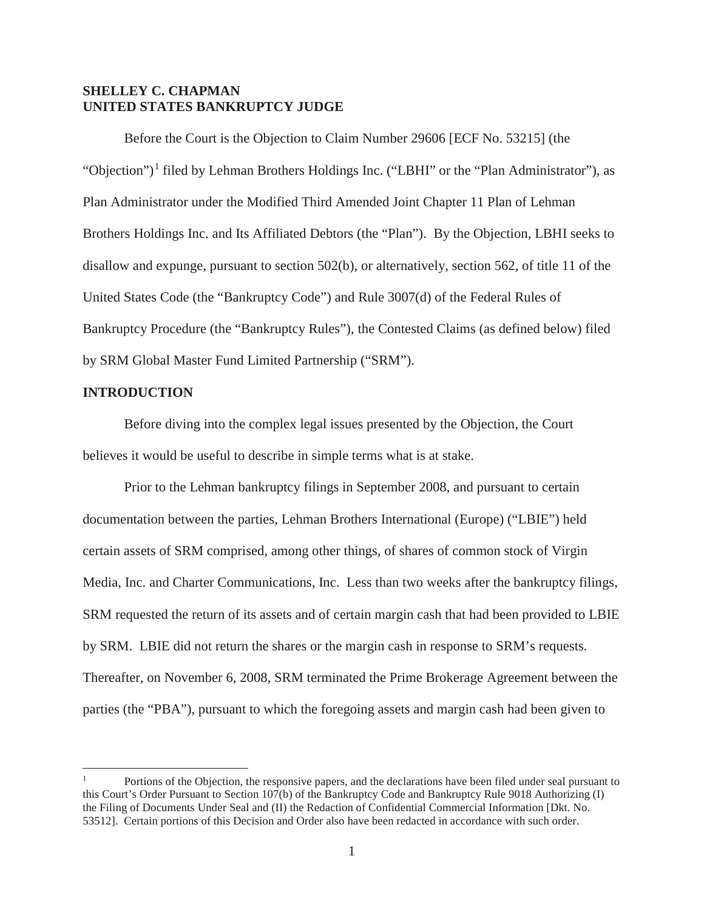## **SHELLEY C. CHAPMAN UNITED STATES BANKRUPTCY JUDGE**

Before the Court is the Objection to Claim Number 29606 [ECF No. 53215] (the "Objection")<sup>1</sup> filed by Lehman Brothers Holdings Inc. ("LBHI" or the "Plan Administrator"), as Plan Administrator under the Modified Third Amended Joint Chapter 11 Plan of Lehman Brothers Holdings Inc. and Its Affiliated Debtors (the "Plan"). By the Objection, LBHI seeks to disallow and expunge, pursuant to section 502(b), or alternatively, section 562, of title 11 of the United States Code (the "Bankruptcy Code") and Rule 3007(d) of the Federal Rules of Bankruptcy Procedure (the "Bankruptcy Rules"), the Contested Claims (as defined below) filed by SRM Global Master Fund Limited Partnership ("SRM").

#### **INTRODUCTION**

Before diving into the complex legal issues presented by the Objection, the Court believes it would be useful to describe in simple terms what is at stake.

Prior to the Lehman bankruptcy filings in September 2008, and pursuant to certain documentation between the parties, Lehman Brothers International (Europe) ("LBIE") held certain assets of SRM comprised, among other things, of shares of common stock of Virgin Media, Inc. and Charter Communications, Inc. Less than two weeks after the bankruptcy filings, SRM requested the return of its assets and of certain margin cash that had been provided to LBIE by SRM. LBIE did not return the shares or the margin cash in response to SRM's requests. Thereafter, on November 6, 2008, SRM terminated the Prime Brokerage Agreement between the parties (the "PBA"), pursuant to which the foregoing assets and margin cash had been given to

<sup>1</sup> Portions of the Objection, the responsive papers, and the declarations have been filed under seal pursuant to this Court's Order Pursuant to Section 107(b) of the Bankruptcy Code and Bankruptcy Rule 9018 Authorizing (I) the Filing of Documents Under Seal and (II) the Redaction of Confidential Commercial Information [Dkt. No. 53512]. Certain portions of this Decision and Order also have been redacted in accordance with such order.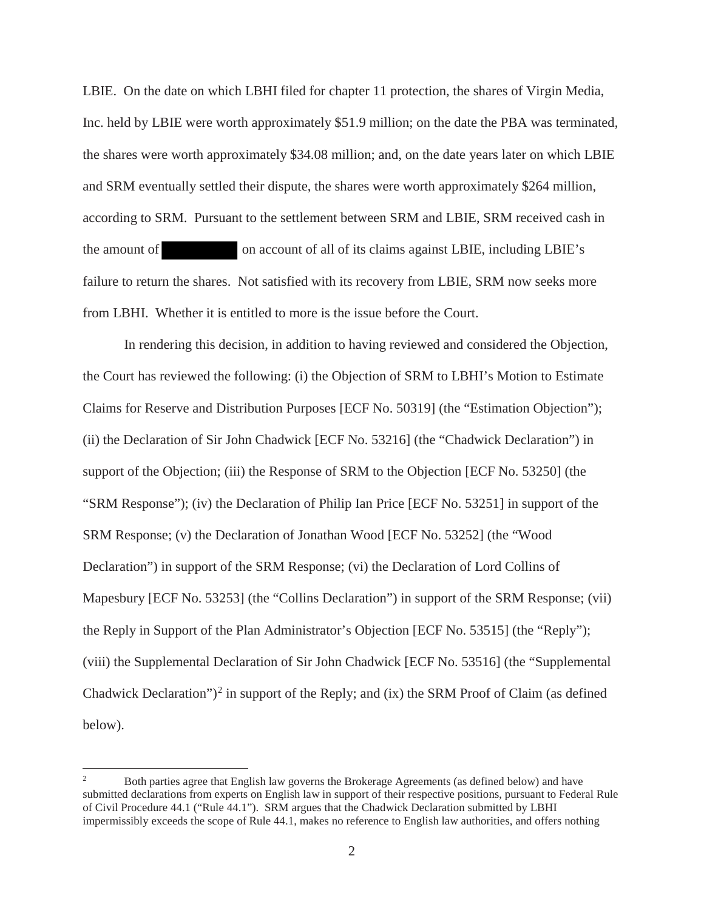LBIE. On the date on which LBHI filed for chapter 11 protection, the shares of Virgin Media, Inc. held by LBIE were worth approximately \$51.9 million; on the date the PBA was terminated, the shares were worth approximately \$34.08 million; and, on the date years later on which LBIE and SRM eventually settled their dispute, the shares were worth approximately \$264 million, according to SRM. Pursuant to the settlement between SRM and LBIE, SRM received cash in the amount of on account of all of its claims against LBIE, including LBIE's failure to return the shares. Not satisfied with its recovery from LBIE, SRM now seeks more from LBHI. Whether it is entitled to more is the issue before the Court.

In rendering this decision, in addition to having reviewed and considered the Objection, the Court has reviewed the following: (i) the Objection of SRM to LBHI's Motion to Estimate Claims for Reserve and Distribution Purposes [ECF No. 50319] (the "Estimation Objection"); (ii) the Declaration of Sir John Chadwick [ECF No. 53216] (the "Chadwick Declaration") in support of the Objection; (iii) the Response of SRM to the Objection [ECF No. 53250] (the "SRM Response"); (iv) the Declaration of Philip Ian Price [ECF No. 53251] in support of the SRM Response; (v) the Declaration of Jonathan Wood [ECF No. 53252] (the "Wood Declaration") in support of the SRM Response; (vi) the Declaration of Lord Collins of Mapesbury [ECF No. 53253] (the "Collins Declaration") in support of the SRM Response; (vii) the Reply in Support of the Plan Administrator's Objection [ECF No. 53515] (the "Reply"); (viii) the Supplemental Declaration of Sir John Chadwick [ECF No. 53516] (the "Supplemental Chadwick Declaration")<sup>2</sup> in support of the Reply; and (ix) the SRM Proof of Claim (as defined below).

<sup>&</sup>lt;sup>2</sup> Both parties agree that English law governs the Brokerage Agreements (as defined below) and have submitted declarations from experts on English law in support of their respective positions, pursuant to Federal Rule of Civil Procedure 44.1 ("Rule 44.1"). SRM argues that the Chadwick Declaration submitted by LBHI impermissibly exceeds the scope of Rule 44.1, makes no reference to English law authorities, and offers nothing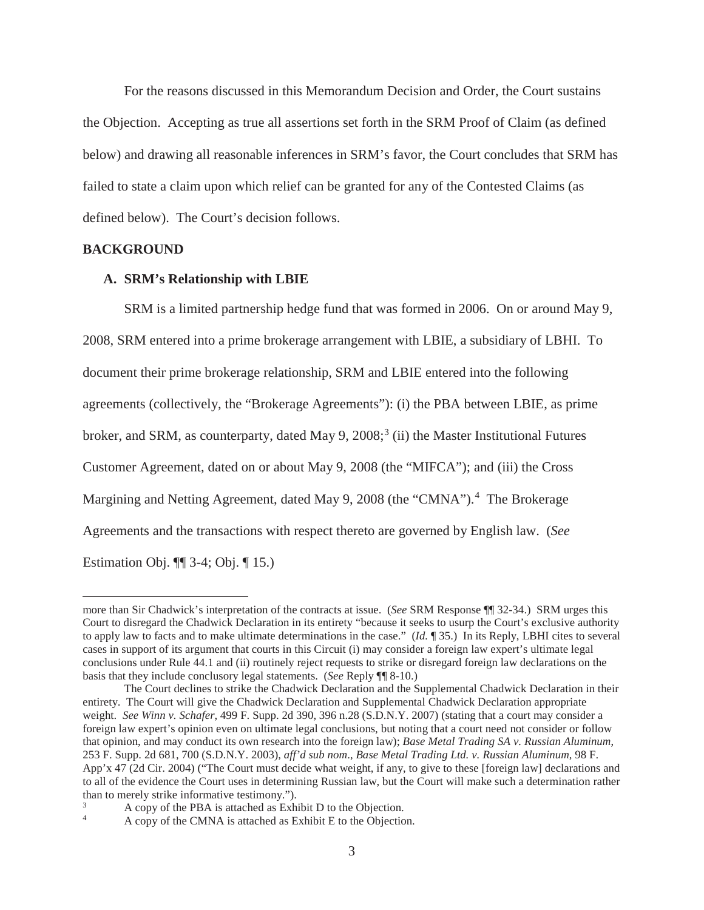For the reasons discussed in this Memorandum Decision and Order, the Court sustains the Objection. Accepting as true all assertions set forth in the SRM Proof of Claim (as defined below) and drawing all reasonable inferences in SRM's favor, the Court concludes that SRM has failed to state a claim upon which relief can be granted for any of the Contested Claims (as defined below). The Court's decision follows.

#### **BACKGROUND**

#### **A. SRM's Relationship with LBIE**

SRM is a limited partnership hedge fund that was formed in 2006. On or around May 9, 2008, SRM entered into a prime brokerage arrangement with LBIE, a subsidiary of LBHI. To document their prime brokerage relationship, SRM and LBIE entered into the following agreements (collectively, the "Brokerage Agreements"): (i) the PBA between LBIE, as prime broker, and SRM, as counterparty, dated May 9,  $2008$ ;<sup>3</sup> (ii) the Master Institutional Futures Customer Agreement, dated on or about May 9, 2008 (the "MIFCA"); and (iii) the Cross Margining and Netting Agreement, dated May 9, 2008 (the "CMNA").<sup>4</sup> The Brokerage Agreements and the transactions with respect thereto are governed by English law. (*See*  Estimation Obj. ¶¶ 3-4; Obj. ¶ 15.)

more than Sir Chadwick's interpretation of the contracts at issue. (*See* SRM Response ¶¶ 32-34.) SRM urges this Court to disregard the Chadwick Declaration in its entirety "because it seeks to usurp the Court's exclusive authority to apply law to facts and to make ultimate determinations in the case." (*Id.* ¶ 35.) In its Reply, LBHI cites to several cases in support of its argument that courts in this Circuit (i) may consider a foreign law expert's ultimate legal conclusions under Rule 44.1 and (ii) routinely reject requests to strike or disregard foreign law declarations on the basis that they include conclusory legal statements. (*See* Reply ¶¶ 8-10.)

The Court declines to strike the Chadwick Declaration and the Supplemental Chadwick Declaration in their entirety. The Court will give the Chadwick Declaration and Supplemental Chadwick Declaration appropriate weight. *See Winn v. Schafer*, 499 F. Supp. 2d 390, 396 n.28 (S.D.N.Y. 2007) (stating that a court may consider a foreign law expert's opinion even on ultimate legal conclusions, but noting that a court need not consider or follow that opinion, and may conduct its own research into the foreign law); *Base Metal Trading SA v. Russian Aluminum*, 253 F. Supp. 2d 681, 700 (S.D.N.Y. 2003), *aff'd sub nom*., *Base Metal Trading Ltd. v. Russian Aluminum*, 98 F. App'x 47 (2d Cir. 2004) ("The Court must decide what weight, if any, to give to these [foreign law] declarations and to all of the evidence the Court uses in determining Russian law, but the Court will make such a determination rather than to merely strike informative testimony.").

<sup>3</sup> A copy of the PBA is attached as Exhibit D to the Objection.

<sup>4</sup> A copy of the CMNA is attached as Exhibit E to the Objection.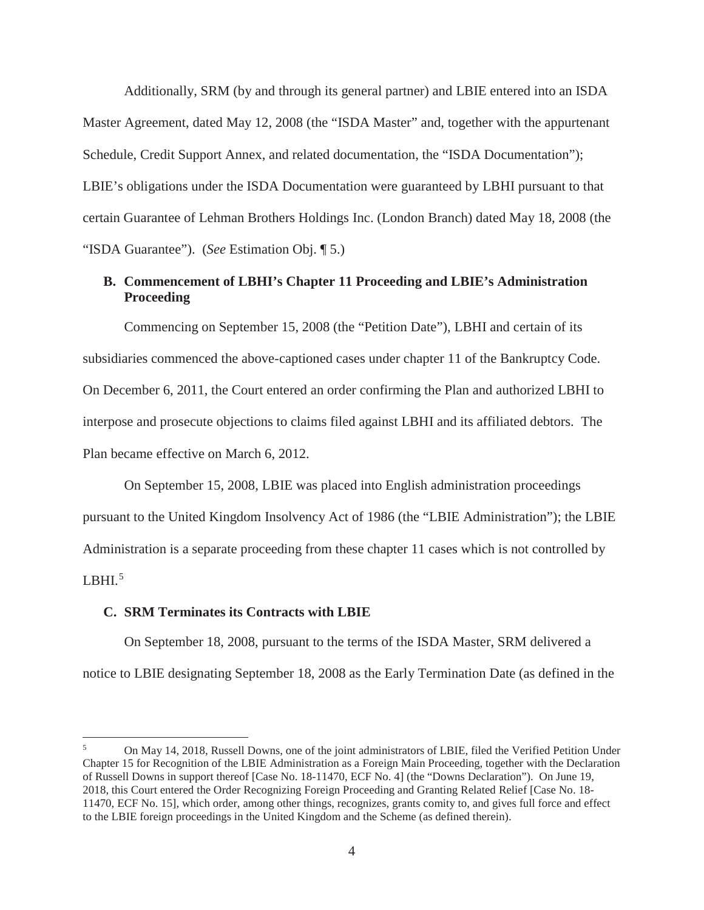Additionally, SRM (by and through its general partner) and LBIE entered into an ISDA Master Agreement, dated May 12, 2008 (the "ISDA Master" and, together with the appurtenant Schedule, Credit Support Annex, and related documentation, the "ISDA Documentation"); LBIE's obligations under the ISDA Documentation were guaranteed by LBHI pursuant to that certain Guarantee of Lehman Brothers Holdings Inc. (London Branch) dated May 18, 2008 (the "ISDA Guarantee"). (*See* Estimation Obj. ¶ 5.)

## **B. Commencement of LBHI's Chapter 11 Proceeding and LBIE's Administration Proceeding**

Commencing on September 15, 2008 (the "Petition Date"), LBHI and certain of its subsidiaries commenced the above-captioned cases under chapter 11 of the Bankruptcy Code. On December 6, 2011, the Court entered an order confirming the Plan and authorized LBHI to interpose and prosecute objections to claims filed against LBHI and its affiliated debtors. The Plan became effective on March 6, 2012.

On September 15, 2008, LBIE was placed into English administration proceedings pursuant to the United Kingdom Insolvency Act of 1986 (the "LBIE Administration"); the LBIE Administration is a separate proceeding from these chapter 11 cases which is not controlled by LBHI $^5$ 

#### **C. SRM Terminates its Contracts with LBIE**

On September 18, 2008, pursuant to the terms of the ISDA Master, SRM delivered a notice to LBIE designating September 18, 2008 as the Early Termination Date (as defined in the

<sup>5</sup> On May 14, 2018, Russell Downs, one of the joint administrators of LBIE, filed the Verified Petition Under Chapter 15 for Recognition of the LBIE Administration as a Foreign Main Proceeding, together with the Declaration of Russell Downs in support thereof [Case No. 18-11470, ECF No. 4] (the "Downs Declaration"). On June 19, 2018, this Court entered the Order Recognizing Foreign Proceeding and Granting Related Relief [Case No. 18- 11470, ECF No. 15], which order, among other things, recognizes, grants comity to, and gives full force and effect to the LBIE foreign proceedings in the United Kingdom and the Scheme (as defined therein).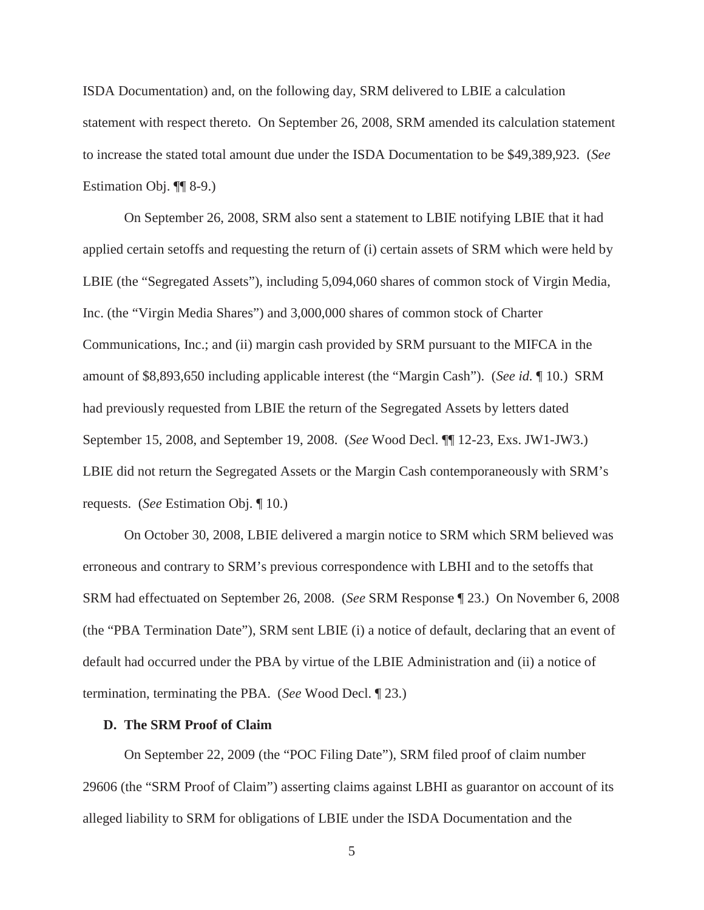ISDA Documentation) and, on the following day, SRM delivered to LBIE a calculation statement with respect thereto. On September 26, 2008, SRM amended its calculation statement to increase the stated total amount due under the ISDA Documentation to be \$49,389,923. (*See*  Estimation Obj. ¶¶ 8-9.)

On September 26, 2008, SRM also sent a statement to LBIE notifying LBIE that it had applied certain setoffs and requesting the return of (i) certain assets of SRM which were held by LBIE (the "Segregated Assets"), including 5,094,060 shares of common stock of Virgin Media, Inc. (the "Virgin Media Shares") and 3,000,000 shares of common stock of Charter Communications, Inc.; and (ii) margin cash provided by SRM pursuant to the MIFCA in the amount of \$8,893,650 including applicable interest (the "Margin Cash"). (*See id.* ¶ 10.) SRM had previously requested from LBIE the return of the Segregated Assets by letters dated September 15, 2008, and September 19, 2008. (*See* Wood Decl. ¶¶ 12-23, Exs. JW1-JW3.) LBIE did not return the Segregated Assets or the Margin Cash contemporaneously with SRM's requests. (*See* Estimation Obj. ¶ 10.)

On October 30, 2008, LBIE delivered a margin notice to SRM which SRM believed was erroneous and contrary to SRM's previous correspondence with LBHI and to the setoffs that SRM had effectuated on September 26, 2008. (*See* SRM Response ¶ 23.) On November 6, 2008 (the "PBA Termination Date"), SRM sent LBIE (i) a notice of default, declaring that an event of default had occurred under the PBA by virtue of the LBIE Administration and (ii) a notice of termination, terminating the PBA. (*See* Wood Decl. ¶ 23.)

## **D. The SRM Proof of Claim**

On September 22, 2009 (the "POC Filing Date"), SRM filed proof of claim number 29606 (the "SRM Proof of Claim") asserting claims against LBHI as guarantor on account of its alleged liability to SRM for obligations of LBIE under the ISDA Documentation and the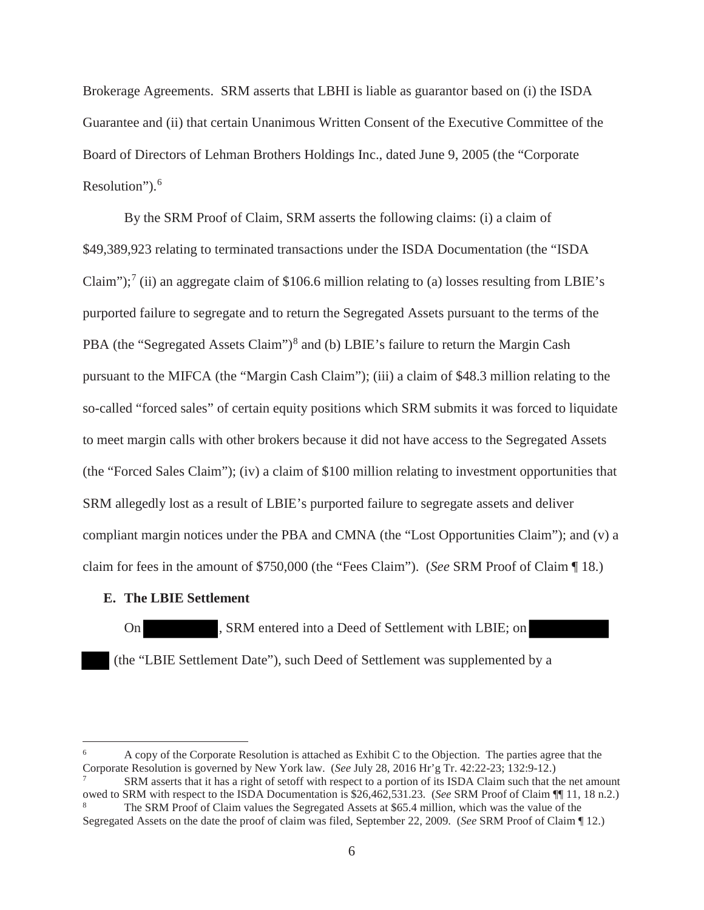Brokerage Agreements. SRM asserts that LBHI is liable as guarantor based on (i) the ISDA Guarantee and (ii) that certain Unanimous Written Consent of the Executive Committee of the Board of Directors of Lehman Brothers Holdings Inc., dated June 9, 2005 (the "Corporate Resolution").<sup>6</sup>

By the SRM Proof of Claim, SRM asserts the following claims: (i) a claim of \$49,389,923 relating to terminated transactions under the ISDA Documentation (the "ISDA Claim");<sup>7</sup> (ii) an aggregate claim of \$106.6 million relating to (a) losses resulting from LBIE's purported failure to segregate and to return the Segregated Assets pursuant to the terms of the PBA (the "Segregated Assets Claim")<sup>8</sup> and (b) LBIE's failure to return the Margin Cash pursuant to the MIFCA (the "Margin Cash Claim"); (iii) a claim of \$48.3 million relating to the so-called "forced sales" of certain equity positions which SRM submits it was forced to liquidate to meet margin calls with other brokers because it did not have access to the Segregated Assets (the "Forced Sales Claim"); (iv) a claim of \$100 million relating to investment opportunities that SRM allegedly lost as a result of LBIE's purported failure to segregate assets and deliver compliant margin notices under the PBA and CMNA (the "Lost Opportunities Claim"); and (v) a claim for fees in the amount of \$750,000 (the "Fees Claim"). (*See* SRM Proof of Claim ¶ 18.)

## **E. The LBIE Settlement**

On , SRM entered into a Deed of Settlement with LBIE; on (the "LBIE Settlement Date"), such Deed of Settlement was supplemented by a

<sup>6</sup> A copy of the Corporate Resolution is attached as Exhibit C to the Objection. The parties agree that the Corporate Resolution is governed by New York law. (*See* July 28, 2016 Hr'g Tr. 42:22-23; 132:9-12.)

SRM asserts that it has a right of setoff with respect to a portion of its ISDA Claim such that the net amount owed to SRM with respect to the ISDA Documentation is \$26,462,531.23. (*See* SRM Proof of Claim ¶¶ 11, 18 n.2.) <sup>8</sup> The SRM Proof of Claim values the Segregated Assets at \$65.4 million, which was the value of the Segregated Assets on the date the proof of claim was filed, September 22, 2009. (*See* SRM Proof of Claim ¶ 12.)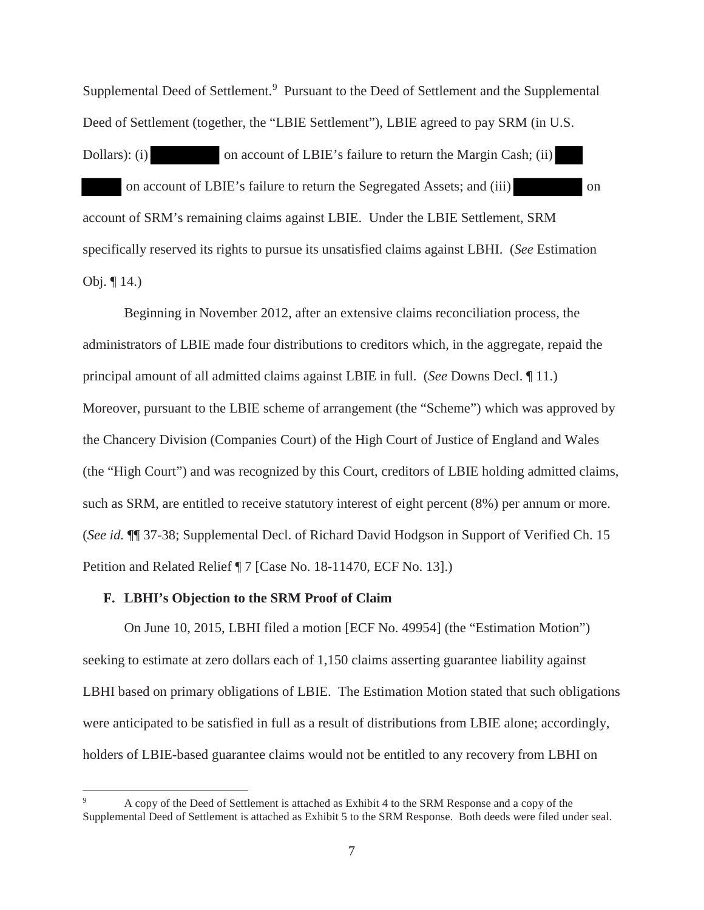Supplemental Deed of Settlement.<sup>9</sup> Pursuant to the Deed of Settlement and the Supplemental Deed of Settlement (together, the "LBIE Settlement"), LBIE agreed to pay SRM (in U.S.

Dollars): (i) on account of LBIE's failure to return the Margin Cash; (ii) on account of LBIE's failure to return the Segregated Assets; and (iii) on account of SRM's remaining claims against LBIE. Under the LBIE Settlement, SRM specifically reserved its rights to pursue its unsatisfied claims against LBHI. (*See* Estimation Obj. ¶ 14.)

Beginning in November 2012, after an extensive claims reconciliation process, the administrators of LBIE made four distributions to creditors which, in the aggregate, repaid the principal amount of all admitted claims against LBIE in full. (*See* Downs Decl. ¶ 11.) Moreover, pursuant to the LBIE scheme of arrangement (the "Scheme") which was approved by the Chancery Division (Companies Court) of the High Court of Justice of England and Wales (the "High Court") and was recognized by this Court, creditors of LBIE holding admitted claims, such as SRM, are entitled to receive statutory interest of eight percent (8%) per annum or more. (*See id.* ¶¶ 37-38; Supplemental Decl. of Richard David Hodgson in Support of Verified Ch. 15 Petition and Related Relief ¶ 7 [Case No. 18-11470, ECF No. 13].)

## **F. LBHI's Objection to the SRM Proof of Claim**

On June 10, 2015, LBHI filed a motion [ECF No. 49954] (the "Estimation Motion") seeking to estimate at zero dollars each of 1,150 claims asserting guarantee liability against LBHI based on primary obligations of LBIE. The Estimation Motion stated that such obligations were anticipated to be satisfied in full as a result of distributions from LBIE alone; accordingly, holders of LBIE-based guarantee claims would not be entitled to any recovery from LBHI on

<sup>9</sup> A copy of the Deed of Settlement is attached as Exhibit 4 to the SRM Response and a copy of the Supplemental Deed of Settlement is attached as Exhibit 5 to the SRM Response. Both deeds were filed under seal.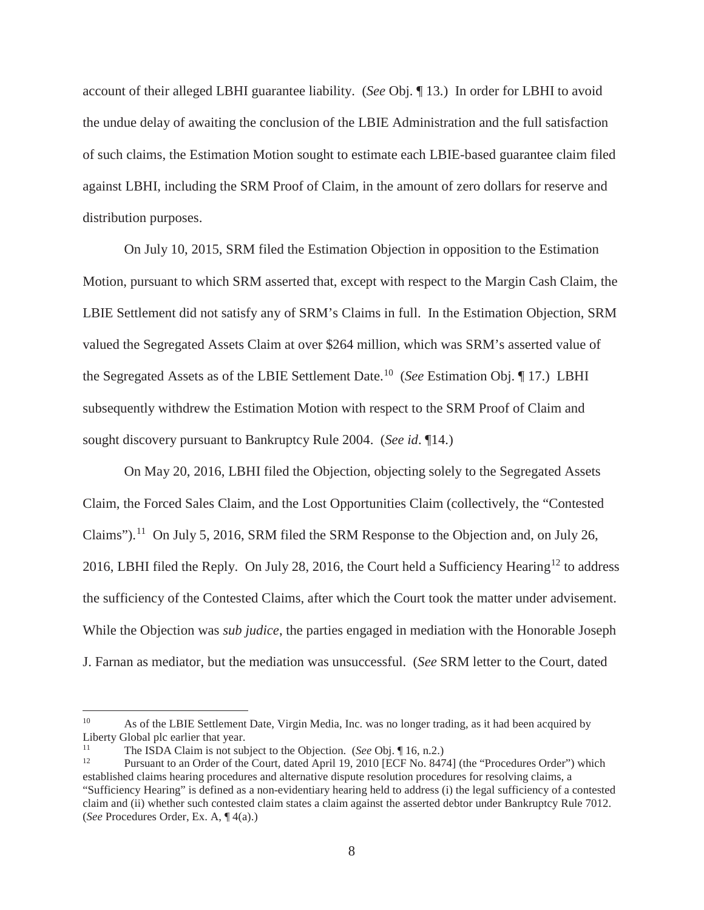account of their alleged LBHI guarantee liability. (*See* Obj. ¶ 13.) In order for LBHI to avoid the undue delay of awaiting the conclusion of the LBIE Administration and the full satisfaction of such claims, the Estimation Motion sought to estimate each LBIE-based guarantee claim filed against LBHI, including the SRM Proof of Claim, in the amount of zero dollars for reserve and distribution purposes.

On July 10, 2015, SRM filed the Estimation Objection in opposition to the Estimation Motion, pursuant to which SRM asserted that, except with respect to the Margin Cash Claim, the LBIE Settlement did not satisfy any of SRM's Claims in full. In the Estimation Objection, SRM valued the Segregated Assets Claim at over \$264 million, which was SRM's asserted value of the Segregated Assets as of the LBIE Settlement Date.<sup>10</sup> (*See* Estimation Obj. ¶ 17.) LBHI subsequently withdrew the Estimation Motion with respect to the SRM Proof of Claim and sought discovery pursuant to Bankruptcy Rule 2004. (*See id*. ¶14.)

On May 20, 2016, LBHI filed the Objection, objecting solely to the Segregated Assets Claim, the Forced Sales Claim, and the Lost Opportunities Claim (collectively, the "Contested Claims").<sup>11</sup> On July 5, 2016, SRM filed the SRM Response to the Objection and, on July 26, 2016, LBHI filed the Reply. On July 28, 2016, the Court held a Sufficiency Hearing<sup>12</sup> to address the sufficiency of the Contested Claims, after which the Court took the matter under advisement. While the Objection was *sub judice*, the parties engaged in mediation with the Honorable Joseph J. Farnan as mediator, but the mediation was unsuccessful. (*See* SRM letter to the Court, dated

<sup>&</sup>lt;sup>10</sup> As of the LBIE Settlement Date, Virgin Media, Inc. was no longer trading, as it had been acquired by Liberty Global plc earlier that year.

<sup>&</sup>lt;sup>11</sup> The ISDA Claim is not subject to the Objection. (*See* Obj. ¶ 16, n.2.)<br><sup>12</sup> Pursuant to an Order of the Court, dated April 10, 2010 IECE No. 847

<sup>12</sup> Pursuant to an Order of the Court, dated April 19, 2010 [ECF No. 8474] (the "Procedures Order") which established claims hearing procedures and alternative dispute resolution procedures for resolving claims, a "Sufficiency Hearing" is defined as a non-evidentiary hearing held to address (i) the legal sufficiency of a contested claim and (ii) whether such contested claim states a claim against the asserted debtor under Bankruptcy Rule 7012. (*See* Procedures Order, Ex. A, ¶ 4(a).)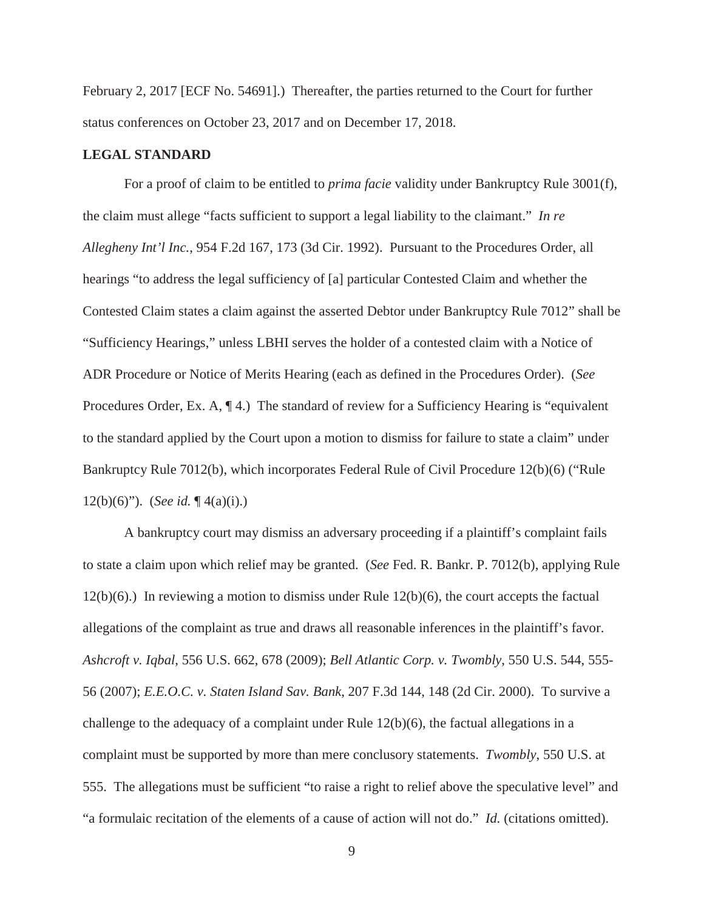February 2, 2017 [ECF No. 54691].) Thereafter, the parties returned to the Court for further status conferences on October 23, 2017 and on December 17, 2018.

## **LEGAL STANDARD**

For a proof of claim to be entitled to *prima facie* validity under Bankruptcy Rule 3001(f), the claim must allege "facts sufficient to support a legal liability to the claimant." *In re Allegheny Int'l Inc.*, 954 F.2d 167, 173 (3d Cir. 1992). Pursuant to the Procedures Order, all hearings "to address the legal sufficiency of [a] particular Contested Claim and whether the Contested Claim states a claim against the asserted Debtor under Bankruptcy Rule 7012" shall be "Sufficiency Hearings," unless LBHI serves the holder of a contested claim with a Notice of ADR Procedure or Notice of Merits Hearing (each as defined in the Procedures Order). (*See*  Procedures Order, Ex. A,  $\P$ 4.) The standard of review for a Sufficiency Hearing is "equivalent" to the standard applied by the Court upon a motion to dismiss for failure to state a claim" under Bankruptcy Rule 7012(b), which incorporates Federal Rule of Civil Procedure 12(b)(6) ("Rule 12(b)(6)"). (*See id.* ¶ 4(a)(i).)

A bankruptcy court may dismiss an adversary proceeding if a plaintiff's complaint fails to state a claim upon which relief may be granted. (*See* Fed. R. Bankr. P. 7012(b), applying Rule 12(b)(6).) In reviewing a motion to dismiss under Rule 12(b)(6), the court accepts the factual allegations of the complaint as true and draws all reasonable inferences in the plaintiff's favor. *Ashcroft v. Iqbal*, 556 U.S. 662, 678 (2009); *Bell Atlantic Corp. v. Twombly*, 550 U.S. 544, 555- 56 (2007); *E.E.O.C. v. Staten Island Sav. Bank*, 207 F.3d 144, 148 (2d Cir. 2000). To survive a challenge to the adequacy of a complaint under Rule 12(b)(6), the factual allegations in a complaint must be supported by more than mere conclusory statements. *Twombly*, 550 U.S. at 555. The allegations must be sufficient "to raise a right to relief above the speculative level" and "a formulaic recitation of the elements of a cause of action will not do." *Id.* (citations omitted).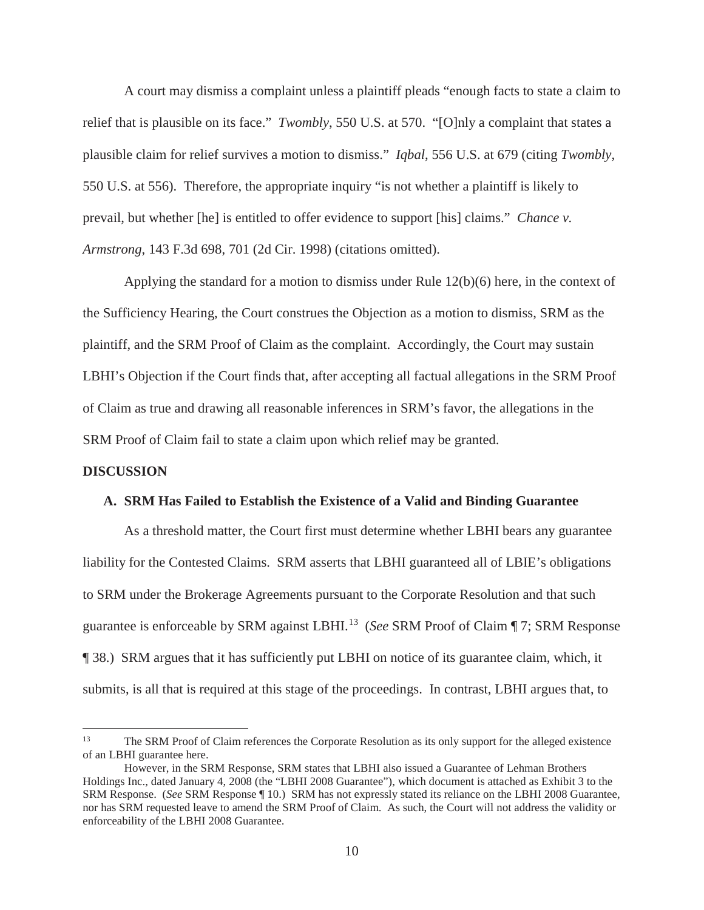A court may dismiss a complaint unless a plaintiff pleads "enough facts to state a claim to relief that is plausible on its face." *Twombly*, 550 U.S. at 570. "[O]nly a complaint that states a plausible claim for relief survives a motion to dismiss." *Iqbal*, 556 U.S. at 679 (citing *Twombly*, 550 U.S. at 556). Therefore, the appropriate inquiry "is not whether a plaintiff is likely to prevail, but whether [he] is entitled to offer evidence to support [his] claims." *Chance v. Armstrong*, 143 F.3d 698, 701 (2d Cir. 1998) (citations omitted).

Applying the standard for a motion to dismiss under Rule 12(b)(6) here, in the context of the Sufficiency Hearing, the Court construes the Objection as a motion to dismiss, SRM as the plaintiff, and the SRM Proof of Claim as the complaint. Accordingly, the Court may sustain LBHI's Objection if the Court finds that, after accepting all factual allegations in the SRM Proof of Claim as true and drawing all reasonable inferences in SRM's favor, the allegations in the SRM Proof of Claim fail to state a claim upon which relief may be granted.

#### **DISCUSSION**

#### **A. SRM Has Failed to Establish the Existence of a Valid and Binding Guarantee**

As a threshold matter, the Court first must determine whether LBHI bears any guarantee liability for the Contested Claims. SRM asserts that LBHI guaranteed all of LBIE's obligations to SRM under the Brokerage Agreements pursuant to the Corporate Resolution and that such guarantee is enforceable by SRM against LBHI.<sup>13</sup> (*See* SRM Proof of Claim ¶ 7; SRM Response ¶ 38.) SRM argues that it has sufficiently put LBHI on notice of its guarantee claim, which, it submits, is all that is required at this stage of the proceedings. In contrast, LBHI argues that, to

<sup>13</sup> The SRM Proof of Claim references the Corporate Resolution as its only support for the alleged existence of an LBHI guarantee here.

However, in the SRM Response, SRM states that LBHI also issued a Guarantee of Lehman Brothers Holdings Inc., dated January 4, 2008 (the "LBHI 2008 Guarantee"), which document is attached as Exhibit 3 to the SRM Response. (*See* SRM Response ¶ 10.) SRM has not expressly stated its reliance on the LBHI 2008 Guarantee, nor has SRM requested leave to amend the SRM Proof of Claim. As such, the Court will not address the validity or enforceability of the LBHI 2008 Guarantee.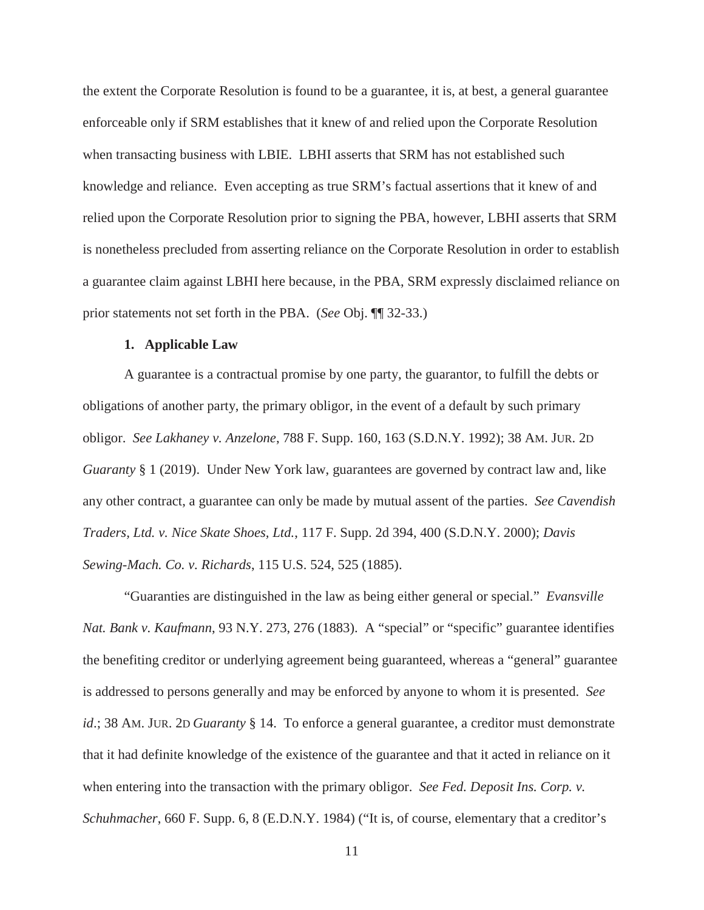the extent the Corporate Resolution is found to be a guarantee, it is, at best, a general guarantee enforceable only if SRM establishes that it knew of and relied upon the Corporate Resolution when transacting business with LBIE. LBHI asserts that SRM has not established such knowledge and reliance. Even accepting as true SRM's factual assertions that it knew of and relied upon the Corporate Resolution prior to signing the PBA, however, LBHI asserts that SRM is nonetheless precluded from asserting reliance on the Corporate Resolution in order to establish a guarantee claim against LBHI here because, in the PBA, SRM expressly disclaimed reliance on prior statements not set forth in the PBA. (*See* Obj. ¶¶ 32-33.)

#### **1. Applicable Law**

A guarantee is a contractual promise by one party, the guarantor, to fulfill the debts or obligations of another party, the primary obligor, in the event of a default by such primary obligor. *See Lakhaney v. Anzelone*, 788 F. Supp. 160, 163 (S.D.N.Y. 1992); 38 AM. JUR. 2D *Guaranty* § 1 (2019). Under New York law, guarantees are governed by contract law and, like any other contract, a guarantee can only be made by mutual assent of the parties. *See Cavendish Traders, Ltd. v. Nice Skate Shoes, Ltd.*, 117 F. Supp. 2d 394, 400 (S.D.N.Y. 2000); *Davis Sewing-Mach. Co. v. Richards*, 115 U.S. 524, 525 (1885).

"Guaranties are distinguished in the law as being either general or special." *Evansville Nat. Bank v. Kaufmann*, 93 N.Y. 273, 276 (1883). A "special" or "specific" guarantee identifies the benefiting creditor or underlying agreement being guaranteed, whereas a "general" guarantee is addressed to persons generally and may be enforced by anyone to whom it is presented. *See id*.; 38 AM. JUR. 2D *Guaranty* § 14. To enforce a general guarantee, a creditor must demonstrate that it had definite knowledge of the existence of the guarantee and that it acted in reliance on it when entering into the transaction with the primary obligor. *See Fed. Deposit Ins. Corp. v. Schuhmacher*, 660 F. Supp. 6, 8 (E.D.N.Y. 1984) ("It is, of course, elementary that a creditor's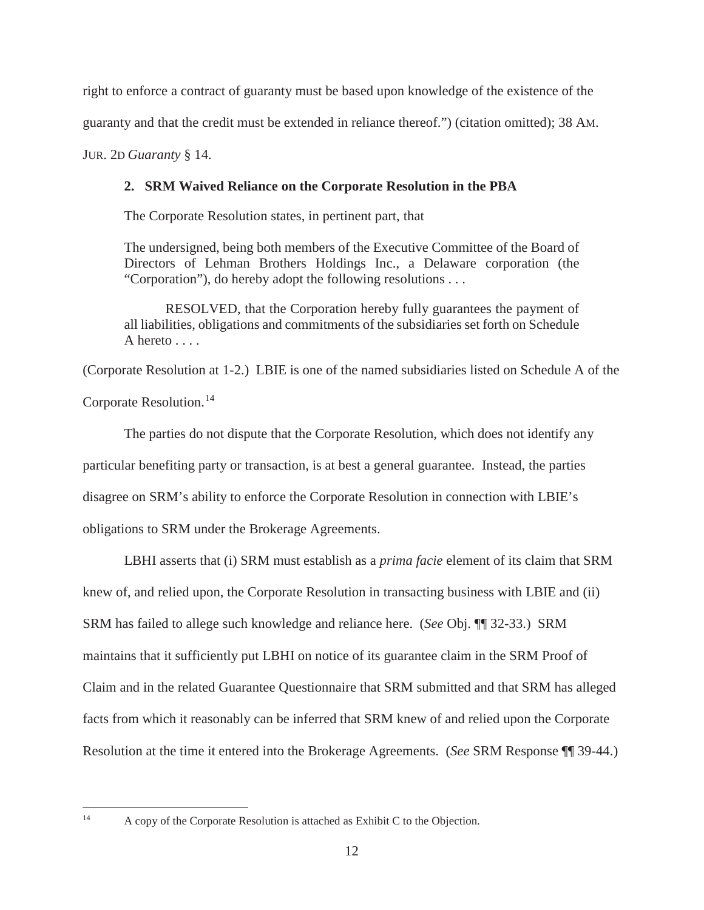right to enforce a contract of guaranty must be based upon knowledge of the existence of the

guaranty and that the credit must be extended in reliance thereof.") (citation omitted); 38 AM.

JUR. 2D *Guaranty* § 14.

## **2. SRM Waived Reliance on the Corporate Resolution in the PBA**

The Corporate Resolution states, in pertinent part, that

The undersigned, being both members of the Executive Committee of the Board of Directors of Lehman Brothers Holdings Inc., a Delaware corporation (the "Corporation"), do hereby adopt the following resolutions . . .

RESOLVED, that the Corporation hereby fully guarantees the payment of all liabilities, obligations and commitments of the subsidiaries set forth on Schedule A hereto . . . .

(Corporate Resolution at 1-2.) LBIE is one of the named subsidiaries listed on Schedule A of the

Corporate Resolution.<sup>14</sup>

The parties do not dispute that the Corporate Resolution, which does not identify any particular benefiting party or transaction, is at best a general guarantee. Instead, the parties disagree on SRM's ability to enforce the Corporate Resolution in connection with LBIE's obligations to SRM under the Brokerage Agreements.

LBHI asserts that (i) SRM must establish as a *prima facie* element of its claim that SRM knew of, and relied upon, the Corporate Resolution in transacting business with LBIE and (ii) SRM has failed to allege such knowledge and reliance here. (*See* Obj. ¶¶ 32-33.) SRM maintains that it sufficiently put LBHI on notice of its guarantee claim in the SRM Proof of Claim and in the related Guarantee Questionnaire that SRM submitted and that SRM has alleged facts from which it reasonably can be inferred that SRM knew of and relied upon the Corporate Resolution at the time it entered into the Brokerage Agreements. (*See* SRM Response ¶¶ 39-44.)

<sup>&</sup>lt;sup>14</sup> A copy of the Corporate Resolution is attached as Exhibit C to the Objection.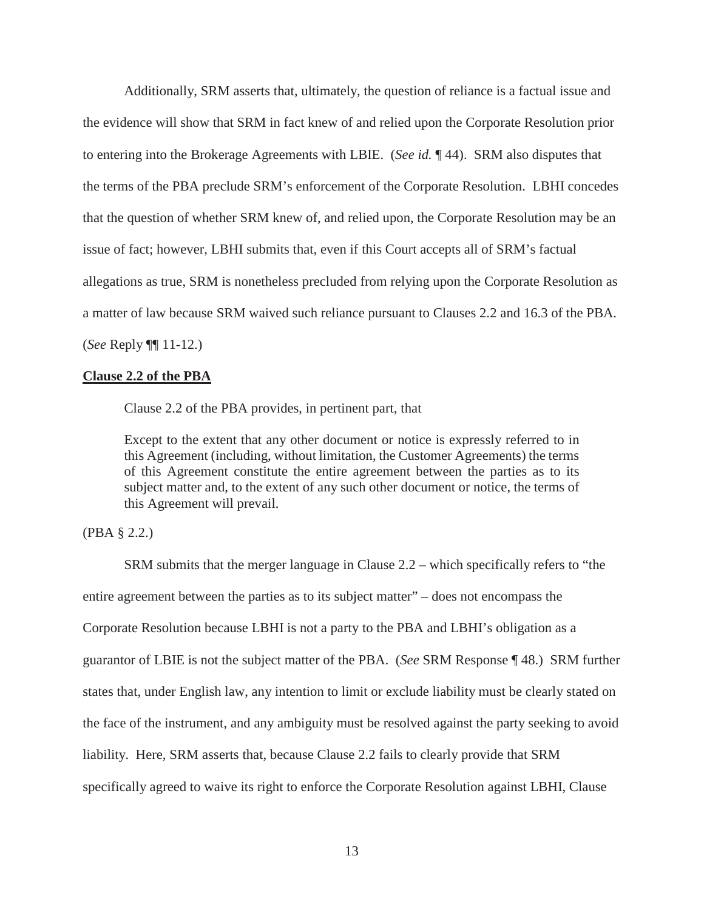Additionally, SRM asserts that, ultimately, the question of reliance is a factual issue and the evidence will show that SRM in fact knew of and relied upon the Corporate Resolution prior to entering into the Brokerage Agreements with LBIE. (*See id.* ¶ 44). SRM also disputes that the terms of the PBA preclude SRM's enforcement of the Corporate Resolution. LBHI concedes that the question of whether SRM knew of, and relied upon, the Corporate Resolution may be an issue of fact; however, LBHI submits that, even if this Court accepts all of SRM's factual allegations as true, SRM is nonetheless precluded from relying upon the Corporate Resolution as a matter of law because SRM waived such reliance pursuant to Clauses 2.2 and 16.3 of the PBA. (*See* Reply ¶¶ 11-12.)

#### **Clause 2.2 of the PBA**

Clause 2.2 of the PBA provides, in pertinent part, that

Except to the extent that any other document or notice is expressly referred to in this Agreement (including, without limitation, the Customer Agreements) the terms of this Agreement constitute the entire agreement between the parties as to its subject matter and, to the extent of any such other document or notice, the terms of this Agreement will prevail.

## (PBA § 2.2.)

SRM submits that the merger language in Clause 2.2 – which specifically refers to "the entire agreement between the parties as to its subject matter" – does not encompass the Corporate Resolution because LBHI is not a party to the PBA and LBHI's obligation as a guarantor of LBIE is not the subject matter of the PBA. (*See* SRM Response ¶ 48.) SRM further states that, under English law, any intention to limit or exclude liability must be clearly stated on the face of the instrument, and any ambiguity must be resolved against the party seeking to avoid liability. Here, SRM asserts that, because Clause 2.2 fails to clearly provide that SRM specifically agreed to waive its right to enforce the Corporate Resolution against LBHI, Clause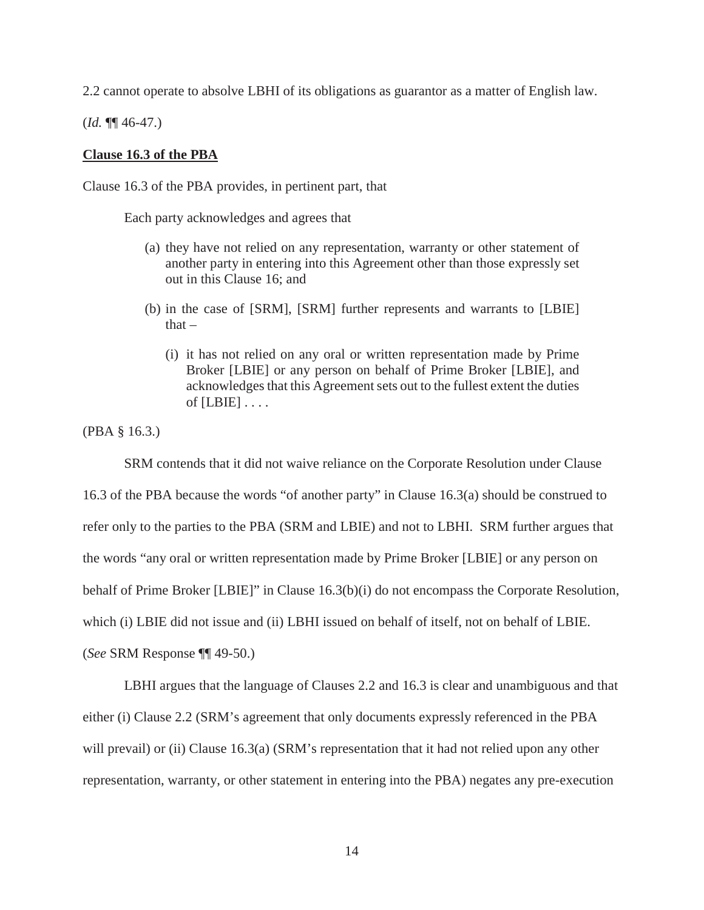2.2 cannot operate to absolve LBHI of its obligations as guarantor as a matter of English law.

(*Id.* ¶¶ 46-47.)

#### **Clause 16.3 of the PBA**

Clause 16.3 of the PBA provides, in pertinent part, that

Each party acknowledges and agrees that

- (a) they have not relied on any representation, warranty or other statement of another party in entering into this Agreement other than those expressly set out in this Clause 16; and
- (b) in the case of [SRM], [SRM] further represents and warrants to [LBIE] that –
	- (i) it has not relied on any oral or written representation made by Prime Broker [LBIE] or any person on behalf of Prime Broker [LBIE], and acknowledges that this Agreement sets out to the fullest extent the duties of  $[LBIE] \ldots$ .

(PBA § 16.3.)

SRM contends that it did not waive reliance on the Corporate Resolution under Clause 16.3 of the PBA because the words "of another party" in Clause 16.3(a) should be construed to refer only to the parties to the PBA (SRM and LBIE) and not to LBHI. SRM further argues that the words "any oral or written representation made by Prime Broker [LBIE] or any person on behalf of Prime Broker [LBIE]" in Clause 16.3(b)(i) do not encompass the Corporate Resolution, which (i) LBIE did not issue and (ii) LBHI issued on behalf of itself, not on behalf of LBIE. (*See* SRM Response ¶¶ 49-50.)

LBHI argues that the language of Clauses 2.2 and 16.3 is clear and unambiguous and that either (i) Clause 2.2 (SRM's agreement that only documents expressly referenced in the PBA will prevail) or (ii) Clause 16.3(a) (SRM's representation that it had not relied upon any other representation, warranty, or other statement in entering into the PBA) negates any pre-execution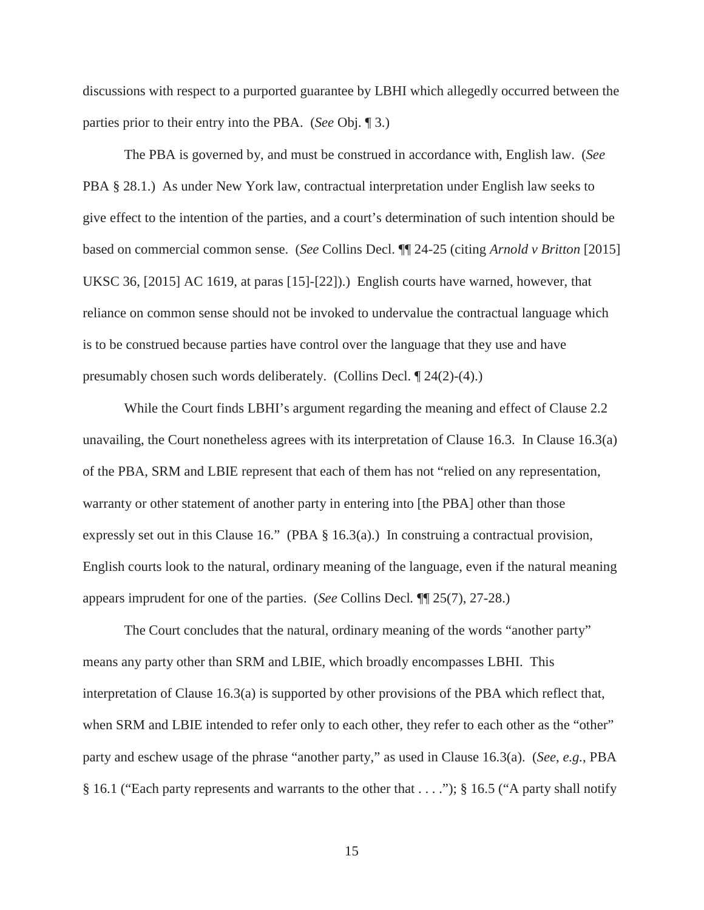discussions with respect to a purported guarantee by LBHI which allegedly occurred between the parties prior to their entry into the PBA. (*See* Obj. ¶ 3.)

The PBA is governed by, and must be construed in accordance with, English law. (*See*  PBA § 28.1.) As under New York law, contractual interpretation under English law seeks to give effect to the intention of the parties, and a court's determination of such intention should be based on commercial common sense. (*See* Collins Decl. ¶¶ 24-25 (citing *Arnold v Britton* [2015] UKSC 36, [2015] AC 1619, at paras [15]-[22]).) English courts have warned, however, that reliance on common sense should not be invoked to undervalue the contractual language which is to be construed because parties have control over the language that they use and have presumably chosen such words deliberately. (Collins Decl. ¶ 24(2)-(4).)

While the Court finds LBHI's argument regarding the meaning and effect of Clause 2.2 unavailing, the Court nonetheless agrees with its interpretation of Clause 16.3. In Clause 16.3(a) of the PBA, SRM and LBIE represent that each of them has not "relied on any representation, warranty or other statement of another party in entering into [the PBA] other than those expressly set out in this Clause 16." (PBA § 16.3(a).) In construing a contractual provision, English courts look to the natural, ordinary meaning of the language, even if the natural meaning appears imprudent for one of the parties. (*See* Collins Decl*.* ¶¶ 25(7), 27-28.)

The Court concludes that the natural, ordinary meaning of the words "another party" means any party other than SRM and LBIE, which broadly encompasses LBHI. This interpretation of Clause 16.3(a) is supported by other provisions of the PBA which reflect that, when SRM and LBIE intended to refer only to each other, they refer to each other as the "other" party and eschew usage of the phrase "another party," as used in Clause 16.3(a). (*See*, *e.g.*, PBA § 16.1 ("Each party represents and warrants to the other that . . . ."); § 16.5 ("A party shall notify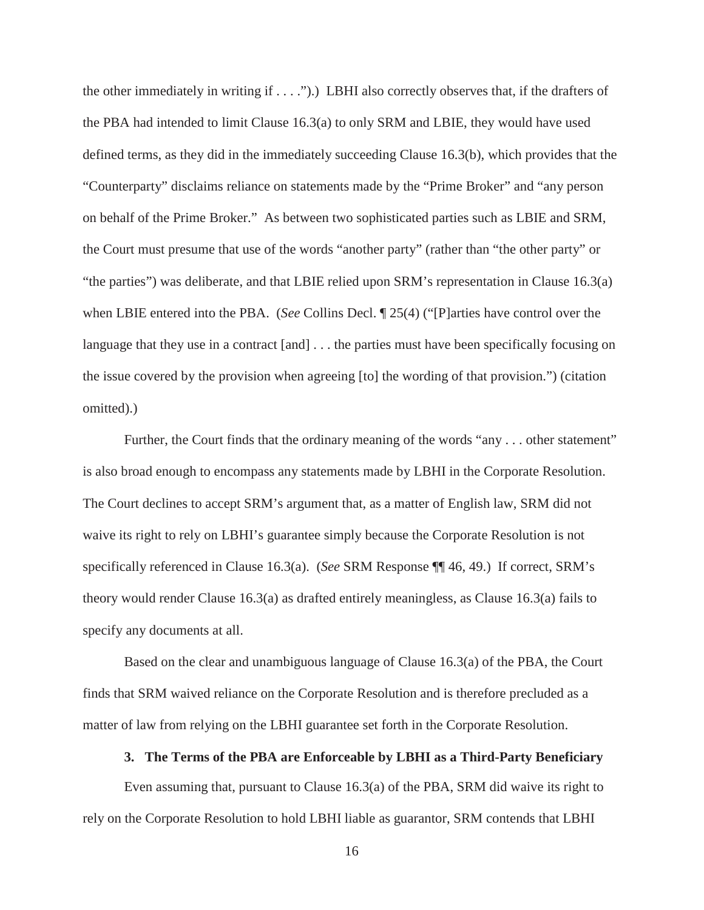the other immediately in writing if . . . .").) LBHI also correctly observes that, if the drafters of the PBA had intended to limit Clause 16.3(a) to only SRM and LBIE, they would have used defined terms, as they did in the immediately succeeding Clause 16.3(b), which provides that the "Counterparty" disclaims reliance on statements made by the "Prime Broker" and "any person on behalf of the Prime Broker." As between two sophisticated parties such as LBIE and SRM, the Court must presume that use of the words "another party" (rather than "the other party" or "the parties") was deliberate, and that LBIE relied upon SRM's representation in Clause 16.3(a) when LBIE entered into the PBA. (*See* Collins Decl. ¶ 25(4) ("[P]arties have control over the language that they use in a contract [and]  $\dots$  the parties must have been specifically focusing on the issue covered by the provision when agreeing [to] the wording of that provision.") (citation omitted).)

Further, the Court finds that the ordinary meaning of the words "any . . . other statement" is also broad enough to encompass any statements made by LBHI in the Corporate Resolution. The Court declines to accept SRM's argument that, as a matter of English law, SRM did not waive its right to rely on LBHI's guarantee simply because the Corporate Resolution is not specifically referenced in Clause 16.3(a). (*See* SRM Response ¶¶ 46, 49.) If correct, SRM's theory would render Clause 16.3(a) as drafted entirely meaningless, as Clause 16.3(a) fails to specify any documents at all.

Based on the clear and unambiguous language of Clause 16.3(a) of the PBA, the Court finds that SRM waived reliance on the Corporate Resolution and is therefore precluded as a matter of law from relying on the LBHI guarantee set forth in the Corporate Resolution.

#### **3. The Terms of the PBA are Enforceable by LBHI as a Third-Party Beneficiary**

Even assuming that, pursuant to Clause 16.3(a) of the PBA, SRM did waive its right to rely on the Corporate Resolution to hold LBHI liable as guarantor, SRM contends that LBHI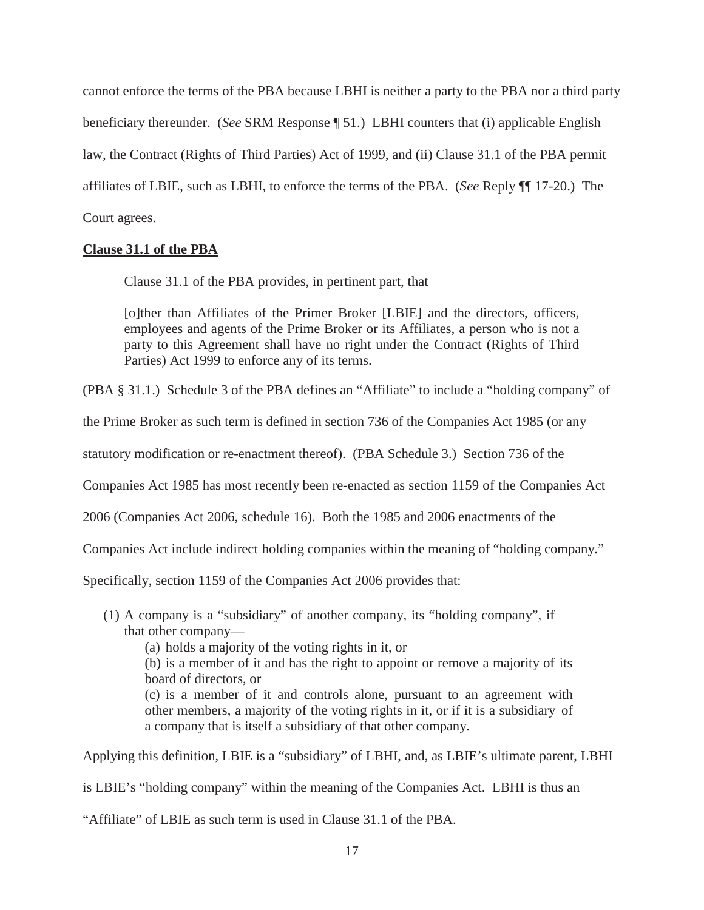cannot enforce the terms of the PBA because LBHI is neither a party to the PBA nor a third party beneficiary thereunder. (*See* SRM Response ¶ 51.) LBHI counters that (i) applicable English law, the Contract (Rights of Third Parties) Act of 1999, and (ii) Clause 31.1 of the PBA permit affiliates of LBIE, such as LBHI, to enforce the terms of the PBA. (*See* Reply ¶¶ 17-20.) The Court agrees.

## **Clause 31.1 of the PBA**

Clause 31.1 of the PBA provides, in pertinent part, that

[o]ther than Affiliates of the Primer Broker [LBIE] and the directors, officers, employees and agents of the Prime Broker or its Affiliates, a person who is not a party to this Agreement shall have no right under the Contract (Rights of Third Parties) Act 1999 to enforce any of its terms.

(PBA § 31.1.) Schedule 3 of the PBA defines an "Affiliate" to include a "holding company" of

the Prime Broker as such term is defined in section 736 of the Companies Act 1985 (or any

statutory modification or re-enactment thereof). (PBA Schedule 3.) Section 736 of the

Companies Act 1985 has most recently been re-enacted as section 1159 of the Companies Act

2006 (Companies Act 2006, schedule 16). Both the 1985 and 2006 enactments of the

Companies Act include indirect holding companies within the meaning of "holding company."

Specifically, section 1159 of the Companies Act 2006 provides that:

(1) A company is a "subsidiary" of another company, its "holding company", if that other company—

(a) holds a majority of the voting rights in it, or

(b) is a member of it and has the right to appoint or remove a majority of its board of directors, or

(c) is a member of it and controls alone, pursuant to an agreement with other members, a majority of the voting rights in it, or if it is a subsidiary of a company that is itself a subsidiary of that other company.

Applying this definition, LBIE is a "subsidiary" of LBHI, and, as LBIE's ultimate parent, LBHI is LBIE's "holding company" within the meaning of the Companies Act. LBHI is thus an

"Affiliate" of LBIE as such term is used in Clause 31.1 of the PBA.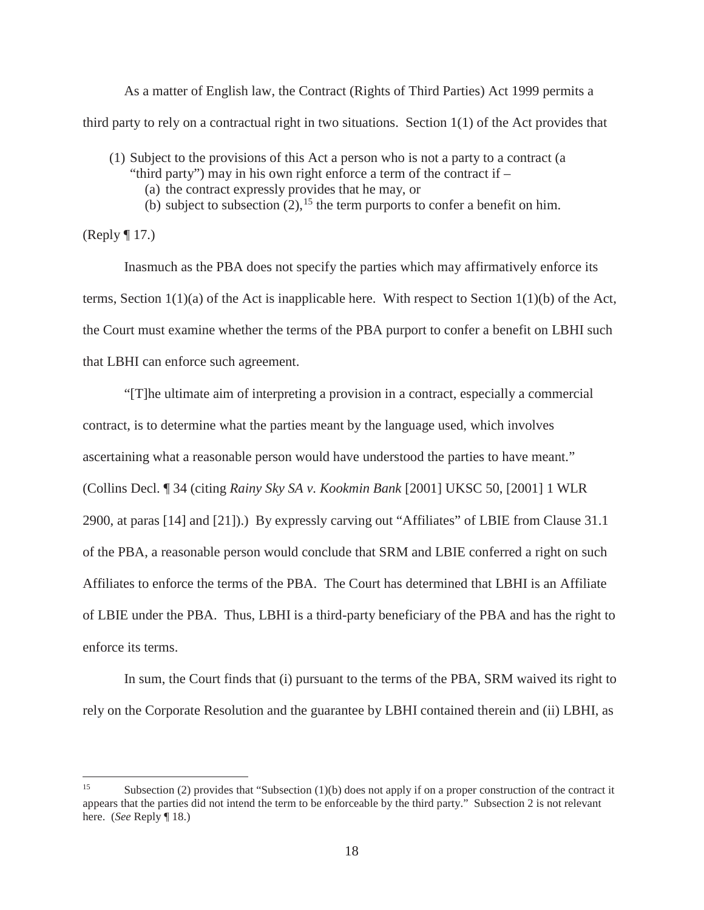As a matter of English law, the Contract (Rights of Third Parties) Act 1999 permits a third party to rely on a contractual right in two situations. Section 1(1) of the Act provides that

- (1) Subject to the provisions of this Act a person who is not a party to a contract (a "third party") may in his own right enforce a term of the contract if –
	- (a) the contract expressly provides that he may, or
	- (b) subject to subsection  $(2)$ , <sup>15</sup> the term purports to confer a benefit on him.

(Reply ¶ 17.)

Inasmuch as the PBA does not specify the parties which may affirmatively enforce its terms, Section  $1(1)(a)$  of the Act is inapplicable here. With respect to Section  $1(1)(b)$  of the Act, the Court must examine whether the terms of the PBA purport to confer a benefit on LBHI such that LBHI can enforce such agreement.

"[T]he ultimate aim of interpreting a provision in a contract, especially a commercial contract, is to determine what the parties meant by the language used, which involves ascertaining what a reasonable person would have understood the parties to have meant." (Collins Decl. ¶ 34 (citing *Rainy Sky SA v. Kookmin Bank* [2001] UKSC 50, [2001] 1 WLR 2900, at paras [14] and [21]).) By expressly carving out "Affiliates" of LBIE from Clause 31.1 of the PBA, a reasonable person would conclude that SRM and LBIE conferred a right on such Affiliates to enforce the terms of the PBA. The Court has determined that LBHI is an Affiliate of LBIE under the PBA. Thus, LBHI is a third-party beneficiary of the PBA and has the right to enforce its terms.

In sum, the Court finds that (i) pursuant to the terms of the PBA, SRM waived its right to rely on the Corporate Resolution and the guarantee by LBHI contained therein and (ii) LBHI, as

<sup>&</sup>lt;sup>15</sup> Subsection (2) provides that "Subsection (1)(b) does not apply if on a proper construction of the contract it appears that the parties did not intend the term to be enforceable by the third party." Subsection 2 is not relevant here. (*See* Reply ¶ 18.)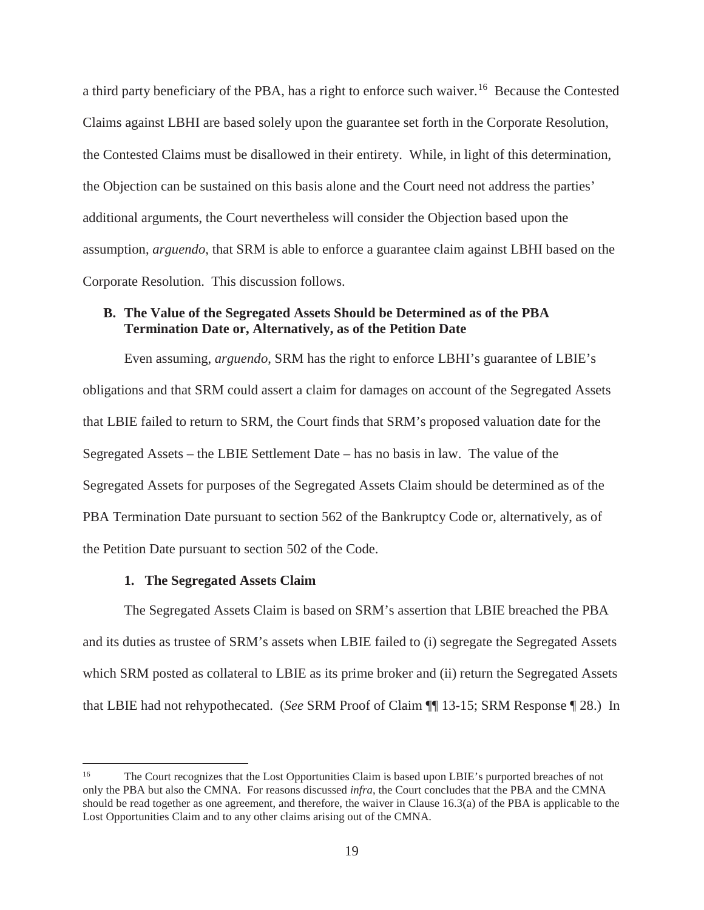a third party beneficiary of the PBA, has a right to enforce such waiver.<sup>16</sup> Because the Contested Claims against LBHI are based solely upon the guarantee set forth in the Corporate Resolution, the Contested Claims must be disallowed in their entirety. While, in light of this determination, the Objection can be sustained on this basis alone and the Court need not address the parties' additional arguments, the Court nevertheless will consider the Objection based upon the assumption, *arguendo*, that SRM is able to enforce a guarantee claim against LBHI based on the Corporate Resolution. This discussion follows.

## **B. The Value of the Segregated Assets Should be Determined as of the PBA Termination Date or, Alternatively, as of the Petition Date**

Even assuming, *arguendo*, SRM has the right to enforce LBHI's guarantee of LBIE's obligations and that SRM could assert a claim for damages on account of the Segregated Assets that LBIE failed to return to SRM, the Court finds that SRM's proposed valuation date for the Segregated Assets – the LBIE Settlement Date – has no basis in law. The value of the Segregated Assets for purposes of the Segregated Assets Claim should be determined as of the PBA Termination Date pursuant to section 562 of the Bankruptcy Code or, alternatively, as of the Petition Date pursuant to section 502 of the Code.

#### **1. The Segregated Assets Claim**

The Segregated Assets Claim is based on SRM's assertion that LBIE breached the PBA and its duties as trustee of SRM's assets when LBIE failed to (i) segregate the Segregated Assets which SRM posted as collateral to LBIE as its prime broker and (ii) return the Segregated Assets that LBIE had not rehypothecated. (*See* SRM Proof of Claim ¶¶ 13-15; SRM Response ¶ 28.) In

<sup>16</sup> The Court recognizes that the Lost Opportunities Claim is based upon LBIE's purported breaches of not only the PBA but also the CMNA. For reasons discussed *infra*, the Court concludes that the PBA and the CMNA should be read together as one agreement, and therefore, the waiver in Clause 16.3(a) of the PBA is applicable to the Lost Opportunities Claim and to any other claims arising out of the CMNA.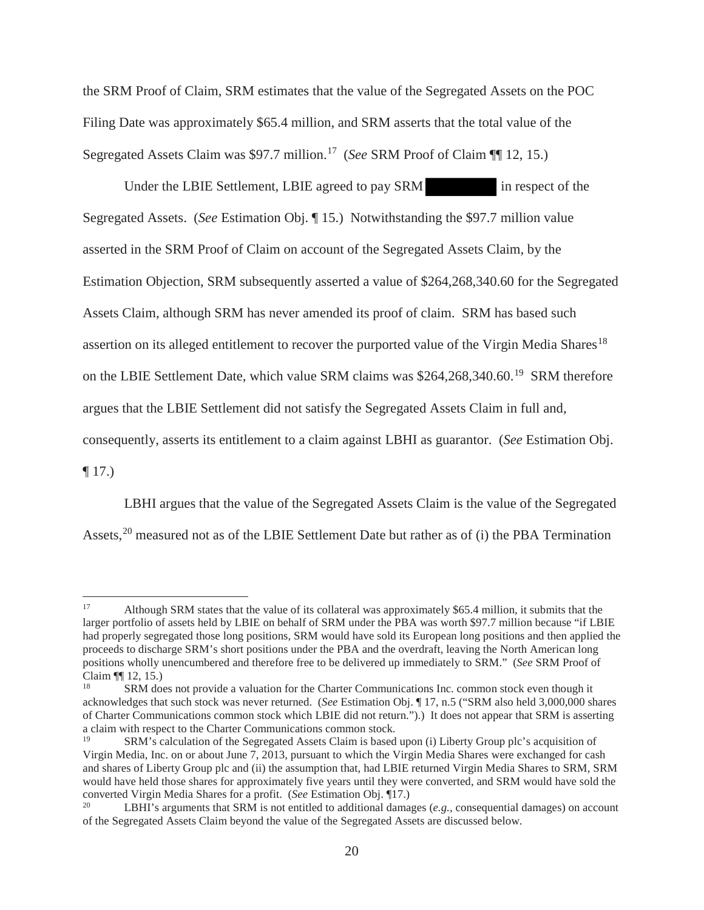the SRM Proof of Claim, SRM estimates that the value of the Segregated Assets on the POC Filing Date was approximately \$65.4 million, and SRM asserts that the total value of the Segregated Assets Claim was \$97.7 million.<sup>17</sup> (*See* SRM Proof of Claim ¶¶ 12, 15.)

Under the LBIE Settlement, LBIE agreed to pay SRM in respect of the Segregated Assets. (*See* Estimation Obj. ¶ 15.) Notwithstanding the \$97.7 million value asserted in the SRM Proof of Claim on account of the Segregated Assets Claim, by the Estimation Objection, SRM subsequently asserted a value of \$264,268,340.60 for the Segregated Assets Claim, although SRM has never amended its proof of claim. SRM has based such assertion on its alleged entitlement to recover the purported value of the Virgin Media Shares<sup>18</sup> on the LBIE Settlement Date, which value SRM claims was \$264,268,340.60.<sup>19</sup> SRM therefore argues that the LBIE Settlement did not satisfy the Segregated Assets Claim in full and, consequently, asserts its entitlement to a claim against LBHI as guarantor. (*See* Estimation Obj.  $\P$  17.)

LBHI argues that the value of the Segregated Assets Claim is the value of the Segregated Assets,<sup>20</sup> measured not as of the LBIE Settlement Date but rather as of (i) the PBA Termination

<sup>&</sup>lt;sup>17</sup> Although SRM states that the value of its collateral was approximately \$65.4 million, it submits that the larger portfolio of assets held by LBIE on behalf of SRM under the PBA was worth \$97.7 million because "if LBIE had properly segregated those long positions, SRM would have sold its European long positions and then applied the proceeds to discharge SRM's short positions under the PBA and the overdraft, leaving the North American long positions wholly unencumbered and therefore free to be delivered up immediately to SRM." (*See* SRM Proof of Claim ¶¶ 12, 15.)

SRM does not provide a valuation for the Charter Communications Inc. common stock even though it acknowledges that such stock was never returned. (*See* Estimation Obj. ¶ 17, n.5 ("SRM also held 3,000,000 shares of Charter Communications common stock which LBIE did not return.").) It does not appear that SRM is asserting a claim with respect to the Charter Communications common stock.

<sup>19</sup> SRM's calculation of the Segregated Assets Claim is based upon (i) Liberty Group plc's acquisition of Virgin Media, Inc. on or about June 7, 2013, pursuant to which the Virgin Media Shares were exchanged for cash and shares of Liberty Group plc and (ii) the assumption that, had LBIE returned Virgin Media Shares to SRM, SRM would have held those shares for approximately five years until they were converted, and SRM would have sold the converted Virgin Media Shares for a profit. (*See* Estimation Obj. ¶17.) 20 LBHI's arguments that SRM is not entitled to additional damages (*e.g.*, consequential damages) on account

of the Segregated Assets Claim beyond the value of the Segregated Assets are discussed below.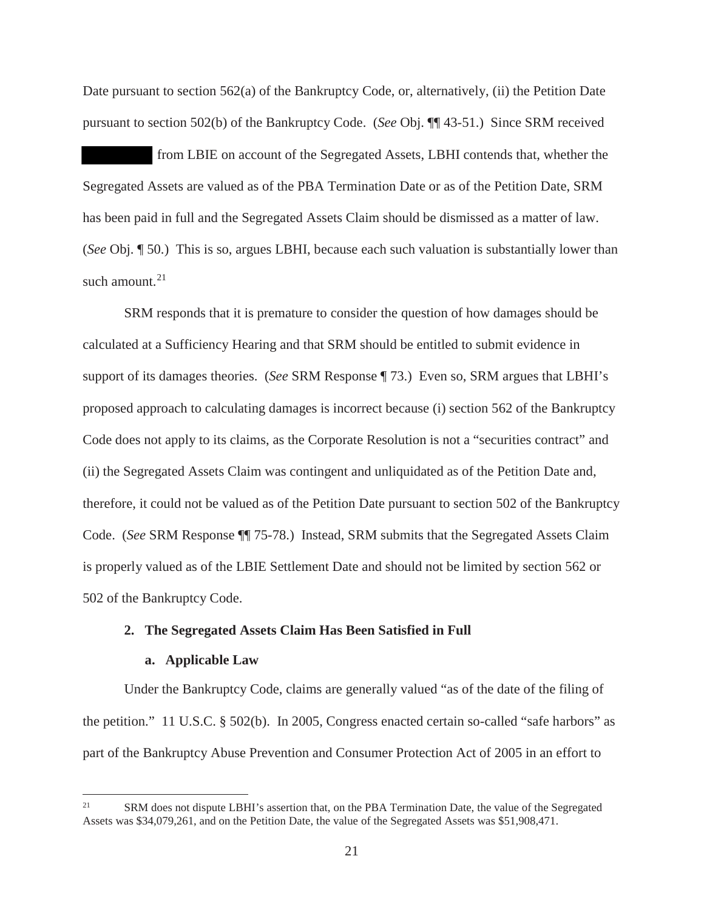Date pursuant to section 562(a) of the Bankruptcy Code, or, alternatively, (ii) the Petition Date pursuant to section 502(b) of the Bankruptcy Code. (*See* Obj. ¶¶ 43-51.) Since SRM received

from LBIE on account of the Segregated Assets, LBHI contends that, whether the Segregated Assets are valued as of the PBA Termination Date or as of the Petition Date, SRM has been paid in full and the Segregated Assets Claim should be dismissed as a matter of law. (*See* Obj. ¶ 50.) This is so, argues LBHI, because each such valuation is substantially lower than such amount. $21$ 

SRM responds that it is premature to consider the question of how damages should be calculated at a Sufficiency Hearing and that SRM should be entitled to submit evidence in support of its damages theories. (*See* SRM Response ¶ 73.) Even so, SRM argues that LBHI's proposed approach to calculating damages is incorrect because (i) section 562 of the Bankruptcy Code does not apply to its claims, as the Corporate Resolution is not a "securities contract" and (ii) the Segregated Assets Claim was contingent and unliquidated as of the Petition Date and, therefore, it could not be valued as of the Petition Date pursuant to section 502 of the Bankruptcy Code. (*See* SRM Response ¶¶ 75-78.) Instead, SRM submits that the Segregated Assets Claim is properly valued as of the LBIE Settlement Date and should not be limited by section 562 or 502 of the Bankruptcy Code.

## **2. The Segregated Assets Claim Has Been Satisfied in Full**

#### **a. Applicable Law**

Under the Bankruptcy Code, claims are generally valued "as of the date of the filing of the petition." 11 U.S.C. § 502(b). In 2005, Congress enacted certain so-called "safe harbors" as part of the Bankruptcy Abuse Prevention and Consumer Protection Act of 2005 in an effort to

<sup>&</sup>lt;sup>21</sup> SRM does not dispute LBHI's assertion that, on the PBA Termination Date, the value of the Segregated Assets was \$34,079,261, and on the Petition Date, the value of the Segregated Assets was \$51,908,471.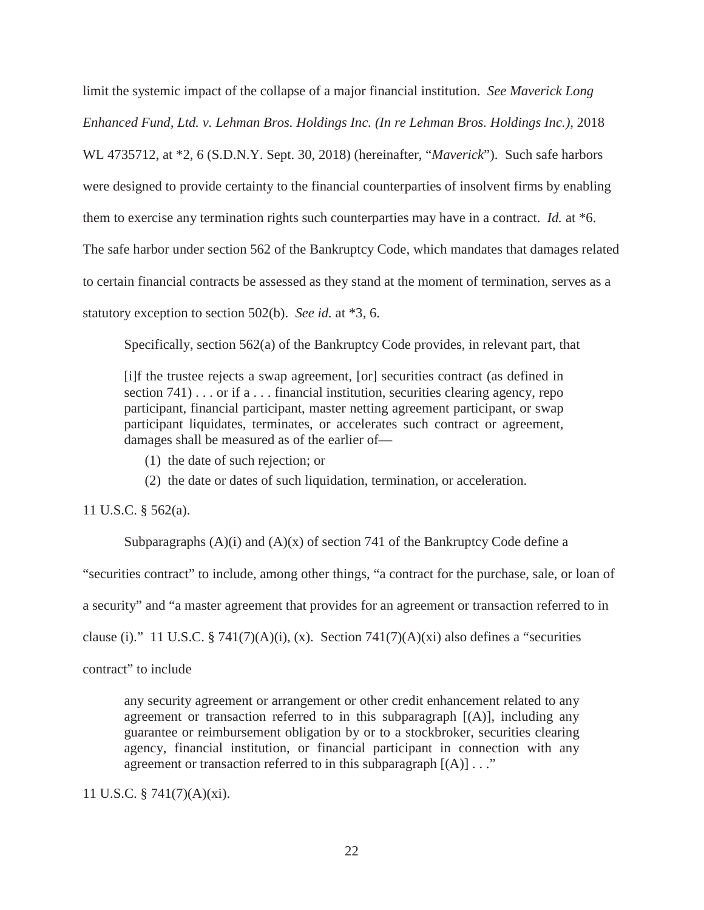limit the systemic impact of the collapse of a major financial institution. *See Maverick Long Enhanced Fund, Ltd. v. Lehman Bros. Holdings Inc. (In re Lehman Bros. Holdings Inc.)*, 2018 WL 4735712, at \*2, 6 (S.D.N.Y. Sept. 30, 2018) (hereinafter, "*Maverick*"). Such safe harbors were designed to provide certainty to the financial counterparties of insolvent firms by enabling them to exercise any termination rights such counterparties may have in a contract. *Id.* at \*6. The safe harbor under section 562 of the Bankruptcy Code, which mandates that damages related to certain financial contracts be assessed as they stand at the moment of termination, serves as a statutory exception to section 502(b). *See id.* at \*3, 6.

Specifically, section 562(a) of the Bankruptcy Code provides, in relevant part, that

[i]f the trustee rejects a swap agreement, [or] securities contract (as defined in section  $741) \ldots$  or if a  $\ldots$  financial institution, securities clearing agency, repo participant, financial participant, master netting agreement participant, or swap participant liquidates, terminates, or accelerates such contract or agreement, damages shall be measured as of the earlier of—

- (1) the date of such rejection; or
- (2) the date or dates of such liquidation, termination, or acceleration.

11 U.S.C. § 562(a).

Subparagraphs  $(A)(i)$  and  $(A)(x)$  of section 741 of the Bankruptcy Code define a "securities contract" to include, among other things, "a contract for the purchase, sale, or loan of a security" and "a master agreement that provides for an agreement or transaction referred to in clause (i)." 11 U.S.C. § 741(7)(A)(i), (x). Section 741(7)(A)(xi) also defines a "securities contract" to include

any security agreement or arrangement or other credit enhancement related to any agreement or transaction referred to in this subparagraph  $[(A)]$ , including any guarantee or reimbursement obligation by or to a stockbroker, securities clearing agency, financial institution, or financial participant in connection with any agreement or transaction referred to in this subparagraph  $[(A)] \dots$ "

11 U.S.C. § 741(7)(A)(xi).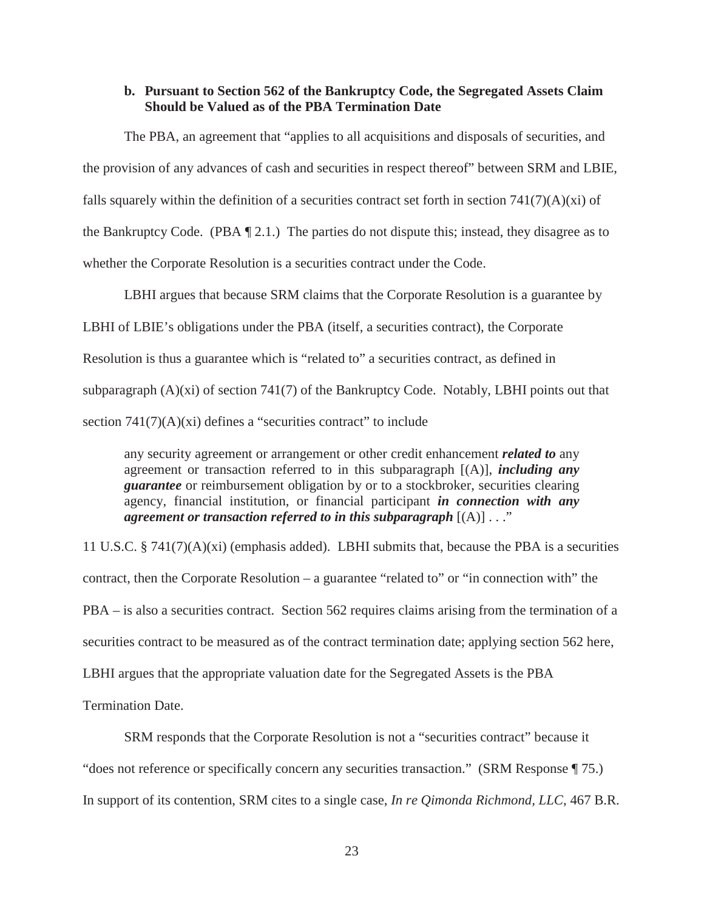## **b. Pursuant to Section 562 of the Bankruptcy Code, the Segregated Assets Claim Should be Valued as of the PBA Termination Date**

The PBA, an agreement that "applies to all acquisitions and disposals of securities, and the provision of any advances of cash and securities in respect thereof" between SRM and LBIE, falls squarely within the definition of a securities contract set forth in section  $741(7)(A)(x)$  of the Bankruptcy Code. (PBA ¶ 2.1.) The parties do not dispute this; instead, they disagree as to whether the Corporate Resolution is a securities contract under the Code.

LBHI argues that because SRM claims that the Corporate Resolution is a guarantee by LBHI of LBIE's obligations under the PBA (itself, a securities contract), the Corporate Resolution is thus a guarantee which is "related to" a securities contract, as defined in subparagraph (A)(xi) of section 741(7) of the Bankruptcy Code. Notably, LBHI points out that section  $741(7)(A)(xi)$  defines a "securities contract" to include

any security agreement or arrangement or other credit enhancement *related to* any agreement or transaction referred to in this subparagraph [(A)], *including any guarantee* or reimbursement obligation by or to a stockbroker, securities clearing agency, financial institution, or financial participant *in connection with any agreement or transaction referred to in this subparagraph* [(A)] . . ."

11 U.S.C. § 741(7)(A)(xi) (emphasis added). LBHI submits that, because the PBA is a securities contract, then the Corporate Resolution – a guarantee "related to" or "in connection with" the PBA – is also a securities contract. Section 562 requires claims arising from the termination of a securities contract to be measured as of the contract termination date; applying section 562 here, LBHI argues that the appropriate valuation date for the Segregated Assets is the PBA

Termination Date.

SRM responds that the Corporate Resolution is not a "securities contract" because it "does not reference or specifically concern any securities transaction." (SRM Response ¶ 75.) In support of its contention, SRM cites to a single case, *In re Qimonda Richmond, LLC*, 467 B.R.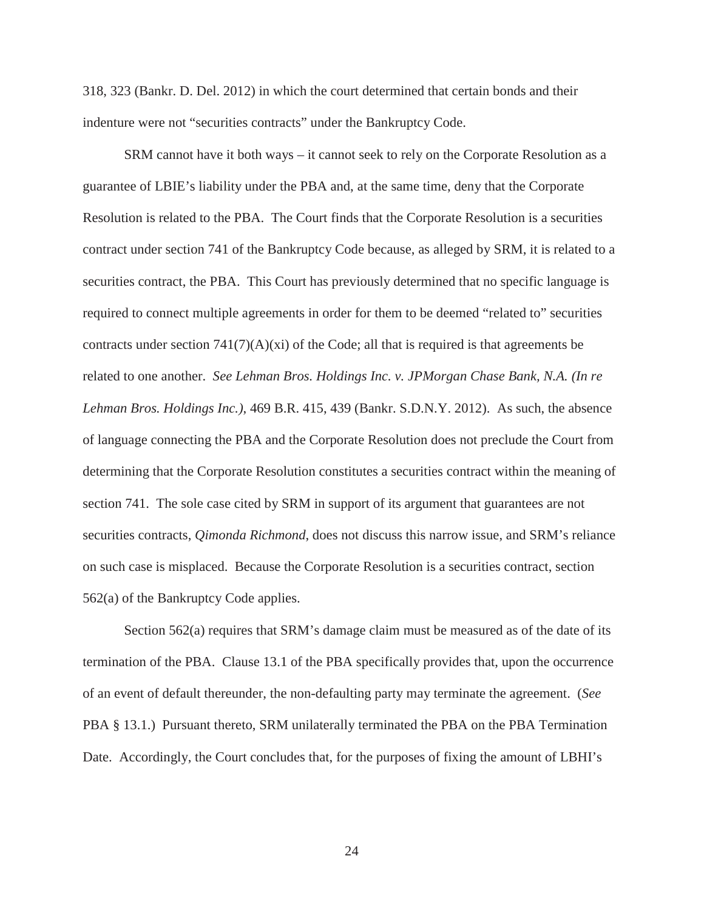318, 323 (Bankr. D. Del. 2012) in which the court determined that certain bonds and their indenture were not "securities contracts" under the Bankruptcy Code.

SRM cannot have it both ways – it cannot seek to rely on the Corporate Resolution as a guarantee of LBIE's liability under the PBA and, at the same time, deny that the Corporate Resolution is related to the PBA. The Court finds that the Corporate Resolution is a securities contract under section 741 of the Bankruptcy Code because, as alleged by SRM, it is related to a securities contract, the PBA. This Court has previously determined that no specific language is required to connect multiple agreements in order for them to be deemed "related to" securities contracts under section  $741(7)(A)(x)$  of the Code; all that is required is that agreements be related to one another. *See Lehman Bros. Holdings Inc. v. JPMorgan Chase Bank, N.A. (In re Lehman Bros. Holdings Inc.)*, 469 B.R. 415, 439 (Bankr. S.D.N.Y. 2012). As such, the absence of language connecting the PBA and the Corporate Resolution does not preclude the Court from determining that the Corporate Resolution constitutes a securities contract within the meaning of section 741. The sole case cited by SRM in support of its argument that guarantees are not securities contracts, *Qimonda Richmond*, does not discuss this narrow issue, and SRM's reliance on such case is misplaced. Because the Corporate Resolution is a securities contract, section 562(a) of the Bankruptcy Code applies.

Section 562(a) requires that SRM's damage claim must be measured as of the date of its termination of the PBA. Clause 13.1 of the PBA specifically provides that, upon the occurrence of an event of default thereunder, the non-defaulting party may terminate the agreement. (*See*  PBA § 13.1.) Pursuant thereto, SRM unilaterally terminated the PBA on the PBA Termination Date. Accordingly, the Court concludes that, for the purposes of fixing the amount of LBHI's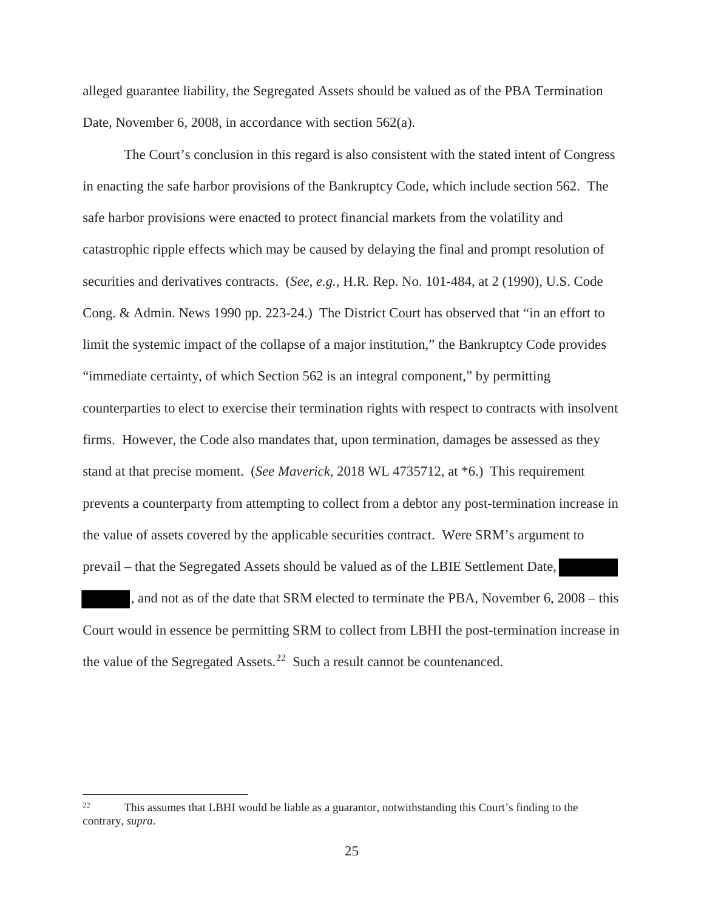alleged guarantee liability, the Segregated Assets should be valued as of the PBA Termination Date, November 6, 2008, in accordance with section 562(a).

The Court's conclusion in this regard is also consistent with the stated intent of Congress in enacting the safe harbor provisions of the Bankruptcy Code, which include section 562. The safe harbor provisions were enacted to protect financial markets from the volatility and catastrophic ripple effects which may be caused by delaying the final and prompt resolution of securities and derivatives contracts. (*See*, *e.g.*, H.R. Rep. No. 101-484, at 2 (1990), U.S. Code Cong. & Admin. News 1990 pp. 223-24.) The District Court has observed that "in an effort to limit the systemic impact of the collapse of a major institution," the Bankruptcy Code provides "immediate certainty, of which Section 562 is an integral component," by permitting counterparties to elect to exercise their termination rights with respect to contracts with insolvent firms. However, the Code also mandates that, upon termination, damages be assessed as they stand at that precise moment. (*See Maverick*, 2018 WL 4735712, at \*6.) This requirement prevents a counterparty from attempting to collect from a debtor any post-termination increase in the value of assets covered by the applicable securities contract. Were SRM's argument to prevail – that the Segregated Assets should be valued as of the LBIE Settlement Date,

and not as of the date that SRM elected to terminate the PBA, November 6, 2008 – this Court would in essence be permitting SRM to collect from LBHI the post-termination increase in the value of the Segregated Assets.<sup>22</sup> Such a result cannot be countenanced.

<sup>&</sup>lt;sup>22</sup> This assumes that LBHI would be liable as a guarantor, notwithstanding this Court's finding to the contrary, *supra*.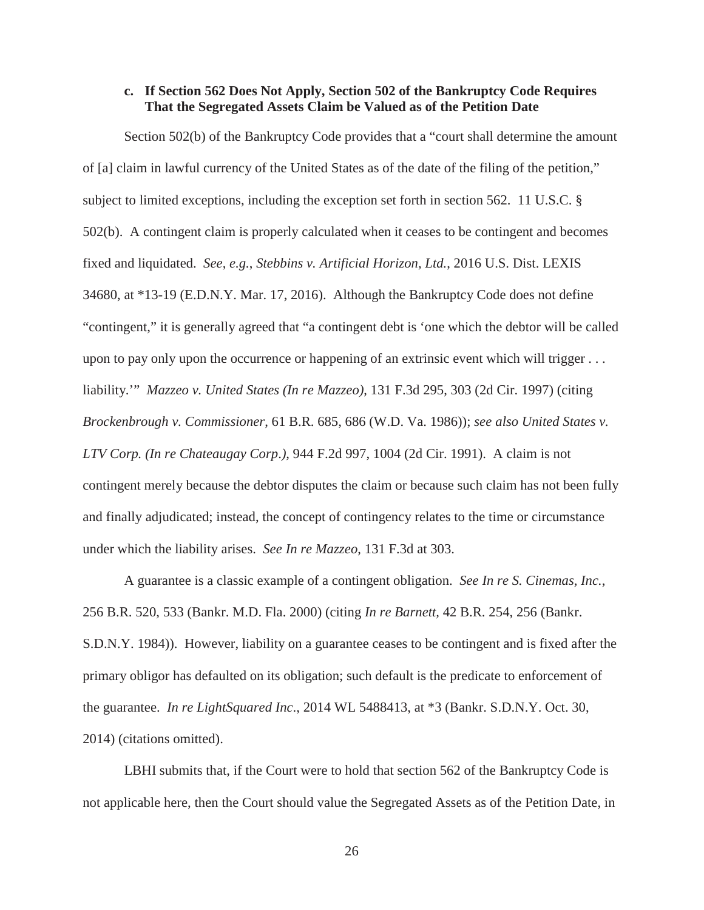## **c. If Section 562 Does Not Apply, Section 502 of the Bankruptcy Code Requires That the Segregated Assets Claim be Valued as of the Petition Date**

Section 502(b) of the Bankruptcy Code provides that a "court shall determine the amount of [a] claim in lawful currency of the United States as of the date of the filing of the petition," subject to limited exceptions, including the exception set forth in section 562. 11 U.S.C. § 502(b). A contingent claim is properly calculated when it ceases to be contingent and becomes fixed and liquidated. *See*, *e.g.*, *Stebbins v. Artificial Horizon, Ltd.*, 2016 U.S. Dist. LEXIS 34680, at \*13-19 (E.D.N.Y. Mar. 17, 2016). Although the Bankruptcy Code does not define "contingent," it is generally agreed that "a contingent debt is 'one which the debtor will be called upon to pay only upon the occurrence or happening of an extrinsic event which will trigger . . . liability.'" *Mazzeo v. United States (In re Mazzeo)*, 131 F.3d 295, 303 (2d Cir. 1997) (citing *Brockenbrough v. Commissioner*, 61 B.R. 685, 686 (W.D. Va. 1986)); *see also United States v. LTV Corp. (In re Chateaugay Corp*.*)*, 944 F.2d 997, 1004 (2d Cir. 1991). A claim is not contingent merely because the debtor disputes the claim or because such claim has not been fully and finally adjudicated; instead, the concept of contingency relates to the time or circumstance under which the liability arises. *See In re Mazzeo*, 131 F.3d at 303.

A guarantee is a classic example of a contingent obligation. *See In re S. Cinemas, Inc.*, 256 B.R. 520, 533 (Bankr. M.D. Fla. 2000) (citing *In re Barnett,* 42 B.R. 254, 256 (Bankr. S.D.N.Y. 1984)). However, liability on a guarantee ceases to be contingent and is fixed after the primary obligor has defaulted on its obligation; such default is the predicate to enforcement of the guarantee. *In re LightSquared Inc*., 2014 WL 5488413, at \*3 (Bankr. S.D.N.Y. Oct. 30, 2014) (citations omitted).

LBHI submits that, if the Court were to hold that section 562 of the Bankruptcy Code is not applicable here, then the Court should value the Segregated Assets as of the Petition Date, in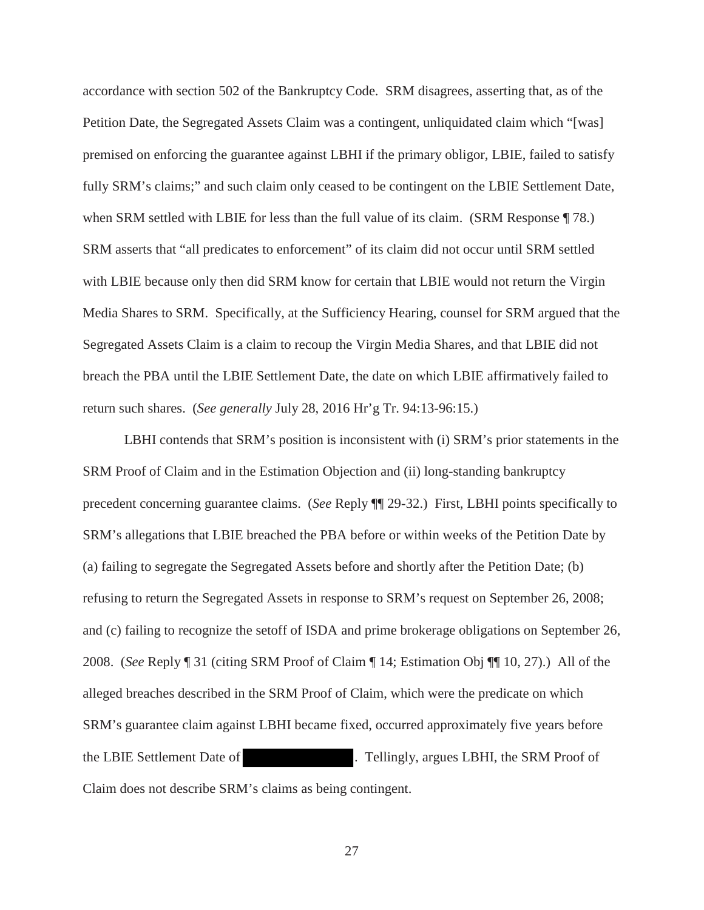accordance with section 502 of the Bankruptcy Code. SRM disagrees, asserting that, as of the Petition Date, the Segregated Assets Claim was a contingent, unliquidated claim which "[was] premised on enforcing the guarantee against LBHI if the primary obligor, LBIE, failed to satisfy fully SRM's claims;" and such claim only ceased to be contingent on the LBIE Settlement Date, when SRM settled with LBIE for less than the full value of its claim. (SRM Response  $\P$  78.) SRM asserts that "all predicates to enforcement" of its claim did not occur until SRM settled with LBIE because only then did SRM know for certain that LBIE would not return the Virgin Media Shares to SRM. Specifically, at the Sufficiency Hearing, counsel for SRM argued that the Segregated Assets Claim is a claim to recoup the Virgin Media Shares, and that LBIE did not breach the PBA until the LBIE Settlement Date, the date on which LBIE affirmatively failed to return such shares. (*See generally* July 28, 2016 Hr'g Tr. 94:13-96:15.)

LBHI contends that SRM's position is inconsistent with (i) SRM's prior statements in the SRM Proof of Claim and in the Estimation Objection and (ii) long-standing bankruptcy precedent concerning guarantee claims. (*See* Reply ¶¶ 29-32.) First, LBHI points specifically to SRM's allegations that LBIE breached the PBA before or within weeks of the Petition Date by (a) failing to segregate the Segregated Assets before and shortly after the Petition Date; (b) refusing to return the Segregated Assets in response to SRM's request on September 26, 2008; and (c) failing to recognize the setoff of ISDA and prime brokerage obligations on September 26, 2008. (*See* Reply ¶ 31 (citing SRM Proof of Claim ¶ 14; Estimation Obj ¶¶ 10, 27).) All of the alleged breaches described in the SRM Proof of Claim, which were the predicate on which SRM's guarantee claim against LBHI became fixed, occurred approximately five years before the LBIE Settlement Date of . Tellingly, argues LBHI, the SRM Proof of Claim does not describe SRM's claims as being contingent.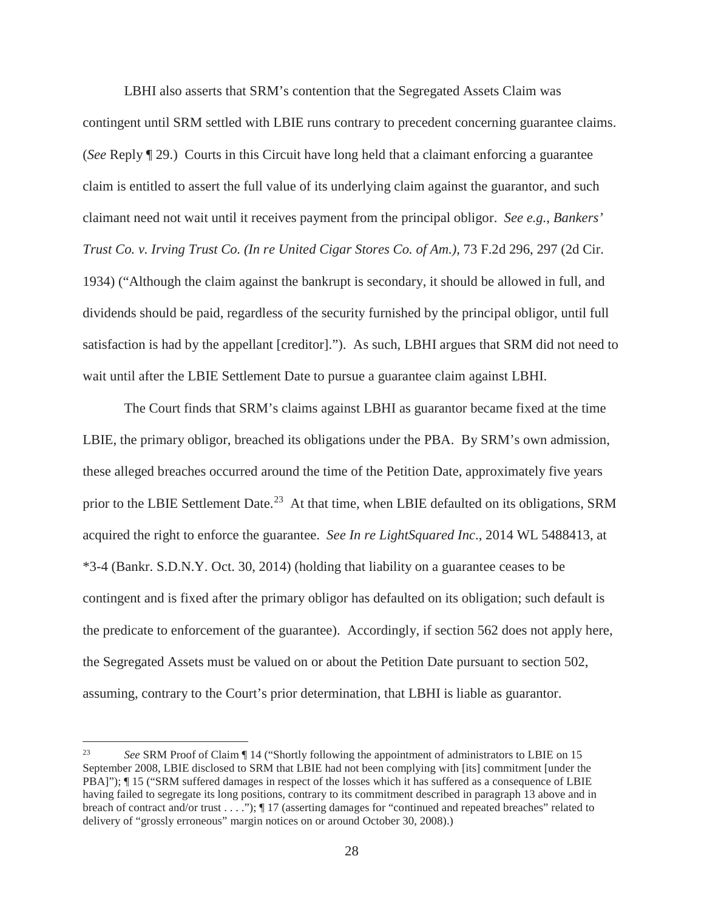LBHI also asserts that SRM's contention that the Segregated Assets Claim was contingent until SRM settled with LBIE runs contrary to precedent concerning guarantee claims. (*See* Reply ¶ 29.) Courts in this Circuit have long held that a claimant enforcing a guarantee claim is entitled to assert the full value of its underlying claim against the guarantor, and such claimant need not wait until it receives payment from the principal obligor. *See e.g.*, *Bankers' Trust Co. v. Irving Trust Co. (In re United Cigar Stores Co. of Am.)*, 73 F.2d 296, 297 (2d Cir. 1934) ("Although the claim against the bankrupt is secondary, it should be allowed in full, and dividends should be paid, regardless of the security furnished by the principal obligor, until full satisfaction is had by the appellant [creditor]."). As such, LBHI argues that SRM did not need to wait until after the LBIE Settlement Date to pursue a guarantee claim against LBHI.

The Court finds that SRM's claims against LBHI as guarantor became fixed at the time LBIE, the primary obligor, breached its obligations under the PBA. By SRM's own admission, these alleged breaches occurred around the time of the Petition Date, approximately five years prior to the LBIE Settlement Date.<sup>23</sup> At that time, when LBIE defaulted on its obligations, SRM acquired the right to enforce the guarantee. *See In re LightSquared Inc*., 2014 WL 5488413, at \*3-4 (Bankr. S.D.N.Y. Oct. 30, 2014) (holding that liability on a guarantee ceases to be contingent and is fixed after the primary obligor has defaulted on its obligation; such default is the predicate to enforcement of the guarantee). Accordingly, if section 562 does not apply here, the Segregated Assets must be valued on or about the Petition Date pursuant to section 502, assuming, contrary to the Court's prior determination, that LBHI is liable as guarantor.

<sup>23</sup> *See* SRM Proof of Claim ¶ 14 ("Shortly following the appointment of administrators to LBIE on 15 September 2008, LBIE disclosed to SRM that LBIE had not been complying with [its] commitment [under the PBA]"); ¶ 15 ("SRM suffered damages in respect of the losses which it has suffered as a consequence of LBIE having failed to segregate its long positions, contrary to its commitment described in paragraph 13 above and in breach of contract and/or trust . . . ."); ¶ 17 (asserting damages for "continued and repeated breaches" related to delivery of "grossly erroneous" margin notices on or around October 30, 2008).)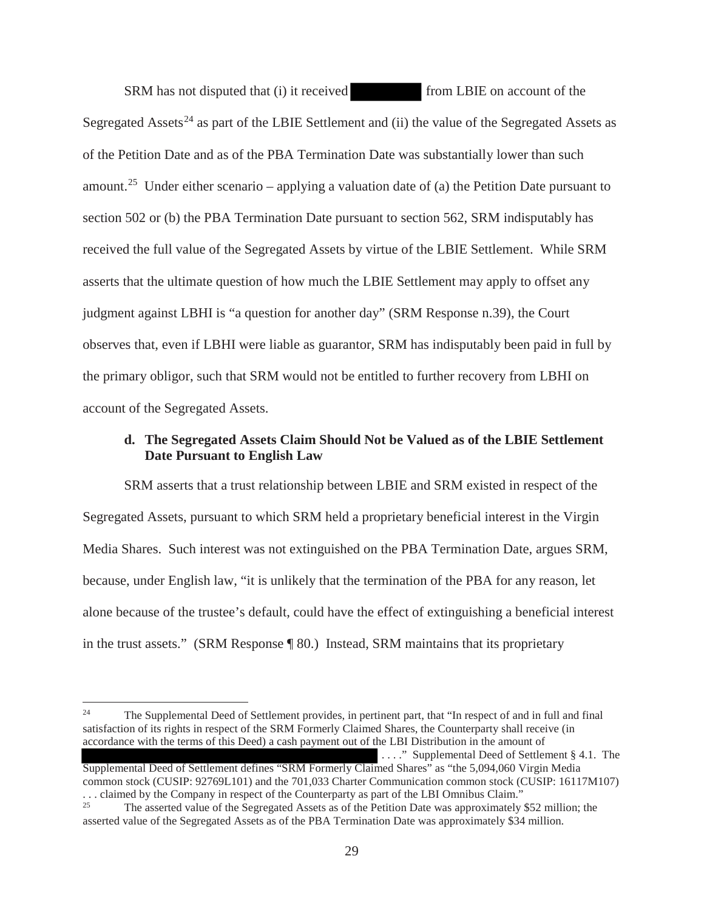SRM has not disputed that (i) it received from LBIE on account of the Segregated Assets<sup>24</sup> as part of the LBIE Settlement and (ii) the value of the Segregated Assets as of the Petition Date and as of the PBA Termination Date was substantially lower than such amount.<sup>25</sup> Under either scenario – applying a valuation date of (a) the Petition Date pursuant to section 502 or (b) the PBA Termination Date pursuant to section 562, SRM indisputably has received the full value of the Segregated Assets by virtue of the LBIE Settlement. While SRM asserts that the ultimate question of how much the LBIE Settlement may apply to offset any judgment against LBHI is "a question for another day" (SRM Response n.39), the Court observes that, even if LBHI were liable as guarantor, SRM has indisputably been paid in full by the primary obligor, such that SRM would not be entitled to further recovery from LBHI on account of the Segregated Assets.

## **d. The Segregated Assets Claim Should Not be Valued as of the LBIE Settlement Date Pursuant to English Law**

SRM asserts that a trust relationship between LBIE and SRM existed in respect of the Segregated Assets, pursuant to which SRM held a proprietary beneficial interest in the Virgin Media Shares. Such interest was not extinguished on the PBA Termination Date, argues SRM, because, under English law, "it is unlikely that the termination of the PBA for any reason, let alone because of the trustee's default, could have the effect of extinguishing a beneficial interest in the trust assets." (SRM Response ¶ 80.) Instead, SRM maintains that its proprietary

Supplemental Deed of Settlement defines "SRM Formerly Claimed Shares" as "the 5,094,060 Virgin Media common stock (CUSIP: 92769L101) and the 701,033 Charter Communication common stock (CUSIP: 16117M107) ... claimed by the Company in respect of the Counterparty as part of the LBI Omnibus Claim."<br><sup>25</sup> The asserted value of the Secretary Assets as of the Patition Date was approximately

<sup>&</sup>lt;sup>24</sup> The Supplemental Deed of Settlement provides, in pertinent part, that "In respect of and in full and final satisfaction of its rights in respect of the SRM Formerly Claimed Shares, the Counterparty shall receive (in accordance with the terms of this Deed) a cash payment out of the LBI Distribution in the amount of . . . ." Supplemental Deed of Settlement § 4.1. The

<sup>25</sup> The asserted value of the Segregated Assets as of the Petition Date was approximately \$52 million; the asserted value of the Segregated Assets as of the PBA Termination Date was approximately \$34 million.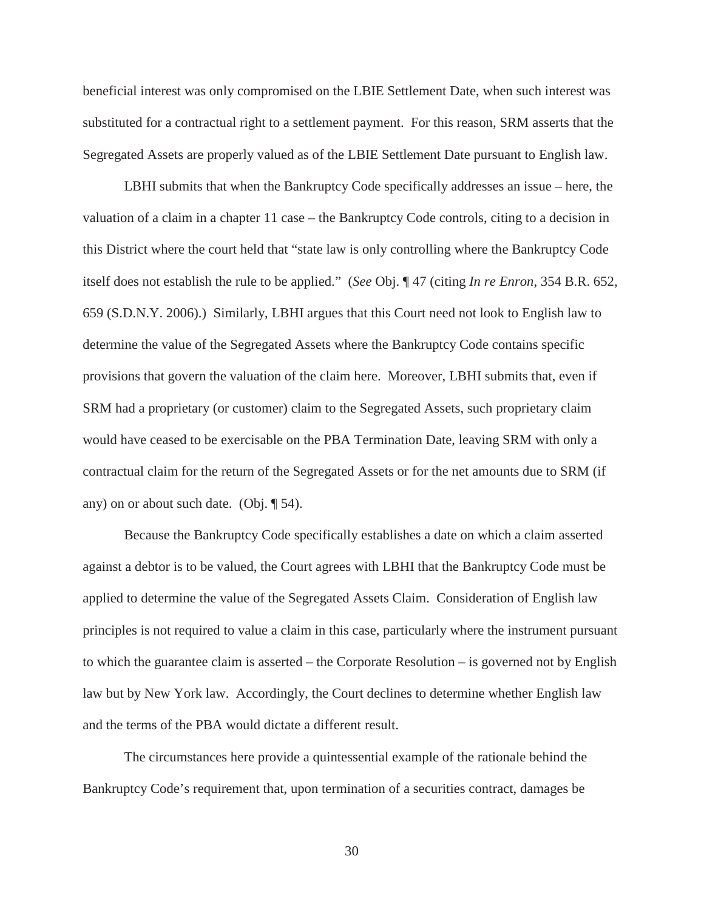beneficial interest was only compromised on the LBIE Settlement Date, when such interest was substituted for a contractual right to a settlement payment. For this reason, SRM asserts that the Segregated Assets are properly valued as of the LBIE Settlement Date pursuant to English law.

LBHI submits that when the Bankruptcy Code specifically addresses an issue – here, the valuation of a claim in a chapter 11 case – the Bankruptcy Code controls, citing to a decision in this District where the court held that "state law is only controlling where the Bankruptcy Code itself does not establish the rule to be applied." (*See* Obj. ¶ 47 (citing *In re Enron*, 354 B.R. 652, 659 (S.D.N.Y. 2006).) Similarly, LBHI argues that this Court need not look to English law to determine the value of the Segregated Assets where the Bankruptcy Code contains specific provisions that govern the valuation of the claim here. Moreover, LBHI submits that, even if SRM had a proprietary (or customer) claim to the Segregated Assets, such proprietary claim would have ceased to be exercisable on the PBA Termination Date, leaving SRM with only a contractual claim for the return of the Segregated Assets or for the net amounts due to SRM (if any) on or about such date. (Obj. ¶ 54).

Because the Bankruptcy Code specifically establishes a date on which a claim asserted against a debtor is to be valued, the Court agrees with LBHI that the Bankruptcy Code must be applied to determine the value of the Segregated Assets Claim. Consideration of English law principles is not required to value a claim in this case, particularly where the instrument pursuant to which the guarantee claim is asserted – the Corporate Resolution – is governed not by English law but by New York law. Accordingly, the Court declines to determine whether English law and the terms of the PBA would dictate a different result.

The circumstances here provide a quintessential example of the rationale behind the Bankruptcy Code's requirement that, upon termination of a securities contract, damages be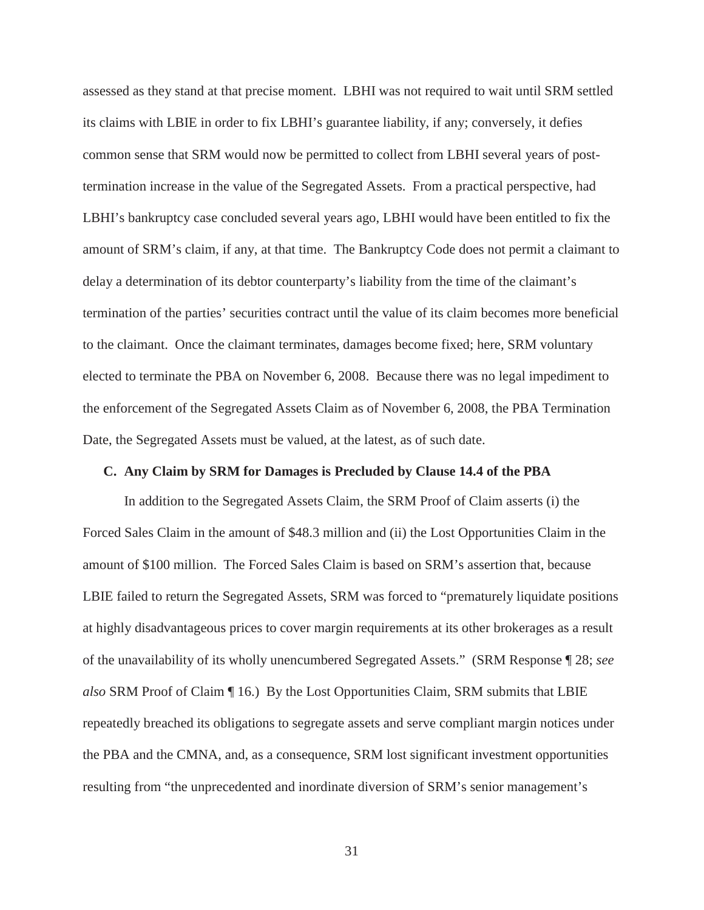assessed as they stand at that precise moment. LBHI was not required to wait until SRM settled its claims with LBIE in order to fix LBHI's guarantee liability, if any; conversely, it defies common sense that SRM would now be permitted to collect from LBHI several years of posttermination increase in the value of the Segregated Assets. From a practical perspective, had LBHI's bankruptcy case concluded several years ago, LBHI would have been entitled to fix the amount of SRM's claim, if any, at that time. The Bankruptcy Code does not permit a claimant to delay a determination of its debtor counterparty's liability from the time of the claimant's termination of the parties' securities contract until the value of its claim becomes more beneficial to the claimant. Once the claimant terminates, damages become fixed; here, SRM voluntary elected to terminate the PBA on November 6, 2008. Because there was no legal impediment to the enforcement of the Segregated Assets Claim as of November 6, 2008, the PBA Termination Date, the Segregated Assets must be valued, at the latest, as of such date.

#### **C. Any Claim by SRM for Damages is Precluded by Clause 14.4 of the PBA**

In addition to the Segregated Assets Claim, the SRM Proof of Claim asserts (i) the Forced Sales Claim in the amount of \$48.3 million and (ii) the Lost Opportunities Claim in the amount of \$100 million. The Forced Sales Claim is based on SRM's assertion that, because LBIE failed to return the Segregated Assets, SRM was forced to "prematurely liquidate positions at highly disadvantageous prices to cover margin requirements at its other brokerages as a result of the unavailability of its wholly unencumbered Segregated Assets." (SRM Response ¶ 28; *see also* SRM Proof of Claim ¶ 16.) By the Lost Opportunities Claim, SRM submits that LBIE repeatedly breached its obligations to segregate assets and serve compliant margin notices under the PBA and the CMNA, and, as a consequence, SRM lost significant investment opportunities resulting from "the unprecedented and inordinate diversion of SRM's senior management's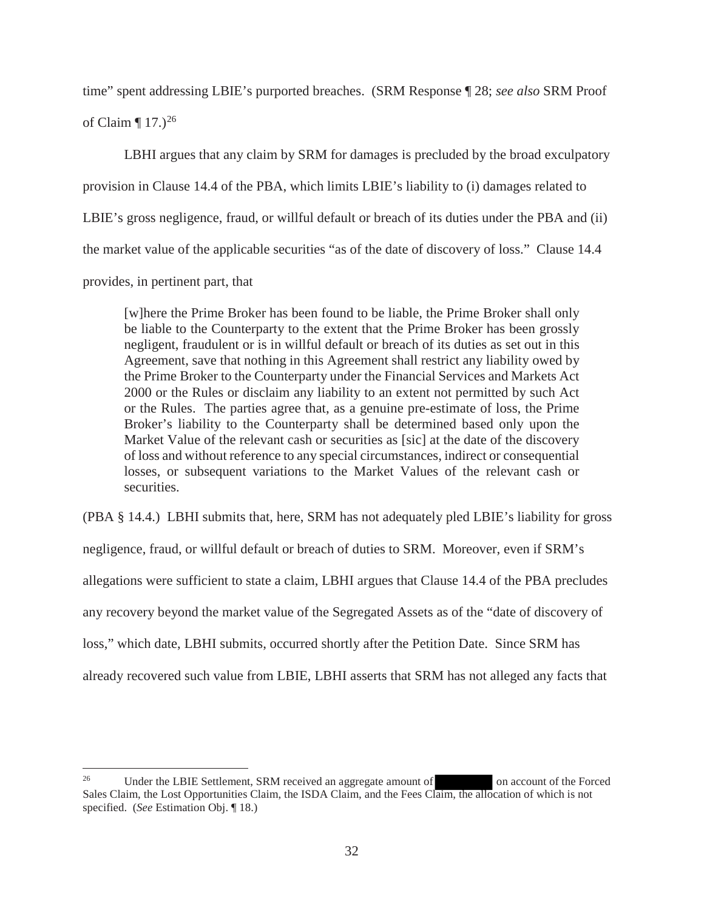time" spent addressing LBIE's purported breaches. (SRM Response ¶ 28; *see also* SRM Proof

of Claim  $\P$  17.)<sup>26</sup>

LBHI argues that any claim by SRM for damages is precluded by the broad exculpatory provision in Clause 14.4 of the PBA, which limits LBIE's liability to (i) damages related to LBIE's gross negligence, fraud, or willful default or breach of its duties under the PBA and (ii) the market value of the applicable securities "as of the date of discovery of loss." Clause 14.4 provides, in pertinent part, that

[w]here the Prime Broker has been found to be liable, the Prime Broker shall only be liable to the Counterparty to the extent that the Prime Broker has been grossly negligent, fraudulent or is in willful default or breach of its duties as set out in this Agreement, save that nothing in this Agreement shall restrict any liability owed by the Prime Broker to the Counterparty under the Financial Services and Markets Act 2000 or the Rules or disclaim any liability to an extent not permitted by such Act or the Rules. The parties agree that, as a genuine pre-estimate of loss, the Prime Broker's liability to the Counterparty shall be determined based only upon the Market Value of the relevant cash or securities as [sic] at the date of the discovery of loss and without reference to any special circumstances, indirect or consequential losses, or subsequent variations to the Market Values of the relevant cash or securities.

(PBA § 14.4.) LBHI submits that, here, SRM has not adequately pled LBIE's liability for gross

negligence, fraud, or willful default or breach of duties to SRM. Moreover, even if SRM's

allegations were sufficient to state a claim, LBHI argues that Clause 14.4 of the PBA precludes

any recovery beyond the market value of the Segregated Assets as of the "date of discovery of

loss," which date, LBHI submits, occurred shortly after the Petition Date. Since SRM has

already recovered such value from LBIE, LBHI asserts that SRM has not alleged any facts that

<sup>&</sup>lt;sup>26</sup> Under the LBIE Settlement, SRM received an aggregate amount of on account of the Forced Sales Claim, the Lost Opportunities Claim, the ISDA Claim, and the Fees Claim, the allocation of which is not specified. (*See* Estimation Obj. ¶ 18.)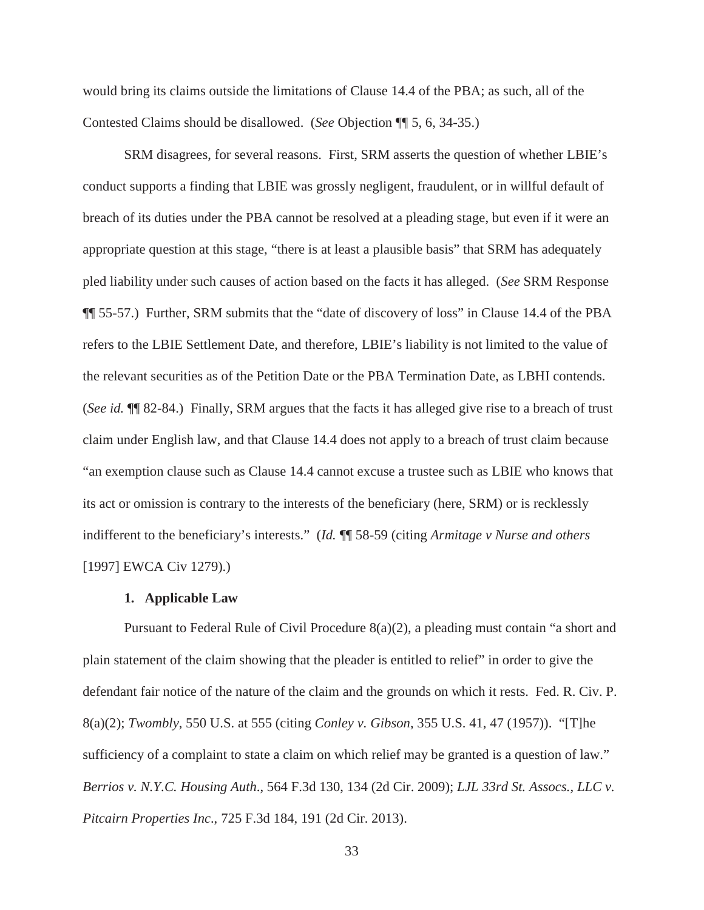would bring its claims outside the limitations of Clause 14.4 of the PBA; as such, all of the Contested Claims should be disallowed. (*See* Objection ¶¶ 5, 6, 34-35.)

SRM disagrees, for several reasons. First, SRM asserts the question of whether LBIE's conduct supports a finding that LBIE was grossly negligent, fraudulent, or in willful default of breach of its duties under the PBA cannot be resolved at a pleading stage, but even if it were an appropriate question at this stage, "there is at least a plausible basis" that SRM has adequately pled liability under such causes of action based on the facts it has alleged. (*See* SRM Response ¶¶ 55-57.) Further, SRM submits that the "date of discovery of loss" in Clause 14.4 of the PBA refers to the LBIE Settlement Date, and therefore, LBIE's liability is not limited to the value of the relevant securities as of the Petition Date or the PBA Termination Date, as LBHI contends. (*See id.* ¶¶ 82-84.) Finally, SRM argues that the facts it has alleged give rise to a breach of trust claim under English law, and that Clause 14.4 does not apply to a breach of trust claim because "an exemption clause such as Clause 14.4 cannot excuse a trustee such as LBIE who knows that its act or omission is contrary to the interests of the beneficiary (here, SRM) or is recklessly indifferent to the beneficiary's interests." (*Id.* ¶¶ 58-59 (citing *Armitage v Nurse and others*  [1997] EWCA Civ 1279).)

#### **1. Applicable Law**

Pursuant to Federal Rule of Civil Procedure  $8(a)(2)$ , a pleading must contain "a short and plain statement of the claim showing that the pleader is entitled to relief" in order to give the defendant fair notice of the nature of the claim and the grounds on which it rests. Fed. R. Civ. P. 8(a)(2); *Twombly*, 550 U.S. at 555 (citing *Conley v. Gibson*, 355 U.S. 41, 47 (1957)). "[T]he sufficiency of a complaint to state a claim on which relief may be granted is a question of law." *Berrios v. N.Y.C. Housing Auth*., 564 F.3d 130, 134 (2d Cir. 2009); *LJL 33rd St. Assocs., LLC v. Pitcairn Properties Inc*., 725 F.3d 184, 191 (2d Cir. 2013).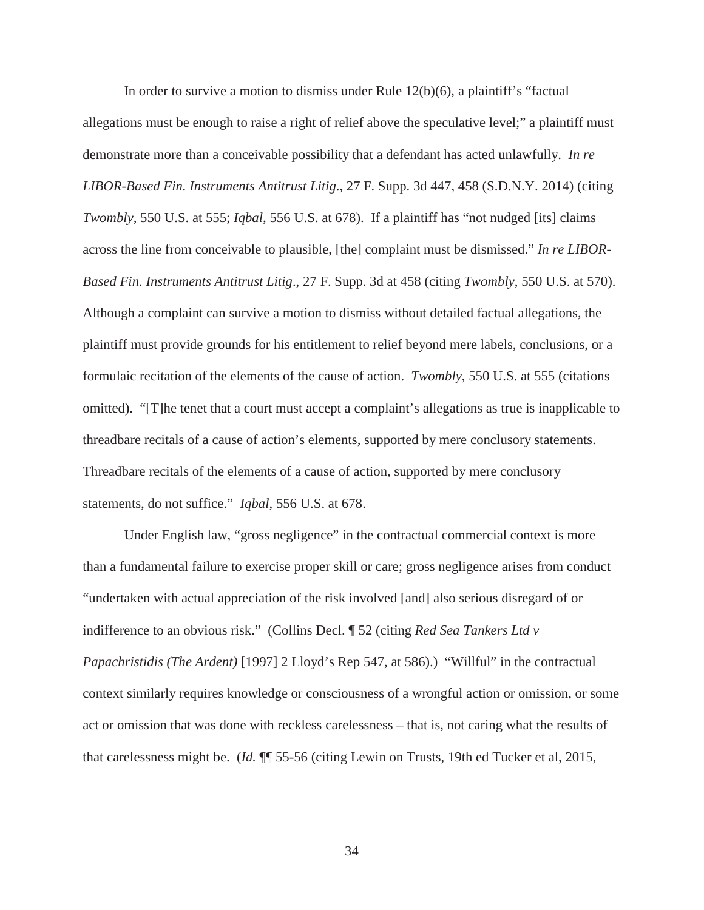In order to survive a motion to dismiss under Rule 12(b)(6), a plaintiff's "factual allegations must be enough to raise a right of relief above the speculative level;" a plaintiff must demonstrate more than a conceivable possibility that a defendant has acted unlawfully. *In re LIBOR-Based Fin. Instruments Antitrust Litig*., 27 F. Supp. 3d 447, 458 (S.D.N.Y. 2014) (citing *Twombly*, 550 U.S. at 555; *Iqbal*, 556 U.S. at 678). If a plaintiff has "not nudged [its] claims across the line from conceivable to plausible, [the] complaint must be dismissed." *In re LIBOR-Based Fin. Instruments Antitrust Litig*., 27 F. Supp. 3d at 458 (citing *Twombly*, 550 U.S. at 570). Although a complaint can survive a motion to dismiss without detailed factual allegations, the plaintiff must provide grounds for his entitlement to relief beyond mere labels, conclusions, or a formulaic recitation of the elements of the cause of action. *Twombly*, 550 U.S. at 555 (citations omitted). "[T]he tenet that a court must accept a complaint's allegations as true is inapplicable to threadbare recitals of a cause of action's elements, supported by mere conclusory statements. Threadbare recitals of the elements of a cause of action, supported by mere conclusory statements, do not suffice." *Iqbal*, 556 U.S. at 678.

Under English law, "gross negligence" in the contractual commercial context is more than a fundamental failure to exercise proper skill or care; gross negligence arises from conduct "undertaken with actual appreciation of the risk involved [and] also serious disregard of or indifference to an obvious risk." (Collins Decl. ¶ 52 (citing *Red Sea Tankers Ltd v Papachristidis (The Ardent)* [1997] 2 Lloyd's Rep 547, at 586).) "Willful" in the contractual context similarly requires knowledge or consciousness of a wrongful action or omission, or some act or omission that was done with reckless carelessness – that is, not caring what the results of that carelessness might be. (*Id.* ¶¶ 55-56 (citing Lewin on Trusts, 19th ed Tucker et al, 2015,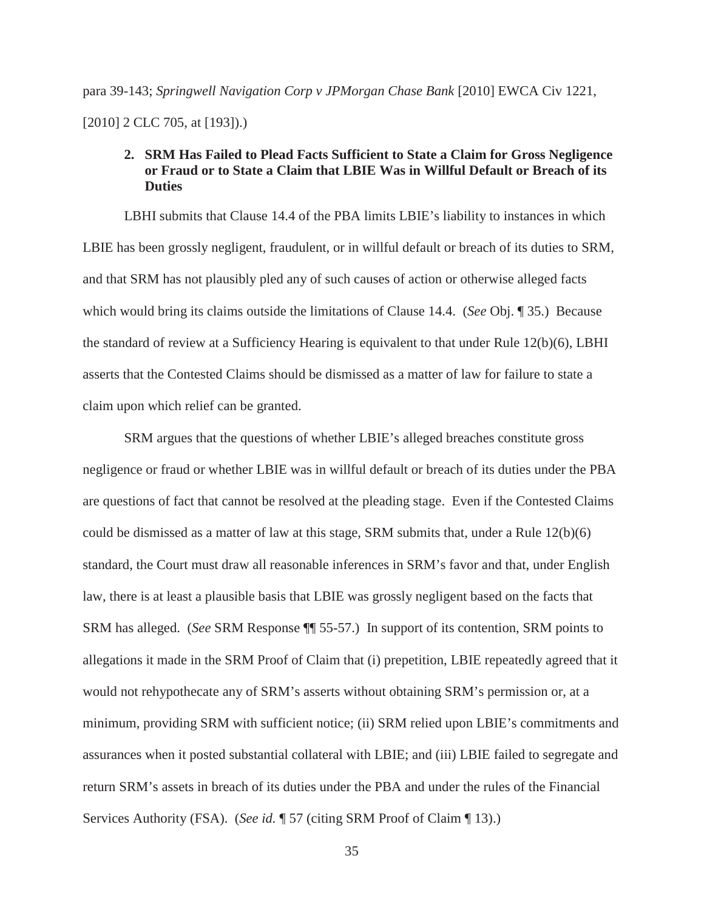# para 39-143; *Springwell Navigation Corp v JPMorgan Chase Bank* [2010] EWCA Civ 1221, [2010] 2 CLC 705, at [193]).)

## **2. SRM Has Failed to Plead Facts Sufficient to State a Claim for Gross Negligence or Fraud or to State a Claim that LBIE Was in Willful Default or Breach of its Duties**

LBHI submits that Clause 14.4 of the PBA limits LBIE's liability to instances in which LBIE has been grossly negligent, fraudulent, or in willful default or breach of its duties to SRM, and that SRM has not plausibly pled any of such causes of action or otherwise alleged facts which would bring its claims outside the limitations of Clause 14.4. (*See* Obj. ¶ 35.) Because the standard of review at a Sufficiency Hearing is equivalent to that under Rule 12(b)(6), LBHI asserts that the Contested Claims should be dismissed as a matter of law for failure to state a claim upon which relief can be granted.

SRM argues that the questions of whether LBIE's alleged breaches constitute gross negligence or fraud or whether LBIE was in willful default or breach of its duties under the PBA are questions of fact that cannot be resolved at the pleading stage. Even if the Contested Claims could be dismissed as a matter of law at this stage, SRM submits that, under a Rule  $12(b)(6)$ standard, the Court must draw all reasonable inferences in SRM's favor and that, under English law, there is at least a plausible basis that LBIE was grossly negligent based on the facts that SRM has alleged. (*See* SRM Response ¶¶ 55-57.) In support of its contention, SRM points to allegations it made in the SRM Proof of Claim that (i) prepetition, LBIE repeatedly agreed that it would not rehypothecate any of SRM's asserts without obtaining SRM's permission or, at a minimum, providing SRM with sufficient notice; (ii) SRM relied upon LBIE's commitments and assurances when it posted substantial collateral with LBIE; and (iii) LBIE failed to segregate and return SRM's assets in breach of its duties under the PBA and under the rules of the Financial Services Authority (FSA). (*See id.* ¶ 57 (citing SRM Proof of Claim ¶ 13).)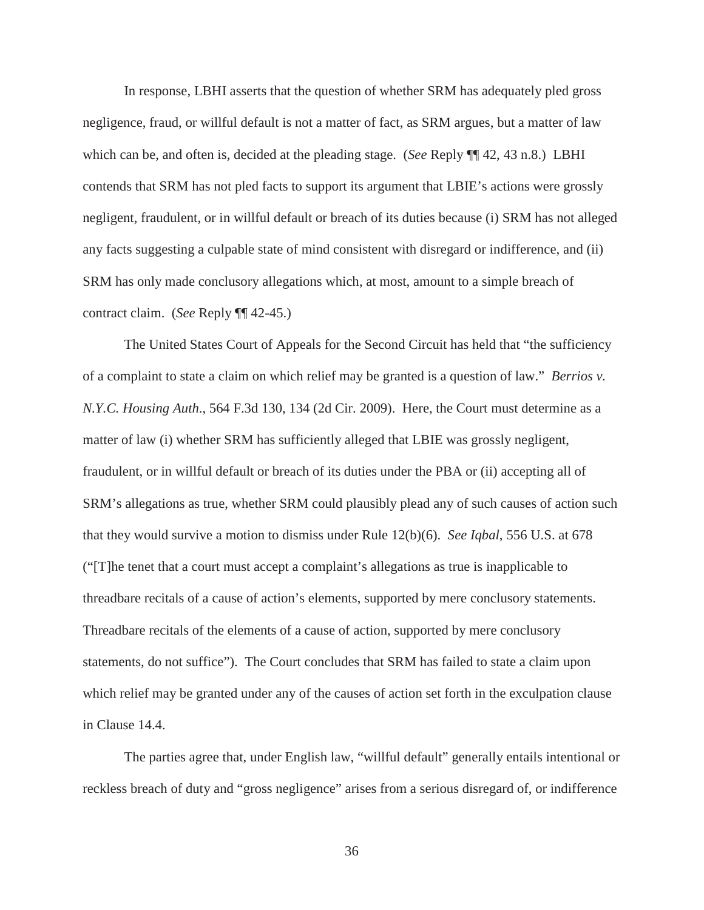In response, LBHI asserts that the question of whether SRM has adequately pled gross negligence, fraud, or willful default is not a matter of fact, as SRM argues, but a matter of law which can be, and often is, decided at the pleading stage. (*See* Reply ¶¶ 42, 43 n.8.) LBHI contends that SRM has not pled facts to support its argument that LBIE's actions were grossly negligent, fraudulent, or in willful default or breach of its duties because (i) SRM has not alleged any facts suggesting a culpable state of mind consistent with disregard or indifference, and (ii) SRM has only made conclusory allegations which, at most, amount to a simple breach of contract claim. (*See* Reply ¶¶ 42-45.)

The United States Court of Appeals for the Second Circuit has held that "the sufficiency of a complaint to state a claim on which relief may be granted is a question of law." *Berrios v. N.Y.C. Housing Auth*., 564 F.3d 130, 134 (2d Cir. 2009). Here, the Court must determine as a matter of law (i) whether SRM has sufficiently alleged that LBIE was grossly negligent, fraudulent, or in willful default or breach of its duties under the PBA or (ii) accepting all of SRM's allegations as true, whether SRM could plausibly plead any of such causes of action such that they would survive a motion to dismiss under Rule 12(b)(6). *See Iqbal*, 556 U.S. at 678 ("[T]he tenet that a court must accept a complaint's allegations as true is inapplicable to threadbare recitals of a cause of action's elements, supported by mere conclusory statements. Threadbare recitals of the elements of a cause of action, supported by mere conclusory statements, do not suffice"). The Court concludes that SRM has failed to state a claim upon which relief may be granted under any of the causes of action set forth in the exculpation clause in Clause 14.4.

The parties agree that, under English law, "willful default" generally entails intentional or reckless breach of duty and "gross negligence" arises from a serious disregard of, or indifference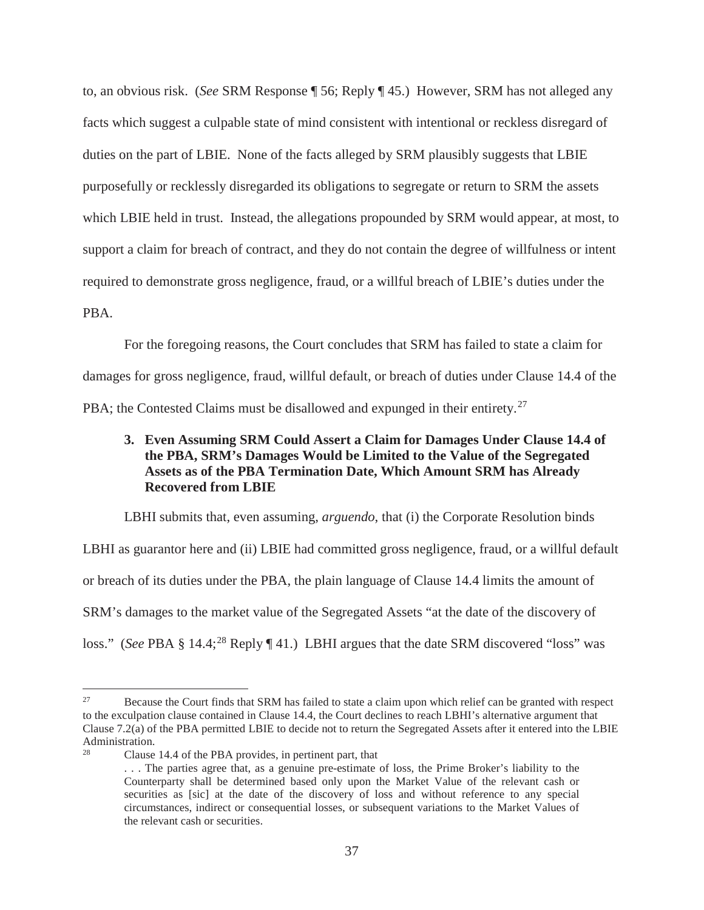to, an obvious risk. (*See* SRM Response ¶ 56; Reply ¶ 45.) However, SRM has not alleged any facts which suggest a culpable state of mind consistent with intentional or reckless disregard of duties on the part of LBIE. None of the facts alleged by SRM plausibly suggests that LBIE purposefully or recklessly disregarded its obligations to segregate or return to SRM the assets which LBIE held in trust. Instead, the allegations propounded by SRM would appear, at most, to support a claim for breach of contract, and they do not contain the degree of willfulness or intent required to demonstrate gross negligence, fraud, or a willful breach of LBIE's duties under the PBA.

For the foregoing reasons, the Court concludes that SRM has failed to state a claim for damages for gross negligence, fraud, willful default, or breach of duties under Clause 14.4 of the PBA; the Contested Claims must be disallowed and expunged in their entirety.<sup>27</sup>

## **3. Even Assuming SRM Could Assert a Claim for Damages Under Clause 14.4 of the PBA, SRM's Damages Would be Limited to the Value of the Segregated Assets as of the PBA Termination Date, Which Amount SRM has Already Recovered from LBIE**

LBHI submits that, even assuming, *arguendo*, that (i) the Corporate Resolution binds LBHI as guarantor here and (ii) LBIE had committed gross negligence, fraud, or a willful default or breach of its duties under the PBA, the plain language of Clause 14.4 limits the amount of SRM's damages to the market value of the Segregated Assets "at the date of the discovery of loss." (*See* PBA § 14.4;<sup>28</sup> Reply ¶ 41.) LBHI argues that the date SRM discovered "loss" was

<sup>&</sup>lt;sup>27</sup> Because the Court finds that SRM has failed to state a claim upon which relief can be granted with respect to the exculpation clause contained in Clause 14.4, the Court declines to reach LBHI's alternative argument that Clause 7.2(a) of the PBA permitted LBIE to decide not to return the Segregated Assets after it entered into the LBIE Administration.

Clause 14.4 of the PBA provides, in pertinent part, that

<sup>. . .</sup> The parties agree that, as a genuine pre-estimate of loss, the Prime Broker's liability to the Counterparty shall be determined based only upon the Market Value of the relevant cash or securities as [sic] at the date of the discovery of loss and without reference to any special circumstances, indirect or consequential losses, or subsequent variations to the Market Values of the relevant cash or securities.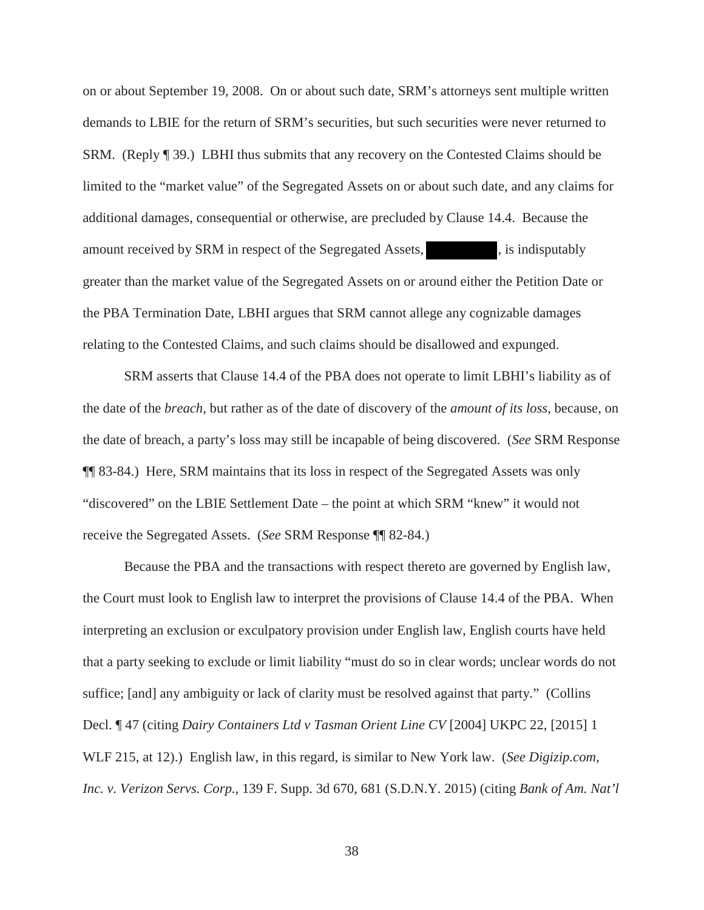on or about September 19, 2008. On or about such date, SRM's attorneys sent multiple written demands to LBIE for the return of SRM's securities, but such securities were never returned to SRM. (Reply ¶ 39.) LBHI thus submits that any recovery on the Contested Claims should be limited to the "market value" of the Segregated Assets on or about such date, and any claims for additional damages, consequential or otherwise, are precluded by Clause 14.4. Because the amount received by SRM in respect of the Segregated Assets,  $\blacksquare$ , is indisputably greater than the market value of the Segregated Assets on or around either the Petition Date or the PBA Termination Date, LBHI argues that SRM cannot allege any cognizable damages relating to the Contested Claims, and such claims should be disallowed and expunged.

SRM asserts that Clause 14.4 of the PBA does not operate to limit LBHI's liability as of the date of the *breach*, but rather as of the date of discovery of the *amount of its loss*, because, on the date of breach, a party's loss may still be incapable of being discovered. (*See* SRM Response ¶¶ 83-84.) Here, SRM maintains that its loss in respect of the Segregated Assets was only "discovered" on the LBIE Settlement Date – the point at which SRM "knew" it would not receive the Segregated Assets. (*See* SRM Response ¶¶ 82-84.)

Because the PBA and the transactions with respect thereto are governed by English law, the Court must look to English law to interpret the provisions of Clause 14.4 of the PBA. When interpreting an exclusion or exculpatory provision under English law, English courts have held that a party seeking to exclude or limit liability "must do so in clear words; unclear words do not suffice; [and] any ambiguity or lack of clarity must be resolved against that party." (Collins Decl. ¶ 47 (citing *Dairy Containers Ltd v Tasman Orient Line CV* [2004] UKPC 22, [2015] 1 WLF 215, at 12).) English law, in this regard, is similar to New York law. (*See Digizip.com, Inc. v. Verizon Servs. Corp.*, 139 F. Supp. 3d 670, 681 (S.D.N.Y. 2015) (citing *Bank of Am. Nat'l*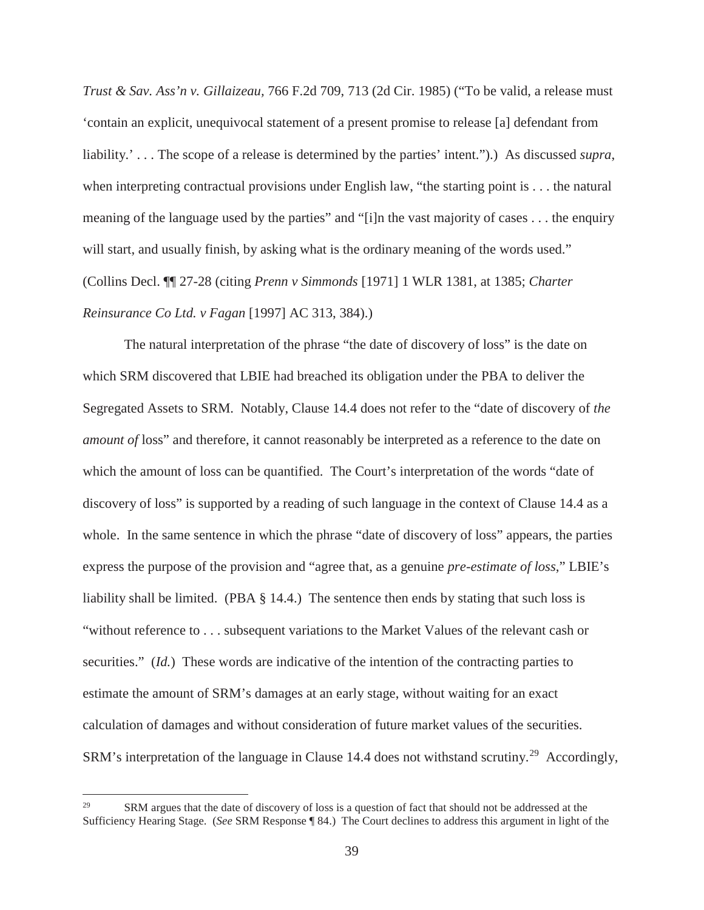*Trust & Sav. Ass'n v. Gillaizeau,* 766 F.2d 709, 713 (2d Cir. 1985) ("To be valid, a release must 'contain an explicit, unequivocal statement of a present promise to release [a] defendant from liability.' . . . The scope of a release is determined by the parties' intent.").) As discussed *supra*, when interpreting contractual provisions under English law, "the starting point is . . . the natural meaning of the language used by the parties" and "[i]n the vast majority of cases . . . the enquiry will start, and usually finish, by asking what is the ordinary meaning of the words used." (Collins Decl. ¶¶ 27-28 (citing *Prenn v Simmonds* [1971] 1 WLR 1381, at 1385; *Charter Reinsurance Co Ltd. v Fagan* [1997] AC 313, 384).)

The natural interpretation of the phrase "the date of discovery of loss" is the date on which SRM discovered that LBIE had breached its obligation under the PBA to deliver the Segregated Assets to SRM. Notably, Clause 14.4 does not refer to the "date of discovery of *the amount of* loss" and therefore, it cannot reasonably be interpreted as a reference to the date on which the amount of loss can be quantified. The Court's interpretation of the words "date of discovery of loss" is supported by a reading of such language in the context of Clause 14.4 as a whole. In the same sentence in which the phrase "date of discovery of loss" appears, the parties express the purpose of the provision and "agree that, as a genuine *pre-estimate of loss*," LBIE's liability shall be limited. (PBA § 14.4.) The sentence then ends by stating that such loss is "without reference to . . . subsequent variations to the Market Values of the relevant cash or securities." (*Id.*) These words are indicative of the intention of the contracting parties to estimate the amount of SRM's damages at an early stage, without waiting for an exact calculation of damages and without consideration of future market values of the securities. SRM's interpretation of the language in Clause 14.4 does not withstand scrutiny.<sup>29</sup> Accordingly,

<sup>&</sup>lt;sup>29</sup> SRM argues that the date of discovery of loss is a question of fact that should not be addressed at the Sufficiency Hearing Stage. (*See* SRM Response ¶ 84.) The Court declines to address this argument in light of the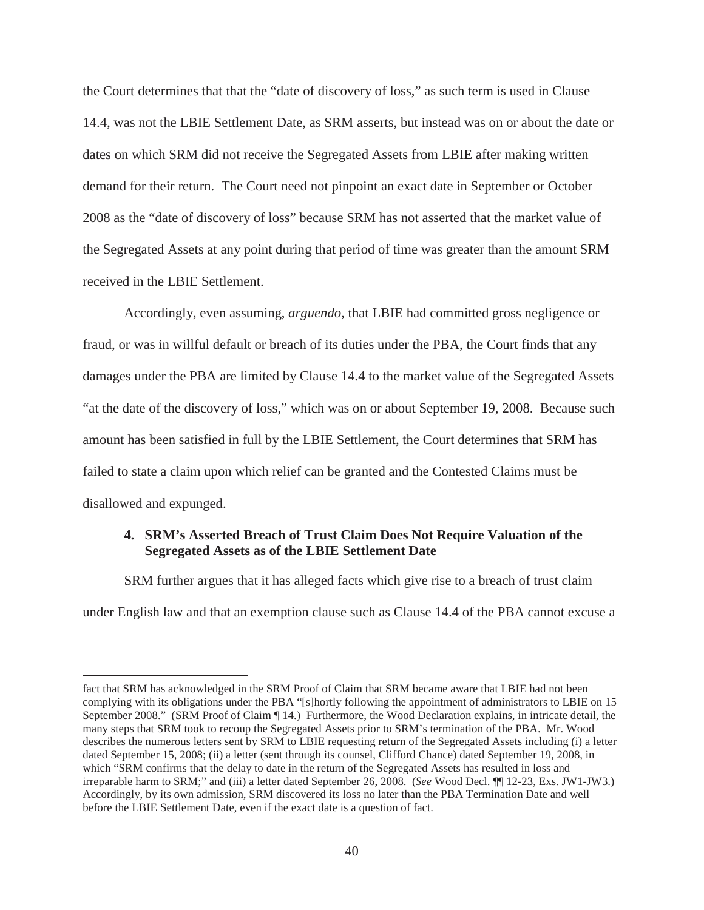the Court determines that that the "date of discovery of loss," as such term is used in Clause 14.4, was not the LBIE Settlement Date, as SRM asserts, but instead was on or about the date or dates on which SRM did not receive the Segregated Assets from LBIE after making written demand for their return. The Court need not pinpoint an exact date in September or October 2008 as the "date of discovery of loss" because SRM has not asserted that the market value of the Segregated Assets at any point during that period of time was greater than the amount SRM received in the LBIE Settlement.

Accordingly, even assuming, *arguendo*, that LBIE had committed gross negligence or fraud, or was in willful default or breach of its duties under the PBA, the Court finds that any damages under the PBA are limited by Clause 14.4 to the market value of the Segregated Assets "at the date of the discovery of loss," which was on or about September 19, 2008. Because such amount has been satisfied in full by the LBIE Settlement, the Court determines that SRM has failed to state a claim upon which relief can be granted and the Contested Claims must be disallowed and expunged.

## **4. SRM's Asserted Breach of Trust Claim Does Not Require Valuation of the Segregated Assets as of the LBIE Settlement Date**

SRM further argues that it has alleged facts which give rise to a breach of trust claim under English law and that an exemption clause such as Clause 14.4 of the PBA cannot excuse a

fact that SRM has acknowledged in the SRM Proof of Claim that SRM became aware that LBIE had not been complying with its obligations under the PBA "[s]hortly following the appointment of administrators to LBIE on 15 September 2008." (SRM Proof of Claim ¶ 14.) Furthermore, the Wood Declaration explains, in intricate detail, the many steps that SRM took to recoup the Segregated Assets prior to SRM's termination of the PBA. Mr. Wood describes the numerous letters sent by SRM to LBIE requesting return of the Segregated Assets including (i) a letter dated September 15, 2008; (ii) a letter (sent through its counsel, Clifford Chance) dated September 19, 2008, in which "SRM confirms that the delay to date in the return of the Segregated Assets has resulted in loss and irreparable harm to SRM;" and (iii) a letter dated September 26, 2008. (*See* Wood Decl. ¶¶ 12-23, Exs. JW1-JW3.) Accordingly, by its own admission, SRM discovered its loss no later than the PBA Termination Date and well before the LBIE Settlement Date, even if the exact date is a question of fact.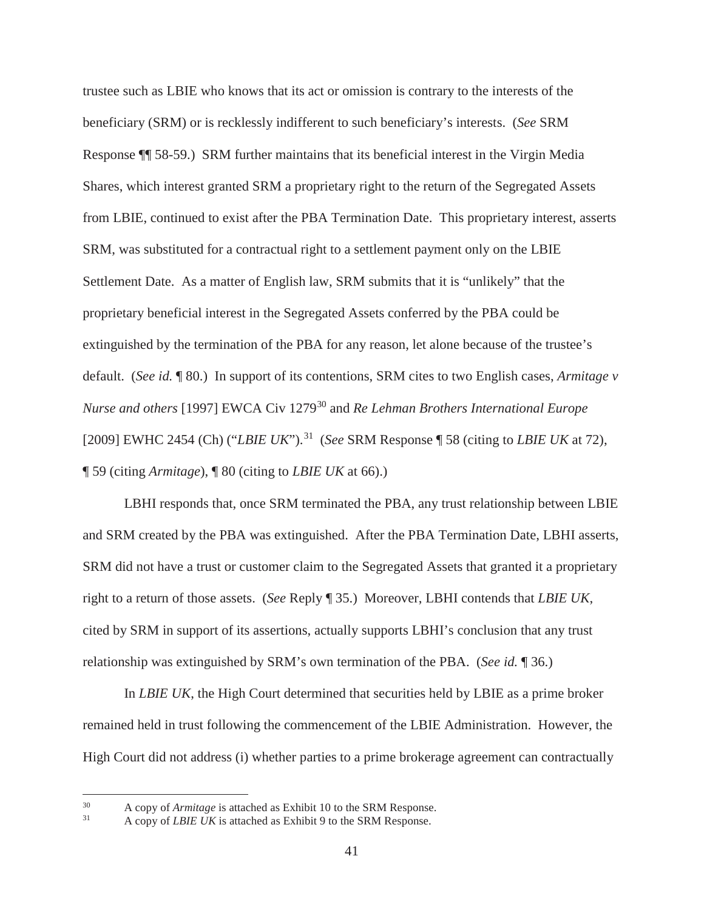trustee such as LBIE who knows that its act or omission is contrary to the interests of the beneficiary (SRM) or is recklessly indifferent to such beneficiary's interests. (*See* SRM Response ¶¶ 58-59.) SRM further maintains that its beneficial interest in the Virgin Media Shares, which interest granted SRM a proprietary right to the return of the Segregated Assets from LBIE, continued to exist after the PBA Termination Date. This proprietary interest, asserts SRM, was substituted for a contractual right to a settlement payment only on the LBIE Settlement Date. As a matter of English law, SRM submits that it is "unlikely" that the proprietary beneficial interest in the Segregated Assets conferred by the PBA could be extinguished by the termination of the PBA for any reason, let alone because of the trustee's default. (*See id.* ¶ 80.) In support of its contentions, SRM cites to two English cases, *Armitage v Nurse and others* [1997] EWCA Civ 1279<sup>30</sup> and *Re Lehman Brothers International Europe*  [2009] EWHC 2454 (Ch) ("*LBIE UK*").<sup>31</sup> (*See* SRM Response ¶ 58 (citing to *LBIE UK* at 72), ¶ 59 (citing *Armitage*), ¶ 80 (citing to *LBIE UK* at 66).)

LBHI responds that, once SRM terminated the PBA, any trust relationship between LBIE and SRM created by the PBA was extinguished. After the PBA Termination Date, LBHI asserts, SRM did not have a trust or customer claim to the Segregated Assets that granted it a proprietary right to a return of those assets. (*See* Reply ¶ 35.) Moreover, LBHI contends that *LBIE UK*, cited by SRM in support of its assertions, actually supports LBHI's conclusion that any trust relationship was extinguished by SRM's own termination of the PBA. (*See id.* ¶ 36.)

In *LBIE UK*, the High Court determined that securities held by LBIE as a prime broker remained held in trust following the commencement of the LBIE Administration. However, the High Court did not address (i) whether parties to a prime brokerage agreement can contractually

 $\frac{30}{10}$  A copy of *Armitage* is attached as Exhibit 10 to the SRM Response.

A copy of *LBIE UK* is attached as Exhibit 9 to the SRM Response.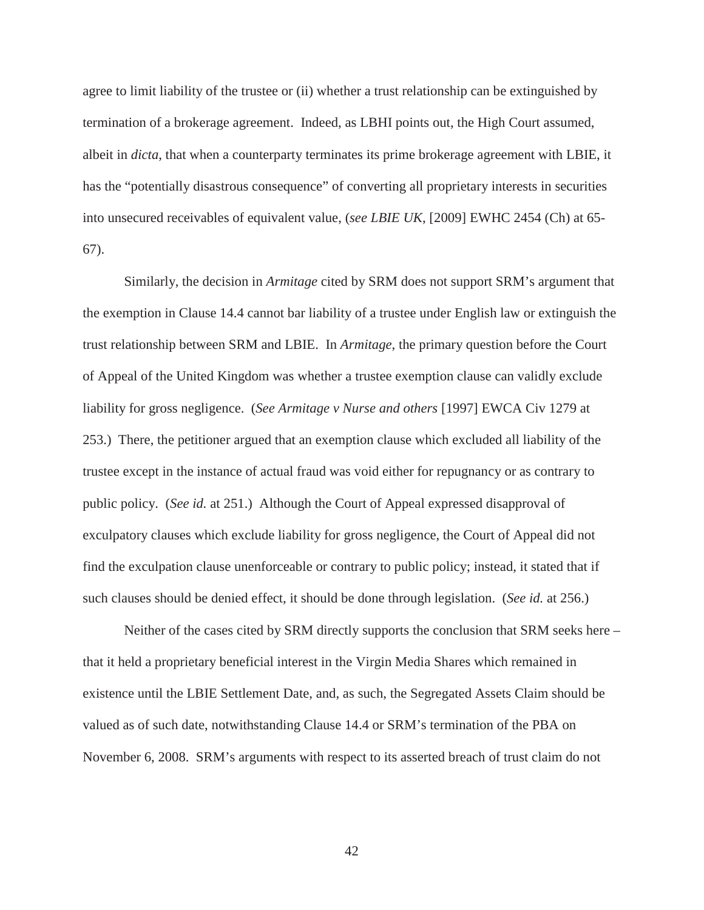agree to limit liability of the trustee or (ii) whether a trust relationship can be extinguished by termination of a brokerage agreement. Indeed, as LBHI points out, the High Court assumed, albeit in *dicta*, that when a counterparty terminates its prime brokerage agreement with LBIE, it has the "potentially disastrous consequence" of converting all proprietary interests in securities into unsecured receivables of equivalent value, (*see LBIE UK*, [2009] EWHC 2454 (Ch) at 65- 67).

Similarly, the decision in *Armitage* cited by SRM does not support SRM's argument that the exemption in Clause 14.4 cannot bar liability of a trustee under English law or extinguish the trust relationship between SRM and LBIE. In *Armitage*, the primary question before the Court of Appeal of the United Kingdom was whether a trustee exemption clause can validly exclude liability for gross negligence. (*See Armitage v Nurse and others* [1997] EWCA Civ 1279 at 253.) There, the petitioner argued that an exemption clause which excluded all liability of the trustee except in the instance of actual fraud was void either for repugnancy or as contrary to public policy. (*See id.* at 251.) Although the Court of Appeal expressed disapproval of exculpatory clauses which exclude liability for gross negligence, the Court of Appeal did not find the exculpation clause unenforceable or contrary to public policy; instead, it stated that if such clauses should be denied effect, it should be done through legislation. (*See id.* at 256.)

Neither of the cases cited by SRM directly supports the conclusion that SRM seeks here – that it held a proprietary beneficial interest in the Virgin Media Shares which remained in existence until the LBIE Settlement Date, and, as such, the Segregated Assets Claim should be valued as of such date, notwithstanding Clause 14.4 or SRM's termination of the PBA on November 6, 2008. SRM's arguments with respect to its asserted breach of trust claim do not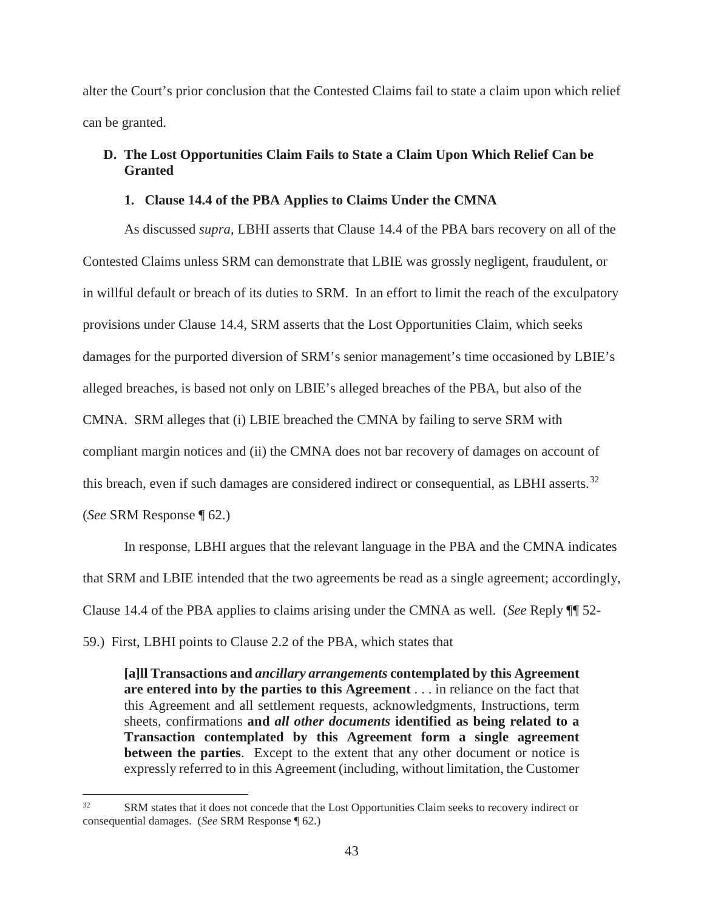alter the Court's prior conclusion that the Contested Claims fail to state a claim upon which relief can be granted.

## **D. The Lost Opportunities Claim Fails to State a Claim Upon Which Relief Can be Granted**

## **1. Clause 14.4 of the PBA Applies to Claims Under the CMNA**

As discussed *supra*, LBHI asserts that Clause 14.4 of the PBA bars recovery on all of the Contested Claims unless SRM can demonstrate that LBIE was grossly negligent, fraudulent, or in willful default or breach of its duties to SRM. In an effort to limit the reach of the exculpatory provisions under Clause 14.4, SRM asserts that the Lost Opportunities Claim, which seeks damages for the purported diversion of SRM's senior management's time occasioned by LBIE's alleged breaches, is based not only on LBIE's alleged breaches of the PBA, but also of the CMNA. SRM alleges that (i) LBIE breached the CMNA by failing to serve SRM with compliant margin notices and (ii) the CMNA does not bar recovery of damages on account of this breach, even if such damages are considered indirect or consequential, as LBHI asserts.<sup>32</sup> (*See* SRM Response ¶ 62.)

In response, LBHI argues that the relevant language in the PBA and the CMNA indicates that SRM and LBIE intended that the two agreements be read as a single agreement; accordingly, Clause 14.4 of the PBA applies to claims arising under the CMNA as well. (*See* Reply ¶¶ 52- 59.) First, LBHI points to Clause 2.2 of the PBA, which states that

**[a]ll Transactions and** *ancillary arrangements* **contemplated by this Agreement are entered into by the parties to this Agreement** . . . in reliance on the fact that this Agreement and all settlement requests, acknowledgments, Instructions, term sheets, confirmations **and** *all other documents* **identified as being related to a Transaction contemplated by this Agreement form a single agreement between the parties**. Except to the extent that any other document or notice is expressly referred to in this Agreement (including, without limitation, the Customer

<sup>&</sup>lt;sup>32</sup> SRM states that it does not concede that the Lost Opportunities Claim seeks to recovery indirect or consequential damages. (*See* SRM Response ¶ 62.)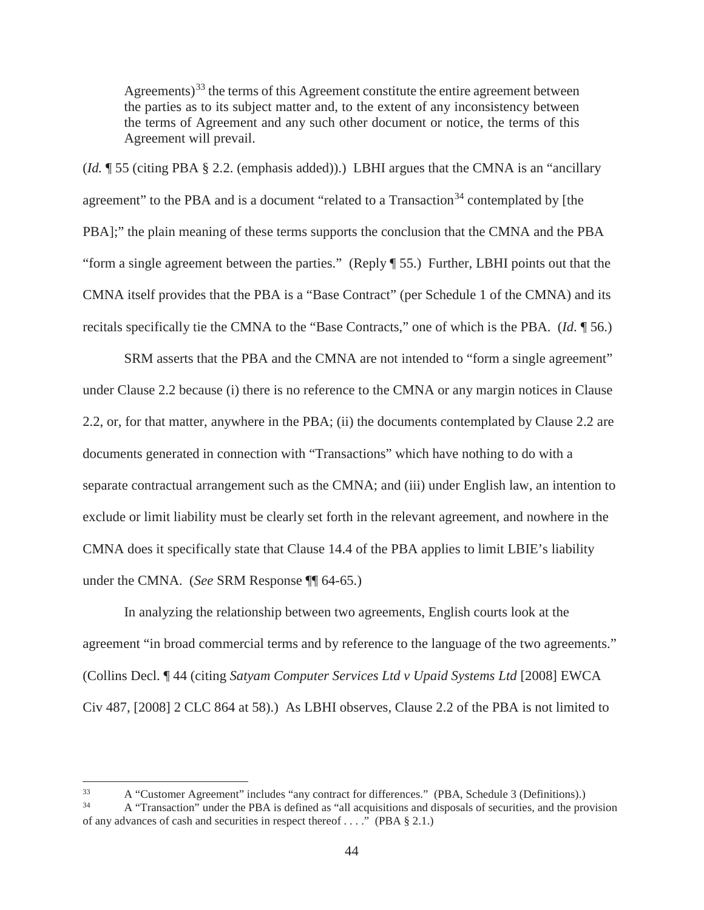Agreements)<sup>33</sup> the terms of this Agreement constitute the entire agreement between the parties as to its subject matter and, to the extent of any inconsistency between the terms of Agreement and any such other document or notice, the terms of this Agreement will prevail.

(*Id.* ¶ 55 (citing PBA § 2.2. (emphasis added)).) LBHI argues that the CMNA is an "ancillary agreement" to the PBA and is a document "related to a Transaction<sup>34</sup> contemplated by Ithe PBA];" the plain meaning of these terms supports the conclusion that the CMNA and the PBA "form a single agreement between the parties." (Reply ¶ 55.) Further, LBHI points out that the CMNA itself provides that the PBA is a "Base Contract" (per Schedule 1 of the CMNA) and its recitals specifically tie the CMNA to the "Base Contracts," one of which is the PBA. (*Id*. ¶ 56.)

SRM asserts that the PBA and the CMNA are not intended to "form a single agreement" under Clause 2.2 because (i) there is no reference to the CMNA or any margin notices in Clause 2.2, or, for that matter, anywhere in the PBA; (ii) the documents contemplated by Clause 2.2 are documents generated in connection with "Transactions" which have nothing to do with a separate contractual arrangement such as the CMNA; and (iii) under English law, an intention to exclude or limit liability must be clearly set forth in the relevant agreement, and nowhere in the CMNA does it specifically state that Clause 14.4 of the PBA applies to limit LBIE's liability under the CMNA. (*See* SRM Response ¶¶ 64-65.)

In analyzing the relationship between two agreements, English courts look at the agreement "in broad commercial terms and by reference to the language of the two agreements." (Collins Decl. ¶ 44 (citing *Satyam Computer Services Ltd v Upaid Systems Ltd* [2008] EWCA Civ 487, [2008] 2 CLC 864 at 58).) As LBHI observes, Clause 2.2 of the PBA is not limited to

 $\alpha$  "Customer Agreement" includes "any contract for differences." (PBA, Schedule 3 (Definitions).)

<sup>34</sup> A "Transaction" under the PBA is defined as "all acquisitions and disposals of securities, and the provision of any advances of cash and securities in respect thereof . . . ." (PBA § 2.1.)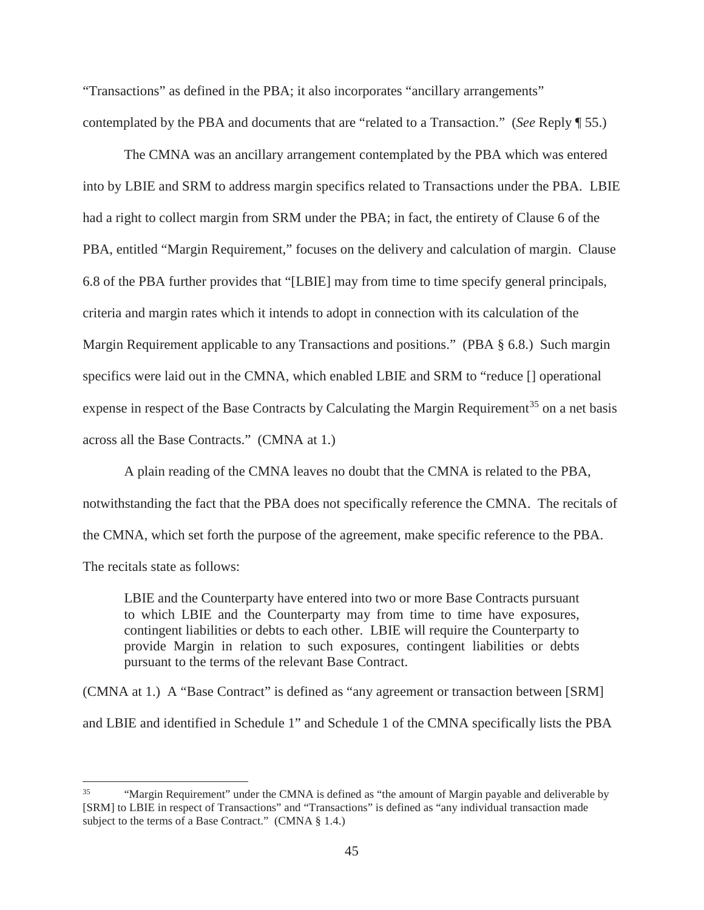"Transactions" as defined in the PBA; it also incorporates "ancillary arrangements" contemplated by the PBA and documents that are "related to a Transaction." (*See* Reply ¶ 55.)

The CMNA was an ancillary arrangement contemplated by the PBA which was entered into by LBIE and SRM to address margin specifics related to Transactions under the PBA. LBIE had a right to collect margin from SRM under the PBA; in fact, the entirety of Clause 6 of the PBA, entitled "Margin Requirement," focuses on the delivery and calculation of margin. Clause 6.8 of the PBA further provides that "[LBIE] may from time to time specify general principals, criteria and margin rates which it intends to adopt in connection with its calculation of the Margin Requirement applicable to any Transactions and positions." (PBA § 6.8.) Such margin specifics were laid out in the CMNA, which enabled LBIE and SRM to "reduce [] operational expense in respect of the Base Contracts by Calculating the Margin Requirement<sup>35</sup> on a net basis across all the Base Contracts." (CMNA at 1.)

A plain reading of the CMNA leaves no doubt that the CMNA is related to the PBA, notwithstanding the fact that the PBA does not specifically reference the CMNA. The recitals of the CMNA, which set forth the purpose of the agreement, make specific reference to the PBA. The recitals state as follows:

LBIE and the Counterparty have entered into two or more Base Contracts pursuant to which LBIE and the Counterparty may from time to time have exposures, contingent liabilities or debts to each other. LBIE will require the Counterparty to provide Margin in relation to such exposures, contingent liabilities or debts pursuant to the terms of the relevant Base Contract.

(CMNA at 1.) A "Base Contract" is defined as "any agreement or transaction between [SRM] and LBIE and identified in Schedule 1" and Schedule 1 of the CMNA specifically lists the PBA

<sup>&</sup>lt;sup>35</sup> "Margin Requirement" under the CMNA is defined as "the amount of Margin payable and deliverable by [SRM] to LBIE in respect of Transactions" and "Transactions" is defined as "any individual transaction made subject to the terms of a Base Contract." (CMNA § 1.4.)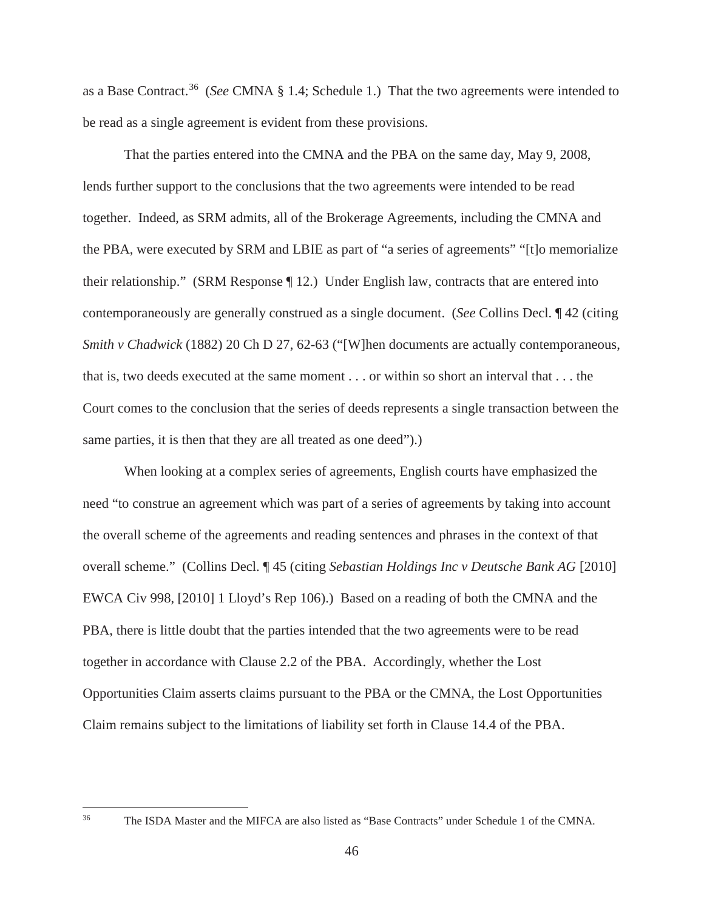as a Base Contract.<sup>36</sup> (*See* CMNA § 1.4; Schedule 1.) That the two agreements were intended to be read as a single agreement is evident from these provisions.

That the parties entered into the CMNA and the PBA on the same day, May 9, 2008, lends further support to the conclusions that the two agreements were intended to be read together. Indeed, as SRM admits, all of the Brokerage Agreements, including the CMNA and the PBA, were executed by SRM and LBIE as part of "a series of agreements" "[t]o memorialize their relationship." (SRM Response ¶ 12.) Under English law, contracts that are entered into contemporaneously are generally construed as a single document. (*See* Collins Decl. ¶ 42 (citing *Smith v Chadwick* (1882) 20 Ch D 27, 62-63 ("[W]hen documents are actually contemporaneous, that is, two deeds executed at the same moment . . . or within so short an interval that . . . the Court comes to the conclusion that the series of deeds represents a single transaction between the same parties, it is then that they are all treated as one deed").)

When looking at a complex series of agreements, English courts have emphasized the need "to construe an agreement which was part of a series of agreements by taking into account the overall scheme of the agreements and reading sentences and phrases in the context of that overall scheme." (Collins Decl. ¶ 45 (citing *Sebastian Holdings Inc v Deutsche Bank AG* [2010] EWCA Civ 998, [2010] 1 Lloyd's Rep 106).) Based on a reading of both the CMNA and the PBA, there is little doubt that the parties intended that the two agreements were to be read together in accordance with Clause 2.2 of the PBA. Accordingly, whether the Lost Opportunities Claim asserts claims pursuant to the PBA or the CMNA, the Lost Opportunities Claim remains subject to the limitations of liability set forth in Clause 14.4 of the PBA.

<sup>36</sup> The ISDA Master and the MIFCA are also listed as "Base Contracts" under Schedule 1 of the CMNA.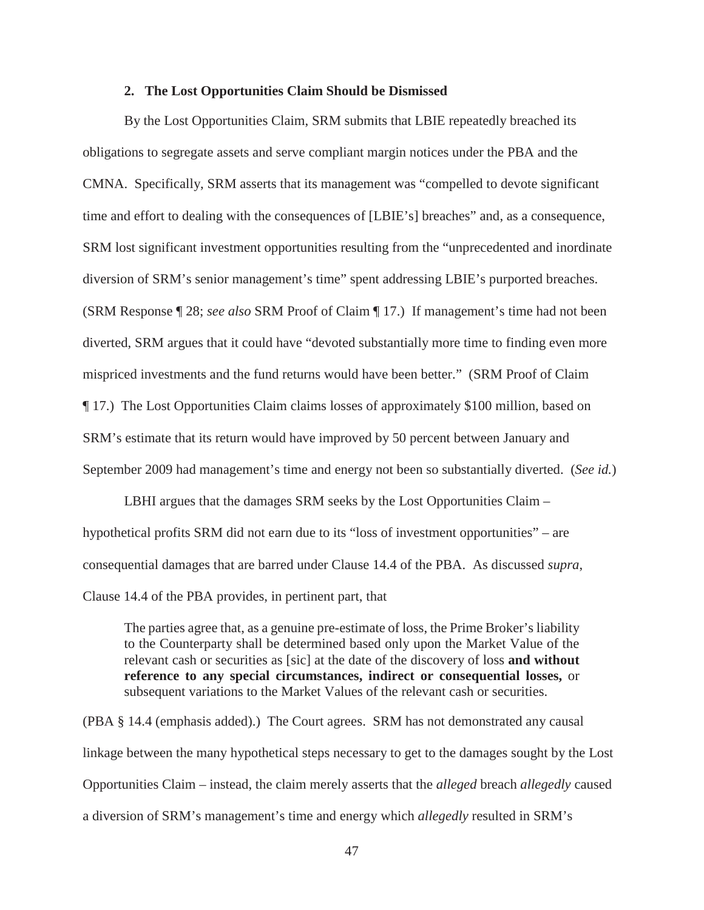#### **2. The Lost Opportunities Claim Should be Dismissed**

By the Lost Opportunities Claim, SRM submits that LBIE repeatedly breached its obligations to segregate assets and serve compliant margin notices under the PBA and the CMNA. Specifically, SRM asserts that its management was "compelled to devote significant time and effort to dealing with the consequences of [LBIE's] breaches" and, as a consequence, SRM lost significant investment opportunities resulting from the "unprecedented and inordinate diversion of SRM's senior management's time" spent addressing LBIE's purported breaches. (SRM Response ¶ 28; *see also* SRM Proof of Claim ¶ 17.) If management's time had not been diverted, SRM argues that it could have "devoted substantially more time to finding even more mispriced investments and the fund returns would have been better." (SRM Proof of Claim ¶ 17.) The Lost Opportunities Claim claims losses of approximately \$100 million, based on SRM's estimate that its return would have improved by 50 percent between January and September 2009 had management's time and energy not been so substantially diverted. (*See id.*)

LBHI argues that the damages SRM seeks by the Lost Opportunities Claim – hypothetical profits SRM did not earn due to its "loss of investment opportunities" – are consequential damages that are barred under Clause 14.4 of the PBA. As discussed *supra*, Clause 14.4 of the PBA provides, in pertinent part, that

The parties agree that, as a genuine pre-estimate of loss, the Prime Broker's liability to the Counterparty shall be determined based only upon the Market Value of the relevant cash or securities as [sic] at the date of the discovery of loss **and without reference to any special circumstances, indirect or consequential losses,** or subsequent variations to the Market Values of the relevant cash or securities.

(PBA § 14.4 (emphasis added).) The Court agrees. SRM has not demonstrated any causal linkage between the many hypothetical steps necessary to get to the damages sought by the Lost Opportunities Claim – instead, the claim merely asserts that the *alleged* breach *allegedly* caused a diversion of SRM's management's time and energy which *allegedly* resulted in SRM's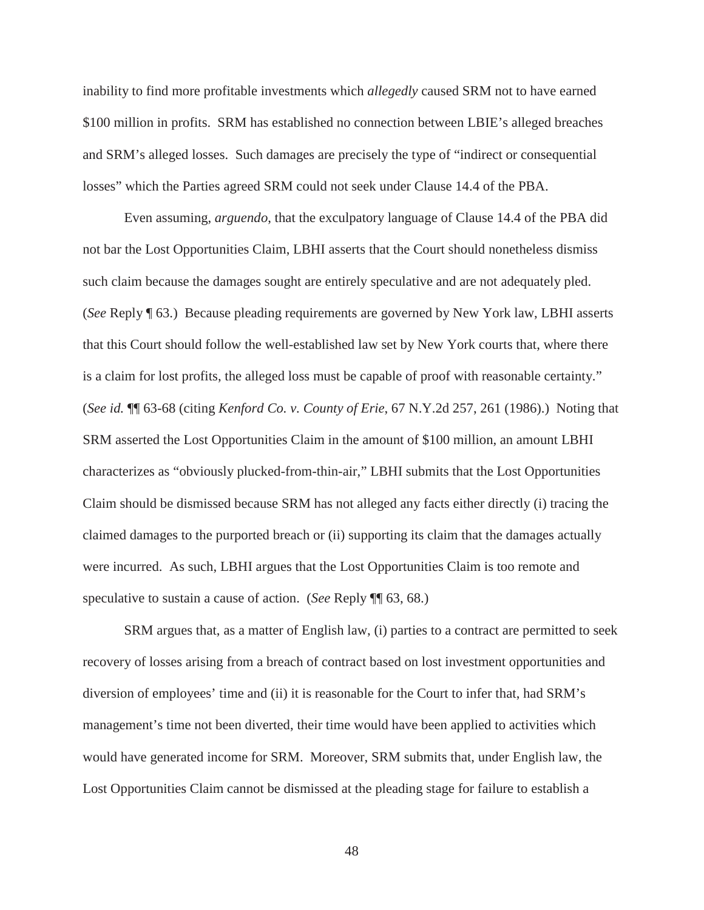inability to find more profitable investments which *allegedly* caused SRM not to have earned \$100 million in profits. SRM has established no connection between LBIE's alleged breaches and SRM's alleged losses. Such damages are precisely the type of "indirect or consequential losses" which the Parties agreed SRM could not seek under Clause 14.4 of the PBA.

Even assuming, *arguendo*, that the exculpatory language of Clause 14.4 of the PBA did not bar the Lost Opportunities Claim, LBHI asserts that the Court should nonetheless dismiss such claim because the damages sought are entirely speculative and are not adequately pled. (*See* Reply ¶ 63.) Because pleading requirements are governed by New York law, LBHI asserts that this Court should follow the well-established law set by New York courts that, where there is a claim for lost profits, the alleged loss must be capable of proof with reasonable certainty." (*See id.* ¶¶ 63-68 (citing *Kenford Co. v. County of Erie*, 67 N.Y.2d 257, 261 (1986).) Noting that SRM asserted the Lost Opportunities Claim in the amount of \$100 million, an amount LBHI characterizes as "obviously plucked-from-thin-air," LBHI submits that the Lost Opportunities Claim should be dismissed because SRM has not alleged any facts either directly (i) tracing the claimed damages to the purported breach or (ii) supporting its claim that the damages actually were incurred. As such, LBHI argues that the Lost Opportunities Claim is too remote and speculative to sustain a cause of action. (*See* Reply ¶¶ 63, 68.)

SRM argues that, as a matter of English law, (i) parties to a contract are permitted to seek recovery of losses arising from a breach of contract based on lost investment opportunities and diversion of employees' time and (ii) it is reasonable for the Court to infer that, had SRM's management's time not been diverted, their time would have been applied to activities which would have generated income for SRM. Moreover, SRM submits that, under English law, the Lost Opportunities Claim cannot be dismissed at the pleading stage for failure to establish a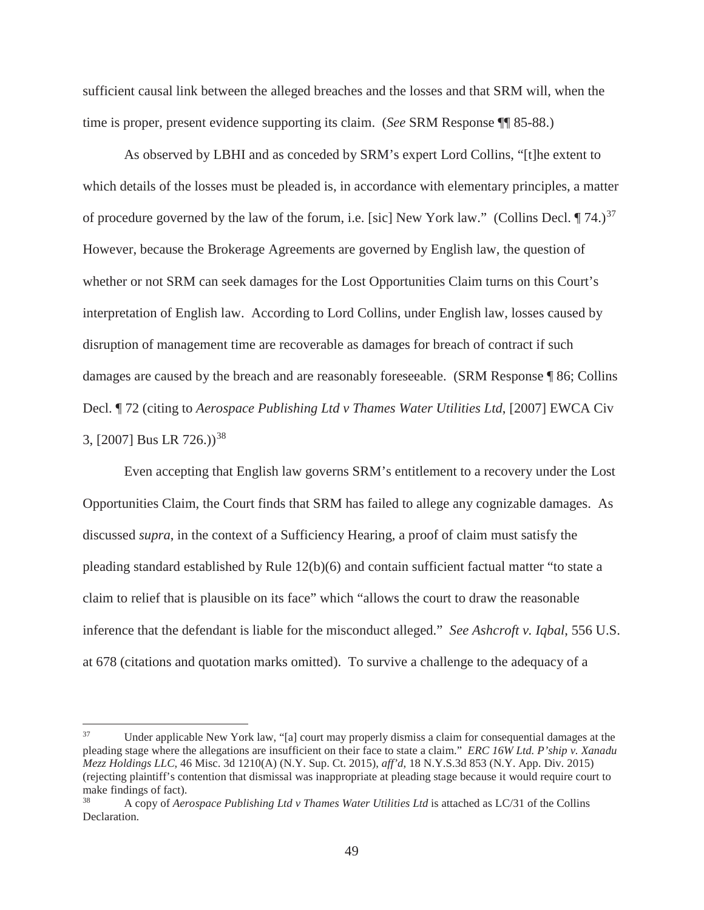sufficient causal link between the alleged breaches and the losses and that SRM will, when the time is proper, present evidence supporting its claim. (*See* SRM Response ¶¶ 85-88.)

As observed by LBHI and as conceded by SRM's expert Lord Collins, "[t]he extent to which details of the losses must be pleaded is, in accordance with elementary principles, a matter of procedure governed by the law of the forum, i.e. [sic] New York law." (Collins Decl.  $\P$  74.)<sup>37</sup> However, because the Brokerage Agreements are governed by English law, the question of whether or not SRM can seek damages for the Lost Opportunities Claim turns on this Court's interpretation of English law. According to Lord Collins, under English law, losses caused by disruption of management time are recoverable as damages for breach of contract if such damages are caused by the breach and are reasonably foreseeable. (SRM Response ¶ 86; Collins Decl. ¶ 72 (citing to *Aerospace Publishing Ltd v Thames Water Utilities Ltd*, [2007] EWCA Civ 3, [2007] Bus LR 726.))<sup>38</sup>

Even accepting that English law governs SRM's entitlement to a recovery under the Lost Opportunities Claim, the Court finds that SRM has failed to allege any cognizable damages. As discussed *supra*, in the context of a Sufficiency Hearing, a proof of claim must satisfy the pleading standard established by Rule 12(b)(6) and contain sufficient factual matter "to state a claim to relief that is plausible on its face" which "allows the court to draw the reasonable inference that the defendant is liable for the misconduct alleged." *See Ashcroft v. Iqbal*, 556 U.S. at 678 (citations and quotation marks omitted). To survive a challenge to the adequacy of a

<sup>37</sup> Under applicable New York law, "[a] court may properly dismiss a claim for consequential damages at the pleading stage where the allegations are insufficient on their face to state a claim." *ERC 16W Ltd. P'ship v. Xanadu Mezz Holdings LLC*, 46 Misc. 3d 1210(A) (N.Y. Sup. Ct. 2015), *aff'd*, 18 N.Y.S.3d 853 (N.Y. App. Div. 2015) (rejecting plaintiff's contention that dismissal was inappropriate at pleading stage because it would require court to make findings of fact).

<sup>38</sup> A copy of *Aerospace Publishing Ltd v Thames Water Utilities Ltd* is attached as LC/31 of the Collins Declaration.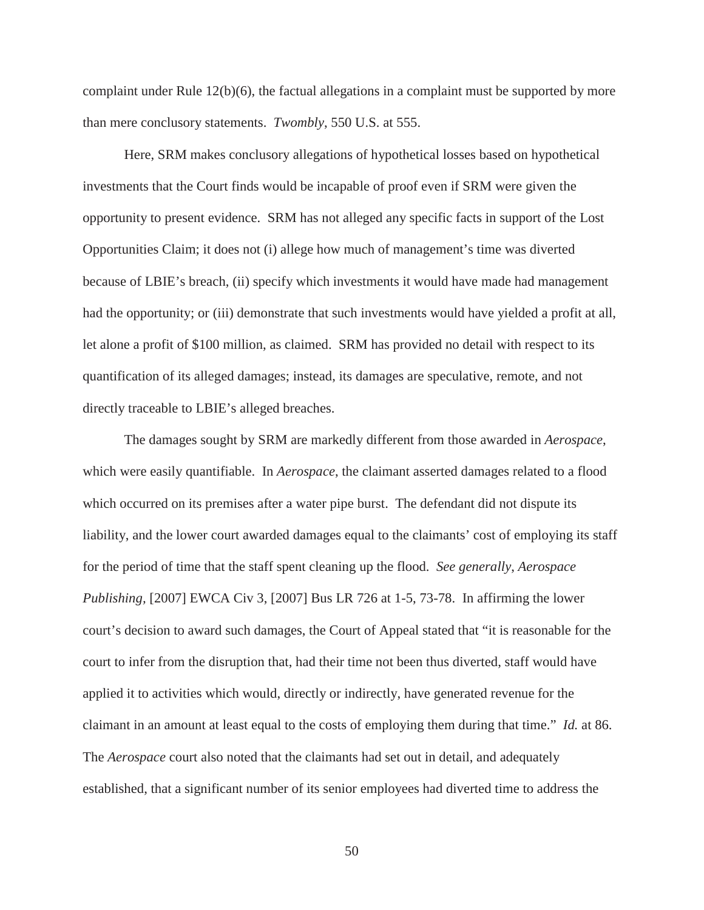complaint under Rule  $12(b)(6)$ , the factual allegations in a complaint must be supported by more than mere conclusory statements. *Twombly*, 550 U.S. at 555.

Here, SRM makes conclusory allegations of hypothetical losses based on hypothetical investments that the Court finds would be incapable of proof even if SRM were given the opportunity to present evidence. SRM has not alleged any specific facts in support of the Lost Opportunities Claim; it does not (i) allege how much of management's time was diverted because of LBIE's breach, (ii) specify which investments it would have made had management had the opportunity; or (iii) demonstrate that such investments would have yielded a profit at all, let alone a profit of \$100 million, as claimed. SRM has provided no detail with respect to its quantification of its alleged damages; instead, its damages are speculative, remote, and not directly traceable to LBIE's alleged breaches.

The damages sought by SRM are markedly different from those awarded in *Aerospace*, which were easily quantifiable. In *Aerospace*, the claimant asserted damages related to a flood which occurred on its premises after a water pipe burst. The defendant did not dispute its liability, and the lower court awarded damages equal to the claimants' cost of employing its staff for the period of time that the staff spent cleaning up the flood. *See generally*, *Aerospace Publishing,* [2007] EWCA Civ 3, [2007] Bus LR 726 at 1-5, 73-78. In affirming the lower court's decision to award such damages, the Court of Appeal stated that "it is reasonable for the court to infer from the disruption that, had their time not been thus diverted, staff would have applied it to activities which would, directly or indirectly, have generated revenue for the claimant in an amount at least equal to the costs of employing them during that time." *Id.* at 86. The *Aerospace* court also noted that the claimants had set out in detail, and adequately established, that a significant number of its senior employees had diverted time to address the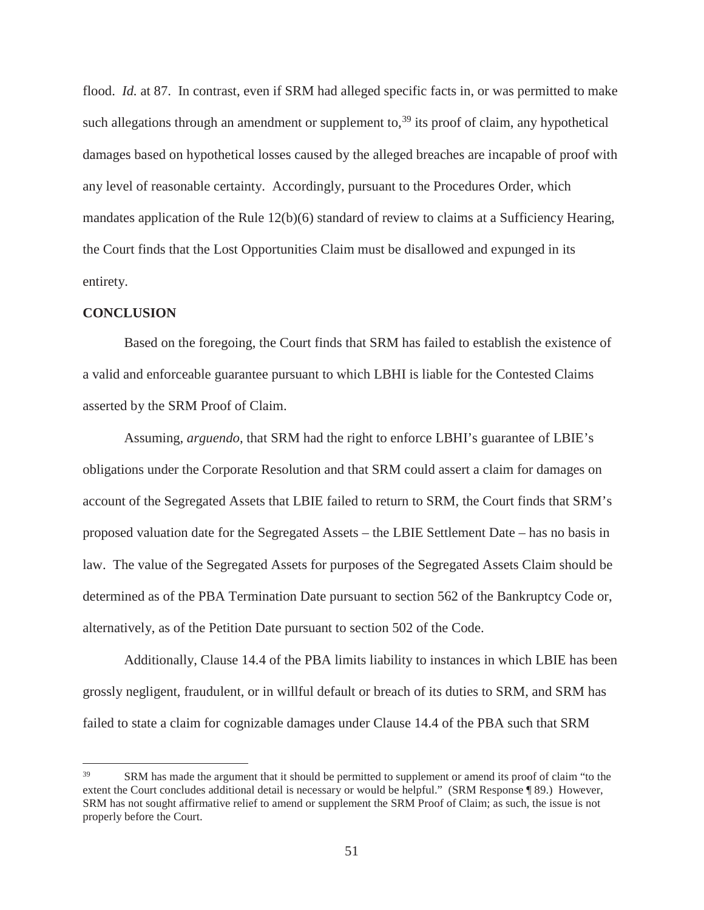flood. *Id.* at 87. In contrast, even if SRM had alleged specific facts in, or was permitted to make such allegations through an amendment or supplement to,<sup>39</sup> its proof of claim, any hypothetical damages based on hypothetical losses caused by the alleged breaches are incapable of proof with any level of reasonable certainty. Accordingly, pursuant to the Procedures Order, which mandates application of the Rule 12(b)(6) standard of review to claims at a Sufficiency Hearing, the Court finds that the Lost Opportunities Claim must be disallowed and expunged in its entirety.

#### **CONCLUSION**

Based on the foregoing, the Court finds that SRM has failed to establish the existence of a valid and enforceable guarantee pursuant to which LBHI is liable for the Contested Claims asserted by the SRM Proof of Claim.

Assuming, *arguendo*, that SRM had the right to enforce LBHI's guarantee of LBIE's obligations under the Corporate Resolution and that SRM could assert a claim for damages on account of the Segregated Assets that LBIE failed to return to SRM, the Court finds that SRM's proposed valuation date for the Segregated Assets – the LBIE Settlement Date – has no basis in law. The value of the Segregated Assets for purposes of the Segregated Assets Claim should be determined as of the PBA Termination Date pursuant to section 562 of the Bankruptcy Code or, alternatively, as of the Petition Date pursuant to section 502 of the Code.

Additionally, Clause 14.4 of the PBA limits liability to instances in which LBIE has been grossly negligent, fraudulent, or in willful default or breach of its duties to SRM, and SRM has failed to state a claim for cognizable damages under Clause 14.4 of the PBA such that SRM

<sup>&</sup>lt;sup>39</sup> SRM has made the argument that it should be permitted to supplement or amend its proof of claim "to the extent the Court concludes additional detail is necessary or would be helpful." (SRM Response ¶ 89.) However, SRM has not sought affirmative relief to amend or supplement the SRM Proof of Claim; as such, the issue is not properly before the Court.